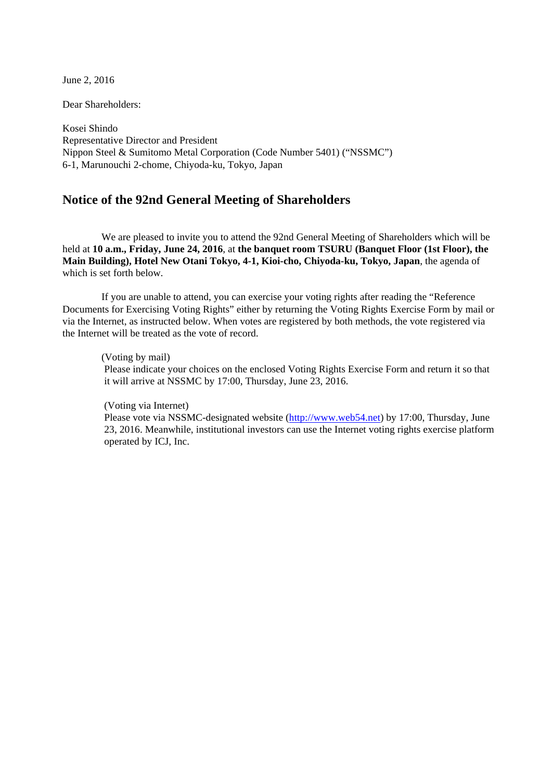June 2, 2016

Dear Shareholders:

Kosei Shindo Representative Director and President Nippon Steel & Sumitomo Metal Corporation (Code Number 5401) ("NSSMC") 6-1, Marunouchi 2-chome, Chiyoda-ku, Tokyo, Japan

# **Notice of the 92nd General Meeting of Shareholders**

We are pleased to invite you to attend the 92nd General Meeting of Shareholders which will be held at **10 a.m., Friday, June 24, 2016**, at **the banquet room TSURU (Banquet Floor (1st Floor), the Main Building), Hotel New Otani Tokyo, 4-1, Kioi-cho, Chiyoda-ku, Tokyo, Japan**, the agenda of which is set forth below.

If you are unable to attend, you can exercise your voting rights after reading the "Reference Documents for Exercising Voting Rights" either by returning the Voting Rights Exercise Form by mail or via the Internet, as instructed below. When votes are registered by both methods, the vote registered via the Internet will be treated as the vote of record.

#### (Voting by mail)

Please indicate your choices on the enclosed Voting Rights Exercise Form and return it so that it will arrive at NSSMC by 17:00, Thursday, June 23, 2016.

(Voting via Internet)

Please vote via NSSMC-designated website (http://www.web54.net) by 17:00, Thursday, June 23, 2016. Meanwhile, institutional investors can use the Internet voting rights exercise platform operated by ICJ, Inc.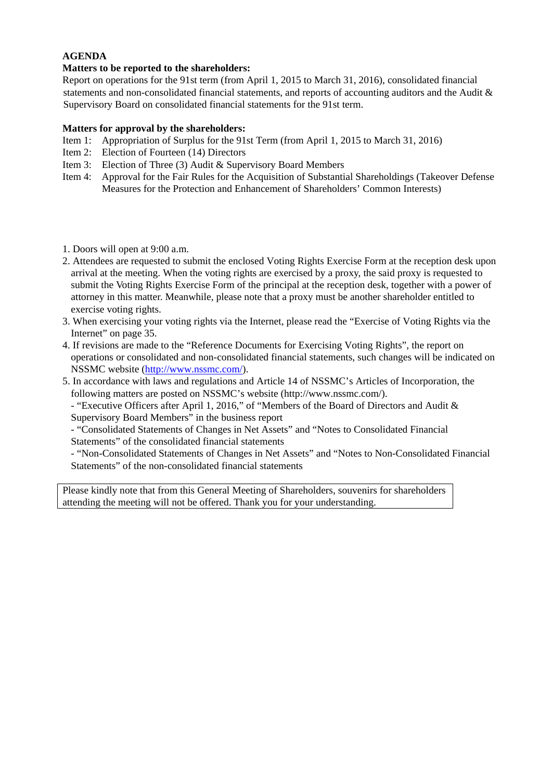# **AGENDA**

### **Matters to be reported to the shareholders:**

Report on operations for the 91st term (from April 1, 2015 to March 31, 2016), consolidated financial statements and non-consolidated financial statements, and reports of accounting auditors and the Audit & Supervisory Board on consolidated financial statements for the 91st term.

### **Matters for approval by the shareholders:**

- Item 1: Appropriation of Surplus for the 91st Term (from April 1, 2015 to March 31, 2016)
- Item 2: Election of Fourteen (14) Directors
- Item 3: Election of Three (3) Audit & Supervisory Board Members
- Item 4: Approval for the Fair Rules for the Acquisition of Substantial Shareholdings (Takeover Defense Measures for the Protection and Enhancement of Shareholders' Common Interests)
- 1. Doors will open at 9:00 a.m.
- 2. Attendees are requested to submit the enclosed Voting Rights Exercise Form at the reception desk upon arrival at the meeting. When the voting rights are exercised by a proxy, the said proxy is requested to submit the Voting Rights Exercise Form of the principal at the reception desk, together with a power of attorney in this matter. Meanwhile, please note that a proxy must be another shareholder entitled to exercise voting rights.
- 3. When exercising your voting rights via the Internet, please read the "Exercise of Voting Rights via the Internet" on page 35.
- 4. If revisions are made to the "Reference Documents for Exercising Voting Rights", the report on operations or consolidated and non-consolidated financial statements, such changes will be indicated on NSSMC website (http://www.nssmc.com/).
- 5. In accordance with laws and regulations and Article 14 of NSSMC's Articles of Incorporation, the following matters are posted on NSSMC's website (http://www.nssmc.com/).

- "Executive Officers after April 1, 2016," of "Members of the Board of Directors and Audit & Supervisory Board Members" in the business report

- "Consolidated Statements of Changes in Net Assets" and "Notes to Consolidated Financial Statements" of the consolidated financial statements

- "Non-Consolidated Statements of Changes in Net Assets" and "Notes to Non-Consolidated Financial Statements" of the non-consolidated financial statements

Please kindly note that from this General Meeting of Shareholders, souvenirs for shareholders attending the meeting will not be offered. Thank you for your understanding.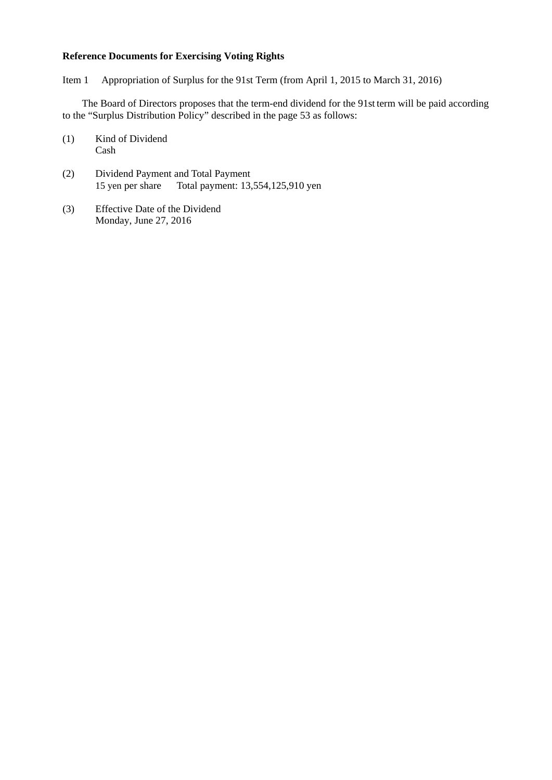### **Reference Documents for Exercising Voting Rights**

Item 1 Appropriation of Surplus for the 91st Term (from April 1, 2015 to March 31, 2016)

 The Board of Directors proposes that the term-end dividend for the 91st term will be paid according to the "Surplus Distribution Policy" described in the page 53 as follows:

- (1) Kind of Dividend Cash
- (2) Dividend Payment and Total Payment 15 yen per share Total payment: 13,554,125,910 yen
- (3) Effective Date of the Dividend Monday, June 27, 2016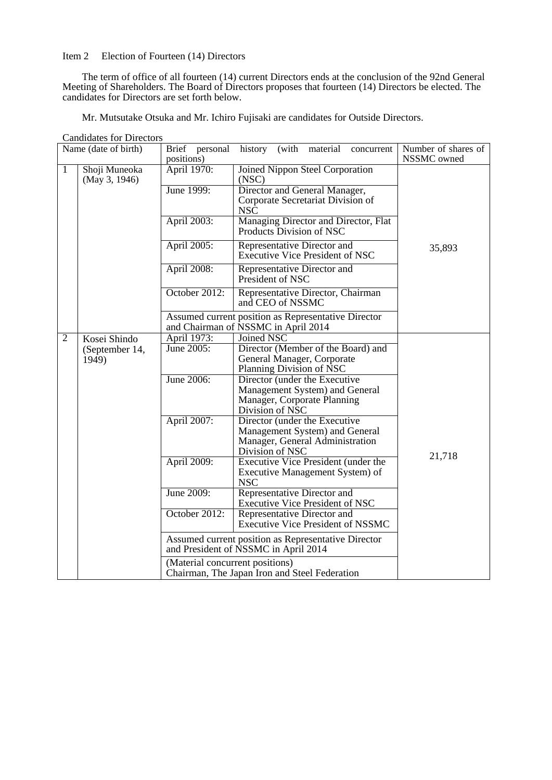### Item 2 Election of Fourteen (14) Directors

 The term of office of all fourteen (14) current Directors ends at the conclusion of the 92nd General Meeting of Shareholders. The Board of Directors proposes that fourteen (14) Directors be elected. The candidates for Directors are set forth below.

Mr. Mutsutake Otsuka and Mr. Ichiro Fujisaki are candidates for Outside Directors.

|                | Name (date of birth)           | Brief personal<br>positions)    | history (with material<br>concurrent                                                                                  | Number of shares of<br>NSSMC owned |
|----------------|--------------------------------|---------------------------------|-----------------------------------------------------------------------------------------------------------------------|------------------------------------|
| $\mathbf{1}$   | Shoji Muneoka<br>(May 3, 1946) | April 1970:                     | Joined Nippon Steel Corporation<br>(NSC)                                                                              |                                    |
|                |                                | June 1999:                      | Director and General Manager,<br>Corporate Secretariat Division of<br>NSC                                             |                                    |
|                |                                | April 2003:                     | Managing Director and Director, Flat<br>Products Division of NSC                                                      |                                    |
|                |                                | April 2005:                     | Representative Director and<br><b>Executive Vice President of NSC</b>                                                 | 35,893                             |
|                |                                | April 2008:                     | Representative Director and<br>President of NSC                                                                       |                                    |
|                |                                | October 2012:                   | Representative Director, Chairman<br>and CEO of NSSMC                                                                 |                                    |
|                |                                |                                 | Assumed current position as Representative Director<br>and Chairman of NSSMC in April 2014                            |                                    |
| $\overline{2}$ | Kosei Shindo                   | April 1973:                     | Joined NSC                                                                                                            |                                    |
|                | (September 14,<br>1949)        | June 2005:                      | Director (Member of the Board) and<br>General Manager, Corporate<br>Planning Division of NSC                          |                                    |
|                |                                | June 2006:                      | Director (under the Executive<br>Management System) and General<br>Manager, Corporate Planning<br>Division of NSC     |                                    |
|                |                                | April 2007:                     | Director (under the Executive<br>Management System) and General<br>Manager, General Administration<br>Division of NSC | 21,718                             |
|                |                                | April 2009:                     | <b>Executive Vice President (under the</b><br>Executive Management System) of<br><b>NSC</b>                           |                                    |
|                |                                | June 2009:                      | Representative Director and<br>Executive Vice President of NSC                                                        |                                    |
|                |                                | October 2012:                   | Representative Director and<br><b>Executive Vice President of NSSMC</b>                                               |                                    |
|                |                                |                                 | Assumed current position as Representative Director<br>and President of NSSMC in April 2014                           |                                    |
|                |                                | (Material concurrent positions) | Chairman, The Japan Iron and Steel Federation                                                                         |                                    |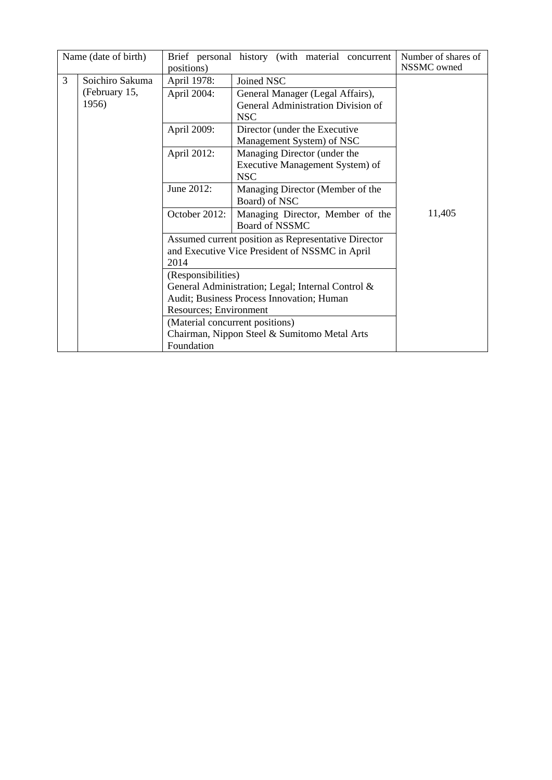|                                 | Name (date of birth)   |                    | Brief personal history (with material concurrent    | Number of shares of |
|---------------------------------|------------------------|--------------------|-----------------------------------------------------|---------------------|
|                                 |                        | positions)         |                                                     | NSSMC owned         |
| 3                               | Soichiro Sakuma        | April 1978:        | Joined NSC                                          |                     |
|                                 | (February 15,          | April 2004:        | General Manager (Legal Affairs),                    |                     |
|                                 | 1956)                  |                    | General Administration Division of                  |                     |
|                                 |                        |                    | <b>NSC</b>                                          |                     |
|                                 |                        | April 2009:        | Director (under the Executive                       |                     |
|                                 |                        |                    | Management System) of NSC                           |                     |
|                                 |                        | April 2012:        | Managing Director (under the                        |                     |
|                                 |                        |                    | Executive Management System) of                     |                     |
|                                 |                        |                    | <b>NSC</b>                                          |                     |
|                                 |                        | June 2012:         | Managing Director (Member of the                    |                     |
|                                 |                        |                    | Board) of NSC                                       |                     |
|                                 |                        | October 2012:      | Managing Director, Member of the                    | 11,405              |
|                                 |                        |                    | <b>Board of NSSMC</b>                               |                     |
|                                 |                        |                    | Assumed current position as Representative Director |                     |
|                                 |                        |                    | and Executive Vice President of NSSMC in April      |                     |
|                                 |                        | 2014               |                                                     |                     |
|                                 |                        | (Responsibilities) |                                                     |                     |
|                                 |                        |                    | General Administration; Legal; Internal Control &   |                     |
|                                 |                        |                    | Audit; Business Process Innovation; Human           |                     |
|                                 | Resources; Environment |                    |                                                     |                     |
| (Material concurrent positions) |                        |                    |                                                     |                     |
|                                 |                        |                    | Chairman, Nippon Steel & Sumitomo Metal Arts        |                     |
|                                 |                        | Foundation         |                                                     |                     |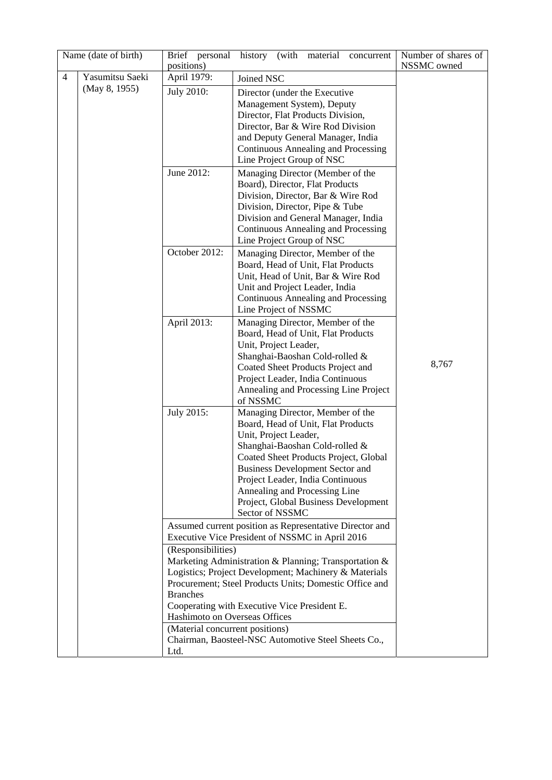| Name (date of birth) |                 | Brief personal<br>positions)                                                                              | history<br>(with<br>material<br>concurrent                                                                                                                                                                                                                                                                                                                                                    | Number of shares of<br>NSSMC owned |
|----------------------|-----------------|-----------------------------------------------------------------------------------------------------------|-----------------------------------------------------------------------------------------------------------------------------------------------------------------------------------------------------------------------------------------------------------------------------------------------------------------------------------------------------------------------------------------------|------------------------------------|
| 4                    | Yasumitsu Saeki | April 1979:                                                                                               | Joined NSC                                                                                                                                                                                                                                                                                                                                                                                    |                                    |
|                      | (May 8, 1955)   | <b>July 2010:</b>                                                                                         | Director (under the Executive<br>Management System), Deputy<br>Director, Flat Products Division,<br>Director, Bar & Wire Rod Division<br>and Deputy General Manager, India<br><b>Continuous Annealing and Processing</b><br>Line Project Group of NSC                                                                                                                                         |                                    |
|                      |                 | June 2012:                                                                                                | Managing Director (Member of the<br>Board), Director, Flat Products<br>Division, Director, Bar & Wire Rod<br>Division, Director, Pipe & Tube<br>Division and General Manager, India<br>Continuous Annealing and Processing<br>Line Project Group of NSC                                                                                                                                       |                                    |
|                      |                 | October 2012:                                                                                             | Managing Director, Member of the<br>Board, Head of Unit, Flat Products<br>Unit, Head of Unit, Bar & Wire Rod<br>Unit and Project Leader, India<br>Continuous Annealing and Processing<br>Line Project of NSSMC                                                                                                                                                                                |                                    |
|                      |                 | April 2013:                                                                                               | Managing Director, Member of the<br>Board, Head of Unit, Flat Products<br>Unit, Project Leader,<br>Shanghai-Baoshan Cold-rolled &<br>Coated Sheet Products Project and<br>Project Leader, India Continuous<br>Annealing and Processing Line Project<br>of NSSMC                                                                                                                               | 8,767                              |
|                      |                 | July 2015:                                                                                                | Managing Director, Member of the<br>Board, Head of Unit, Flat Products<br>Unit, Project Leader,<br>Shanghai-Baoshan Cold-rolled &<br>Coated Sheet Products Project, Global<br><b>Business Development Sector and</b><br>Project Leader, India Continuous<br>Annealing and Processing Line<br>Project, Global Business Development<br>Sector of NSSMC                                          |                                    |
|                      |                 | (Responsibilities)<br><b>Branches</b><br>Hashimoto on Overseas Offices<br>(Material concurrent positions) | Assumed current position as Representative Director and<br>Executive Vice President of NSSMC in April 2016<br>Marketing Administration & Planning; Transportation &<br>Logistics; Project Development; Machinery & Materials<br>Procurement; Steel Products Units; Domestic Office and<br>Cooperating with Executive Vice President E.<br>Chairman, Baosteel-NSC Automotive Steel Sheets Co., |                                    |
|                      |                 | Ltd.                                                                                                      |                                                                                                                                                                                                                                                                                                                                                                                               |                                    |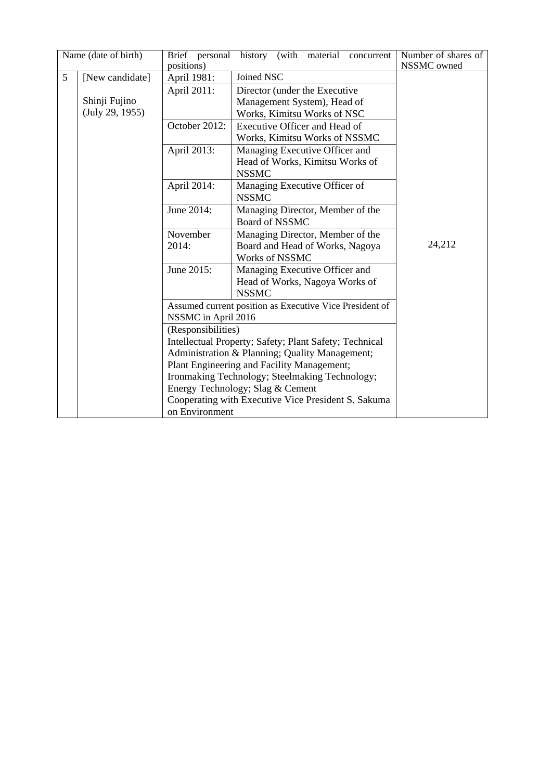|   | Name (date of birth)             | Brief personal                                         | history (with material concurrent                       | Number of shares of |
|---|----------------------------------|--------------------------------------------------------|---------------------------------------------------------|---------------------|
|   |                                  | positions)                                             | Joined NSC                                              | NSSMC owned         |
| 5 | [New candidate]                  | April 1981:                                            |                                                         |                     |
|   |                                  | April 2011:                                            | Director (under the Executive                           |                     |
|   | Shinji Fujino                    |                                                        | Management System), Head of                             |                     |
|   | (July 29, 1955)                  |                                                        | Works, Kimitsu Works of NSC                             |                     |
|   |                                  | October 2012:                                          | Executive Officer and Head of                           |                     |
|   |                                  |                                                        | Works, Kimitsu Works of NSSMC                           |                     |
|   |                                  | April 2013:                                            | Managing Executive Officer and                          |                     |
|   |                                  |                                                        | Head of Works, Kimitsu Works of                         |                     |
|   |                                  |                                                        | <b>NSSMC</b>                                            |                     |
|   |                                  | April 2014:                                            | Managing Executive Officer of                           |                     |
|   |                                  |                                                        | <b>NSSMC</b>                                            |                     |
|   |                                  | June 2014:                                             | Managing Director, Member of the                        |                     |
|   |                                  |                                                        | <b>Board of NSSMC</b>                                   |                     |
|   |                                  | November                                               | Managing Director, Member of the                        |                     |
|   |                                  | 2014:                                                  | Board and Head of Works, Nagoya                         | 24,212              |
|   |                                  |                                                        | Works of NSSMC                                          |                     |
|   |                                  | June 2015:                                             | Managing Executive Officer and                          |                     |
|   |                                  |                                                        | Head of Works, Nagoya Works of                          |                     |
|   |                                  |                                                        | <b>NSSMC</b>                                            |                     |
|   |                                  |                                                        | Assumed current position as Executive Vice President of |                     |
|   |                                  | NSSMC in April 2016                                    |                                                         |                     |
|   | (Responsibilities)               |                                                        |                                                         |                     |
|   |                                  | Intellectual Property; Safety; Plant Safety; Technical |                                                         |                     |
|   |                                  |                                                        | Administration & Planning; Quality Management;          |                     |
|   |                                  | Plant Engineering and Facility Management;             |                                                         |                     |
|   |                                  |                                                        | Ironmaking Technology; Steelmaking Technology;          |                     |
|   | Energy Technology; Slag & Cement |                                                        |                                                         |                     |
|   |                                  |                                                        | Cooperating with Executive Vice President S. Sakuma     |                     |
|   |                                  | on Environment                                         |                                                         |                     |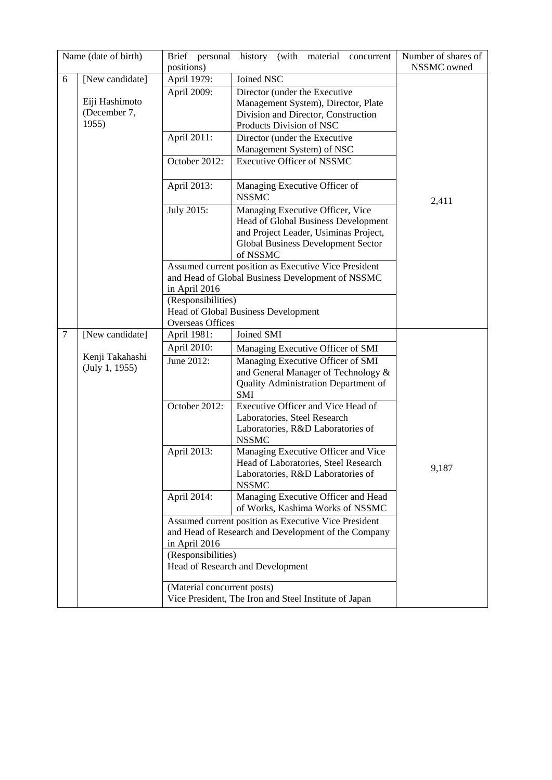|                | Name (date of birth) | Brief personal<br>positions)     | history (with material<br>concurrent                                    | Number of shares of<br>NSSMC owned |
|----------------|----------------------|----------------------------------|-------------------------------------------------------------------------|------------------------------------|
| 6              | [New candidate]      | April 1979:                      | Joined NSC                                                              |                                    |
|                |                      | April 2009:                      | Director (under the Executive                                           |                                    |
|                | Eiji Hashimoto       |                                  | Management System), Director, Plate                                     |                                    |
|                | (December 7,         |                                  | Division and Director, Construction                                     |                                    |
|                | 1955)                |                                  | Products Division of NSC                                                |                                    |
|                |                      | April 2011:                      | Director (under the Executive                                           |                                    |
|                |                      |                                  | Management System) of NSC                                               |                                    |
|                |                      |                                  | <b>Executive Officer of NSSMC</b>                                       |                                    |
|                |                      | October 2012:                    |                                                                         |                                    |
|                |                      | April 2013:                      | Managing Executive Officer of<br><b>NSSMC</b>                           | 2,411                              |
|                |                      | July 2015:                       | Managing Executive Officer, Vice                                        |                                    |
|                |                      |                                  | Head of Global Business Development                                     |                                    |
|                |                      |                                  | and Project Leader, Usiminas Project,                                   |                                    |
|                |                      |                                  | Global Business Development Sector                                      |                                    |
|                |                      |                                  | of NSSMC                                                                |                                    |
|                |                      |                                  | Assumed current position as Executive Vice President                    |                                    |
|                |                      |                                  | and Head of Global Business Development of NSSMC                        |                                    |
|                |                      | in April 2016                    |                                                                         |                                    |
|                |                      | (Responsibilities)               |                                                                         |                                    |
|                |                      |                                  | Head of Global Business Development                                     |                                    |
|                |                      | Overseas Offices                 |                                                                         |                                    |
| $\overline{7}$ | [New candidate]      | April 1981:                      | Joined SMI                                                              |                                    |
|                | Kenji Takahashi      | April 2010:                      | Managing Executive Officer of SMI                                       |                                    |
|                | (July 1, 1955)       | June 2012:                       | Managing Executive Officer of SMI                                       |                                    |
|                |                      |                                  | and General Manager of Technology &                                     |                                    |
|                |                      |                                  | Quality Administration Department of                                    |                                    |
|                |                      |                                  | <b>SMI</b>                                                              |                                    |
|                |                      | October 2012:                    | Executive Officer and Vice Head of                                      |                                    |
|                |                      |                                  | Laboratories, Steel Research                                            |                                    |
|                |                      |                                  | Laboratories, R&D Laboratories of                                       |                                    |
|                |                      |                                  | <b>NSSMC</b>                                                            |                                    |
|                |                      | April 2013:                      | Managing Executive Officer and Vice                                     |                                    |
|                |                      |                                  | Head of Laboratories, Steel Research                                    | 9,187                              |
|                |                      |                                  | Laboratories, R&D Laboratories of                                       |                                    |
|                |                      |                                  | <b>NSSMC</b>                                                            |                                    |
|                |                      | April 2014:                      | Managing Executive Officer and Head<br>of Works, Kashima Works of NSSMC |                                    |
|                |                      |                                  | Assumed current position as Executive Vice President                    |                                    |
|                |                      |                                  | and Head of Research and Development of the Company                     |                                    |
|                |                      | in April 2016                    |                                                                         |                                    |
|                |                      | (Responsibilities)               |                                                                         |                                    |
|                |                      | Head of Research and Development |                                                                         |                                    |
|                |                      |                                  |                                                                         |                                    |
|                |                      | (Material concurrent posts)      | Vice President, The Iron and Steel Institute of Japan                   |                                    |
|                |                      |                                  |                                                                         |                                    |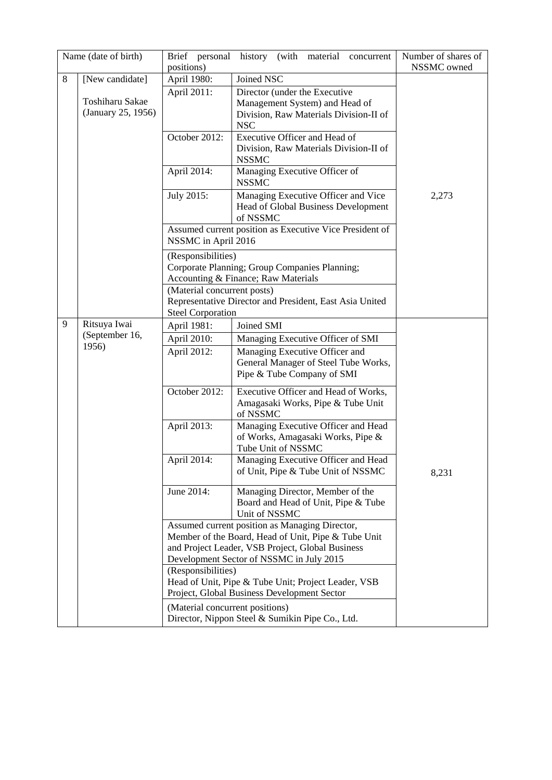|   | Name (date of birth)                                           | Brief personal                  | history (with material concurrent                                        | Number of shares of |
|---|----------------------------------------------------------------|---------------------------------|--------------------------------------------------------------------------|---------------------|
| 8 | [New candidate]                                                | positions)<br>April 1980:       | Joined NSC                                                               | NSSMC owned         |
|   |                                                                |                                 |                                                                          |                     |
|   | Toshiharu Sakae                                                | April 2011:                     | Director (under the Executive                                            |                     |
|   | (January 25, 1956)                                             |                                 | Management System) and Head of<br>Division, Raw Materials Division-II of |                     |
|   |                                                                |                                 | <b>NSC</b>                                                               |                     |
|   |                                                                | October 2012:                   | Executive Officer and Head of                                            |                     |
|   |                                                                |                                 | Division, Raw Materials Division-II of                                   |                     |
|   |                                                                |                                 | <b>NSSMC</b>                                                             |                     |
|   |                                                                | April 2014:                     | Managing Executive Officer of                                            |                     |
|   |                                                                |                                 | <b>NSSMC</b>                                                             |                     |
|   |                                                                | July 2015:                      | Managing Executive Officer and Vice                                      | 2,273               |
|   |                                                                |                                 | Head of Global Business Development                                      |                     |
|   |                                                                |                                 | of NSSMC                                                                 |                     |
|   |                                                                |                                 | Assumed current position as Executive Vice President of                  |                     |
|   |                                                                | NSSMC in April 2016             |                                                                          |                     |
|   |                                                                | (Responsibilities)              |                                                                          |                     |
|   |                                                                |                                 | Corporate Planning; Group Companies Planning;                            |                     |
|   |                                                                |                                 | Accounting & Finance; Raw Materials                                      |                     |
|   |                                                                | (Material concurrent posts)     |                                                                          |                     |
|   |                                                                |                                 | Representative Director and President, East Asia United                  |                     |
|   |                                                                | <b>Steel Corporation</b>        |                                                                          |                     |
| 9 | Ritsuya Iwai                                                   | April 1981:                     | Joined SMI                                                               |                     |
|   | (September 16,<br>1956)                                        | April 2010:                     | Managing Executive Officer of SMI                                        |                     |
|   |                                                                | April 2012:                     | Managing Executive Officer and                                           |                     |
|   |                                                                |                                 | General Manager of Steel Tube Works,                                     |                     |
|   |                                                                |                                 | Pipe & Tube Company of SMI                                               |                     |
|   |                                                                | October 2012:                   | Executive Officer and Head of Works,                                     |                     |
|   |                                                                |                                 | Amagasaki Works, Pipe & Tube Unit                                        |                     |
|   |                                                                |                                 | of NSSMC                                                                 |                     |
|   |                                                                | April 2013:                     | Managing Executive Officer and Head                                      |                     |
|   |                                                                |                                 | of Works, Amagasaki Works, Pipe &                                        |                     |
|   |                                                                |                                 | Tube Unit of NSSMC                                                       |                     |
|   |                                                                | April 2014:                     | Managing Executive Officer and Head                                      |                     |
|   |                                                                |                                 | of Unit, Pipe & Tube Unit of NSSMC                                       | 8,231               |
|   |                                                                | June 2014:                      | Managing Director, Member of the                                         |                     |
|   |                                                                |                                 | Board and Head of Unit, Pipe & Tube                                      |                     |
|   |                                                                |                                 | Unit of NSSMC                                                            |                     |
|   |                                                                |                                 | Assumed current position as Managing Director,                           |                     |
|   |                                                                |                                 | Member of the Board, Head of Unit, Pipe & Tube Unit                      |                     |
|   |                                                                |                                 | and Project Leader, VSB Project, Global Business                         |                     |
|   | Development Sector of NSSMC in July 2015<br>(Responsibilities) |                                 |                                                                          |                     |
|   |                                                                |                                 |                                                                          |                     |
|   |                                                                |                                 |                                                                          |                     |
|   |                                                                |                                 | Project, Global Business Development Sector                              |                     |
|   |                                                                | (Material concurrent positions) | Director, Nippon Steel & Sumikin Pipe Co., Ltd.                          |                     |
|   |                                                                |                                 |                                                                          |                     |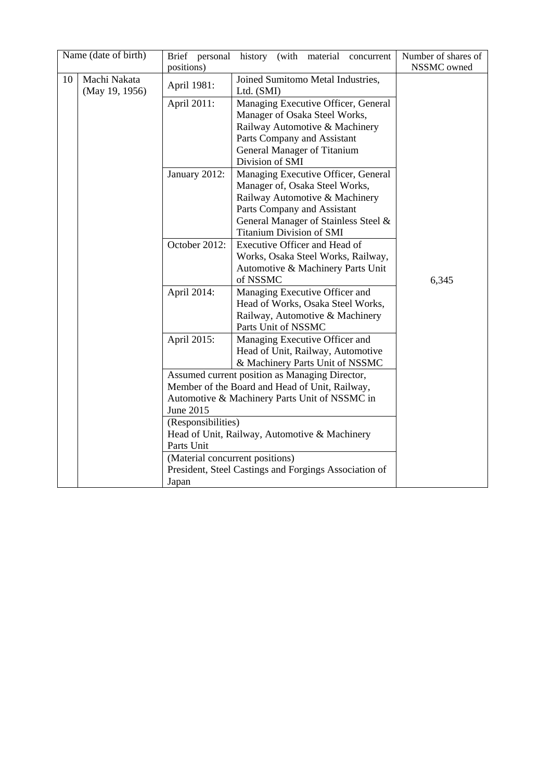|    | Name (date of birth) | Brief personal                                        | history             | (with material                    | concurrent                           | Number of shares of |
|----|----------------------|-------------------------------------------------------|---------------------|-----------------------------------|--------------------------------------|---------------------|
|    |                      | positions)                                            |                     |                                   |                                      | NSSMC owned         |
| 10 | Machi Nakata         | April 1981:                                           |                     | Joined Sumitomo Metal Industries, |                                      |                     |
|    | (May 19, 1956)       |                                                       | Ltd. (SMI)          |                                   |                                      |                     |
|    |                      | April 2011:                                           |                     |                                   | Managing Executive Officer, General  |                     |
|    |                      |                                                       |                     | Manager of Osaka Steel Works,     |                                      |                     |
|    |                      |                                                       |                     | Railway Automotive & Machinery    |                                      |                     |
|    |                      |                                                       |                     | Parts Company and Assistant       |                                      |                     |
|    |                      |                                                       |                     | General Manager of Titanium       |                                      |                     |
|    |                      |                                                       | Division of SMI     |                                   |                                      |                     |
|    |                      | January 2012:                                         |                     |                                   | Managing Executive Officer, General  |                     |
|    |                      |                                                       |                     | Manager of, Osaka Steel Works,    |                                      |                     |
|    |                      |                                                       |                     | Railway Automotive & Machinery    |                                      |                     |
|    |                      |                                                       |                     | Parts Company and Assistant       |                                      |                     |
|    |                      |                                                       |                     |                                   | General Manager of Stainless Steel & |                     |
|    |                      |                                                       |                     | <b>Titanium Division of SMI</b>   |                                      |                     |
|    |                      | October 2012:                                         |                     | Executive Officer and Head of     |                                      |                     |
|    |                      |                                                       |                     |                                   | Works, Osaka Steel Works, Railway,   |                     |
|    |                      |                                                       |                     |                                   | Automotive & Machinery Parts Unit    |                     |
|    |                      |                                                       | of NSSMC            |                                   |                                      | 6,345               |
|    |                      | April 2014:                                           |                     | Managing Executive Officer and    |                                      |                     |
|    |                      |                                                       |                     | Head of Works, Osaka Steel Works, |                                      |                     |
|    |                      |                                                       |                     | Railway, Automotive & Machinery   |                                      |                     |
|    |                      |                                                       | Parts Unit of NSSMC |                                   |                                      |                     |
|    |                      | April 2015:                                           |                     | Managing Executive Officer and    |                                      |                     |
|    |                      |                                                       |                     | Head of Unit, Railway, Automotive |                                      |                     |
|    |                      |                                                       |                     | & Machinery Parts Unit of NSSMC   |                                      |                     |
|    |                      | Assumed current position as Managing Director,        |                     |                                   |                                      |                     |
|    |                      | Member of the Board and Head of Unit, Railway,        |                     |                                   |                                      |                     |
|    |                      | Automotive & Machinery Parts Unit of NSSMC in         |                     |                                   |                                      |                     |
|    |                      | June 2015                                             |                     |                                   |                                      |                     |
|    |                      | (Responsibilities)                                    |                     |                                   |                                      |                     |
|    |                      | Head of Unit, Railway, Automotive & Machinery         |                     |                                   |                                      |                     |
|    |                      | Parts Unit                                            |                     |                                   |                                      |                     |
|    |                      | (Material concurrent positions)                       |                     |                                   |                                      |                     |
|    |                      | President, Steel Castings and Forgings Association of |                     |                                   |                                      |                     |
|    |                      | Japan                                                 |                     |                                   |                                      |                     |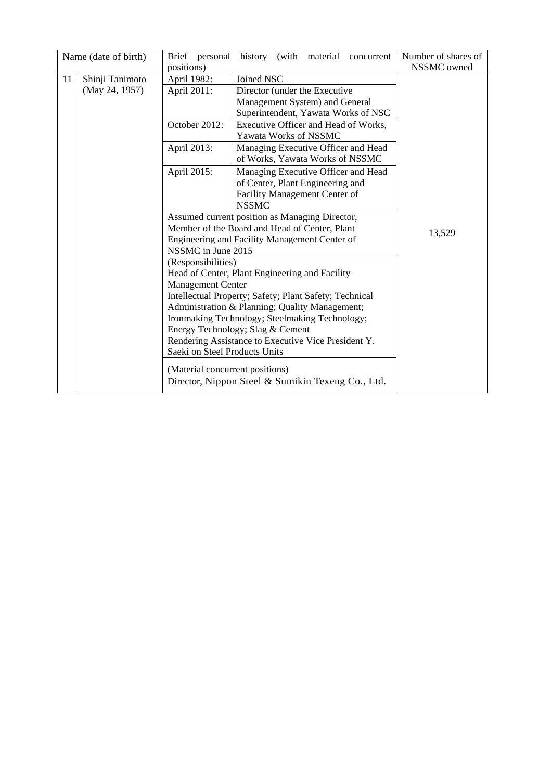|    | Name (date of birth)              | Brief personal                                                                                                                                                                                   | history (with material<br>concurrent                                                                                                                                                                                                                                                                                                                                                                                                                                                                                                                                                                                                                                                                                                                                                                                                                       | Number of shares of   |
|----|-----------------------------------|--------------------------------------------------------------------------------------------------------------------------------------------------------------------------------------------------|------------------------------------------------------------------------------------------------------------------------------------------------------------------------------------------------------------------------------------------------------------------------------------------------------------------------------------------------------------------------------------------------------------------------------------------------------------------------------------------------------------------------------------------------------------------------------------------------------------------------------------------------------------------------------------------------------------------------------------------------------------------------------------------------------------------------------------------------------------|-----------------------|
| 11 | Shinji Tanimoto<br>(May 24, 1957) | positions)<br>April 1982:<br>April 2011:<br>October 2012:<br>April 2013:<br>April 2015:<br>NSSMC in June 2015<br>(Responsibilities)<br><b>Management Center</b><br>Saeki on Steel Products Units | Joined NSC<br>Director (under the Executive<br>Management System) and General<br>Superintendent, Yawata Works of NSC<br>Executive Officer and Head of Works,<br>Yawata Works of NSSMC<br>Managing Executive Officer and Head<br>of Works, Yawata Works of NSSMC<br>Managing Executive Officer and Head<br>of Center, Plant Engineering and<br>Facility Management Center of<br><b>NSSMC</b><br>Assumed current position as Managing Director,<br>Member of the Board and Head of Center, Plant<br>Engineering and Facility Management Center of<br>Head of Center, Plant Engineering and Facility<br>Intellectual Property; Safety; Plant Safety; Technical<br>Administration & Planning; Quality Management;<br>Ironmaking Technology; Steelmaking Technology;<br>Energy Technology; Slag & Cement<br>Rendering Assistance to Executive Vice President Y. | NSSMC owned<br>13,529 |
|    |                                   | (Material concurrent positions)                                                                                                                                                                  | Director, Nippon Steel & Sumikin Texeng Co., Ltd.                                                                                                                                                                                                                                                                                                                                                                                                                                                                                                                                                                                                                                                                                                                                                                                                          |                       |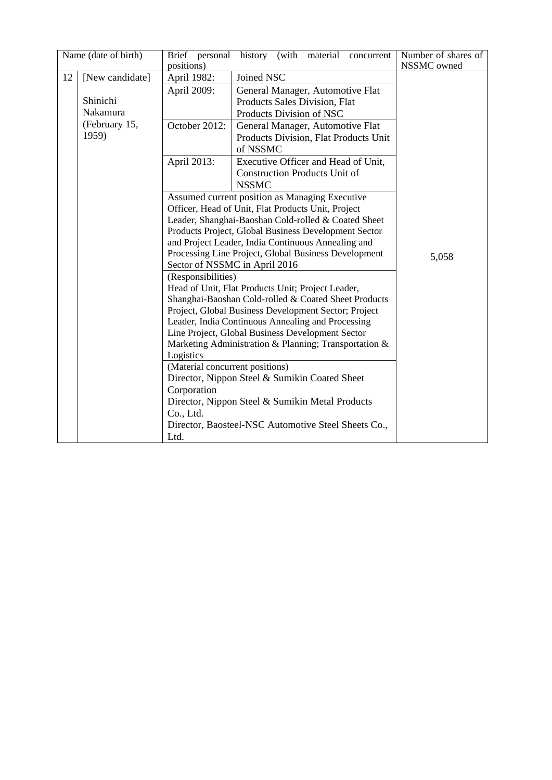|    | Name (date of birth)                            | Brief personal<br>positions)                         | history (with material concurrent                                                                            | Number of shares of<br>NSSMC owned |  |
|----|-------------------------------------------------|------------------------------------------------------|--------------------------------------------------------------------------------------------------------------|------------------------------------|--|
| 12 | [New candidate]                                 | April 1982:                                          | Joined NSC                                                                                                   |                                    |  |
|    |                                                 | April 2009:                                          | General Manager, Automotive Flat                                                                             |                                    |  |
|    | Shinichi                                        |                                                      | Products Sales Division, Flat                                                                                |                                    |  |
|    | Nakamura                                        |                                                      | Products Division of NSC                                                                                     |                                    |  |
|    | (February 15,                                   | October 2012:                                        | General Manager, Automotive Flat                                                                             |                                    |  |
|    | 1959)                                           |                                                      | Products Division, Flat Products Unit                                                                        |                                    |  |
|    |                                                 |                                                      | of NSSMC                                                                                                     |                                    |  |
|    |                                                 | April 2013:                                          | Executive Officer and Head of Unit,                                                                          |                                    |  |
|    |                                                 |                                                      | <b>Construction Products Unit of</b>                                                                         |                                    |  |
|    |                                                 |                                                      | <b>NSSMC</b>                                                                                                 |                                    |  |
|    |                                                 |                                                      | Assumed current position as Managing Executive                                                               |                                    |  |
|    |                                                 |                                                      | Officer, Head of Unit, Flat Products Unit, Project                                                           |                                    |  |
|    |                                                 |                                                      | Leader, Shanghai-Baoshan Cold-rolled & Coated Sheet                                                          |                                    |  |
|    |                                                 |                                                      | Products Project, Global Business Development Sector                                                         |                                    |  |
|    |                                                 | and Project Leader, India Continuous Annealing and   |                                                                                                              |                                    |  |
|    |                                                 | Processing Line Project, Global Business Development | 5,058                                                                                                        |                                    |  |
|    |                                                 | Sector of NSSMC in April 2016                        |                                                                                                              |                                    |  |
|    |                                                 | (Responsibilities)                                   |                                                                                                              |                                    |  |
|    |                                                 | Head of Unit, Flat Products Unit; Project Leader,    |                                                                                                              |                                    |  |
|    |                                                 |                                                      | Shanghai-Baoshan Cold-rolled & Coated Sheet Products<br>Project, Global Business Development Sector; Project |                                    |  |
|    |                                                 |                                                      | Leader, India Continuous Annealing and Processing                                                            |                                    |  |
|    |                                                 |                                                      | Line Project, Global Business Development Sector                                                             |                                    |  |
|    |                                                 |                                                      | Marketing Administration & Planning; Transportation &                                                        |                                    |  |
|    |                                                 |                                                      |                                                                                                              |                                    |  |
|    |                                                 | Logistics<br>(Material concurrent positions)         |                                                                                                              |                                    |  |
|    |                                                 |                                                      |                                                                                                              |                                    |  |
|    |                                                 | Corporation                                          |                                                                                                              |                                    |  |
|    | Director, Nippon Steel & Sumikin Metal Products |                                                      |                                                                                                              |                                    |  |
|    |                                                 |                                                      |                                                                                                              |                                    |  |
|    |                                                 |                                                      | Director, Baosteel-NSC Automotive Steel Sheets Co.,                                                          |                                    |  |
|    |                                                 | Ltd.                                                 |                                                                                                              |                                    |  |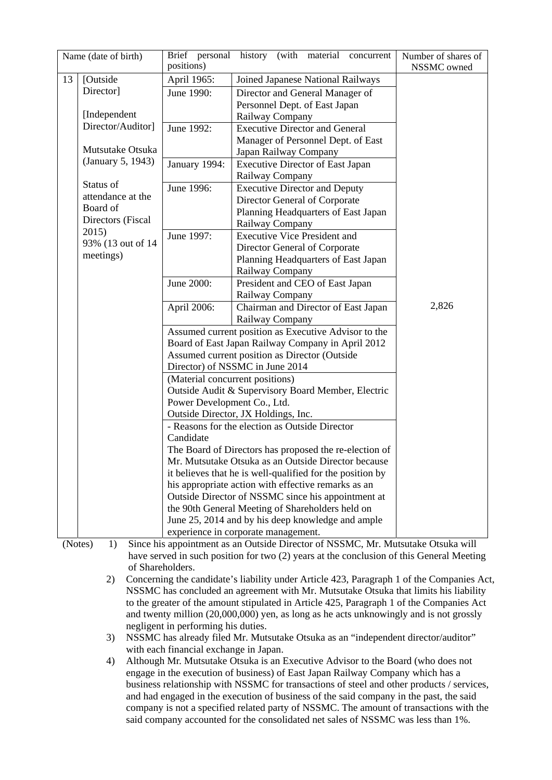| Name (date of birth) |                   | Brief personal<br>positions)    | history (with material<br>concurrent                                                                                   | Number of shares of<br>NSSMC owned |
|----------------------|-------------------|---------------------------------|------------------------------------------------------------------------------------------------------------------------|------------------------------------|
| 13                   | [Outside          | April 1965:                     | Joined Japanese National Railways                                                                                      |                                    |
|                      | Director]         | June 1990:                      | Director and General Manager of                                                                                        |                                    |
|                      |                   |                                 | Personnel Dept. of East Japan                                                                                          |                                    |
|                      | [Independent      |                                 | Railway Company                                                                                                        |                                    |
|                      | Director/Auditor] | June 1992:                      | <b>Executive Director and General</b>                                                                                  |                                    |
|                      |                   |                                 | Manager of Personnel Dept. of East                                                                                     |                                    |
|                      | Mutsutake Otsuka  |                                 | Japan Railway Company                                                                                                  |                                    |
|                      | (January 5, 1943) | January 1994:                   | <b>Executive Director of East Japan</b>                                                                                |                                    |
|                      |                   |                                 | Railway Company                                                                                                        |                                    |
|                      | Status of         | June 1996:                      | <b>Executive Director and Deputy</b>                                                                                   |                                    |
|                      | attendance at the |                                 | Director General of Corporate                                                                                          |                                    |
|                      | Board of          |                                 | Planning Headquarters of East Japan                                                                                    |                                    |
|                      | Directors (Fiscal |                                 | Railway Company                                                                                                        |                                    |
|                      | 2015)             | June 1997:                      | <b>Executive Vice President and</b>                                                                                    |                                    |
|                      | 93% (13 out of 14 |                                 | Director General of Corporate                                                                                          |                                    |
|                      | meetings)         |                                 | Planning Headquarters of East Japan                                                                                    |                                    |
|                      |                   |                                 | Railway Company                                                                                                        |                                    |
|                      |                   | June 2000:                      | President and CEO of East Japan                                                                                        |                                    |
|                      |                   |                                 | Railway Company                                                                                                        |                                    |
|                      |                   | April 2006:                     | Chairman and Director of East Japan                                                                                    | 2,826                              |
|                      |                   |                                 | Railway Company                                                                                                        |                                    |
|                      |                   |                                 | Assumed current position as Executive Advisor to the                                                                   |                                    |
|                      |                   |                                 | Board of East Japan Railway Company in April 2012                                                                      |                                    |
|                      |                   |                                 | Assumed current position as Director (Outside                                                                          |                                    |
|                      |                   |                                 | Director) of NSSMC in June 2014                                                                                        |                                    |
|                      |                   | (Material concurrent positions) |                                                                                                                        |                                    |
|                      |                   |                                 | Outside Audit & Supervisory Board Member, Electric                                                                     |                                    |
|                      |                   | Power Development Co., Ltd.     |                                                                                                                        |                                    |
|                      |                   |                                 | Outside Director, JX Holdings, Inc.                                                                                    |                                    |
|                      |                   |                                 | - Reasons for the election as Outside Director                                                                         |                                    |
|                      |                   | Candidate                       |                                                                                                                        |                                    |
|                      |                   |                                 | The Board of Directors has proposed the re-election of                                                                 |                                    |
|                      |                   |                                 | Mr. Mutsutake Otsuka as an Outside Director because                                                                    |                                    |
|                      |                   |                                 | it believes that he is well-qualified for the position by                                                              |                                    |
|                      |                   |                                 | his appropriate action with effective remarks as an                                                                    |                                    |
|                      |                   |                                 | Outside Director of NSSMC since his appointment at                                                                     |                                    |
|                      |                   |                                 | the 90th General Meeting of Shareholders held on                                                                       |                                    |
|                      |                   |                                 | June 25, 2014 and by his deep knowledge and ample                                                                      |                                    |
|                      | (Notes).<br>1)    |                                 | experience in corporate management.<br>Since his appointment as an Outside Director of NSSMC Mr. Mutsutake Otsuka will |                                    |

(Notes) 1) Since his appointment as an Outside Director of NSSMC, Mr. Mutsutake Otsuka will have served in such position for two (2) years at the conclusion of this General Meeting of Shareholders.

- 2) Concerning the candidate's liability under Article 423, Paragraph 1 of the Companies Act, NSSMC has concluded an agreement with Mr. Mutsutake Otsuka that limits his liability to the greater of the amount stipulated in Article 425, Paragraph 1 of the Companies Act and twenty million (20,000,000) yen, as long as he acts unknowingly and is not grossly negligent in performing his duties.
- 3) NSSMC has already filed Mr. Mutsutake Otsuka as an "independent director/auditor" with each financial exchange in Japan.
- 4) Although Mr. Mutsutake Otsuka is an Executive Advisor to the Board (who does not engage in the execution of business) of East Japan Railway Company which has a business relationship with NSSMC for transactions of steel and other products / services, and had engaged in the execution of business of the said company in the past, the said company is not a specified related party of NSSMC. The amount of transactions with the said company accounted for the consolidated net sales of NSSMC was less than 1%.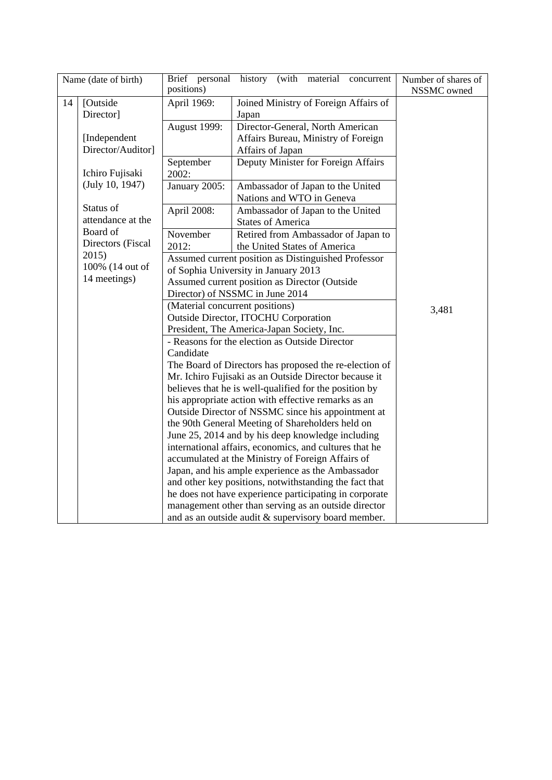| Name (date of birth) |                   | Brief personal | history<br>(with<br>material<br>concurrent             | Number of shares of |  |
|----------------------|-------------------|----------------|--------------------------------------------------------|---------------------|--|
|                      |                   | positions)     |                                                        | NSSMC owned         |  |
| 14                   | [Outside          | April 1969:    | Joined Ministry of Foreign Affairs of                  |                     |  |
|                      | Director]         |                | Japan                                                  |                     |  |
|                      |                   | August 1999:   | Director-General, North American                       |                     |  |
|                      | [Independent]     |                | Affairs Bureau, Ministry of Foreign                    |                     |  |
|                      | Director/Auditor] |                | Affairs of Japan                                       |                     |  |
|                      |                   | September      | Deputy Minister for Foreign Affairs                    |                     |  |
|                      | Ichiro Fujisaki   | 2002:          |                                                        |                     |  |
|                      | (July 10, 1947)   | January 2005:  | Ambassador of Japan to the United                      |                     |  |
|                      |                   |                | Nations and WTO in Geneva                              |                     |  |
|                      | Status of         | April 2008:    | Ambassador of Japan to the United                      |                     |  |
|                      | attendance at the |                | <b>States of America</b>                               |                     |  |
|                      | Board of          | November       | Retired from Ambassador of Japan to                    |                     |  |
|                      | Directors (Fiscal | 2012:          | the United States of America                           |                     |  |
|                      | 2015)             |                | Assumed current position as Distinguished Professor    |                     |  |
|                      | 100% (14 out of   |                | of Sophia University in January 2013                   |                     |  |
|                      | 14 meetings)      |                | Assumed current position as Director (Outside          |                     |  |
|                      |                   |                | Director) of NSSMC in June 2014                        |                     |  |
|                      |                   |                | (Material concurrent positions)                        |                     |  |
|                      |                   |                | Outside Director, ITOCHU Corporation                   | 3,481               |  |
|                      |                   |                | President, The America-Japan Society, Inc.             |                     |  |
|                      |                   |                | - Reasons for the election as Outside Director         |                     |  |
|                      |                   | Candidate      |                                                        |                     |  |
|                      |                   |                | The Board of Directors has proposed the re-election of |                     |  |
|                      |                   |                | Mr. Ichiro Fujisaki as an Outside Director because it  |                     |  |
|                      |                   |                | believes that he is well-qualified for the position by |                     |  |
|                      |                   |                | his appropriate action with effective remarks as an    |                     |  |
|                      |                   |                | Outside Director of NSSMC since his appointment at     |                     |  |
|                      |                   |                | the 90th General Meeting of Shareholders held on       |                     |  |
|                      |                   |                | June 25, 2014 and by his deep knowledge including      |                     |  |
|                      |                   |                | international affairs, economics, and cultures that he |                     |  |
|                      |                   |                | accumulated at the Ministry of Foreign Affairs of      |                     |  |
|                      |                   |                | Japan, and his ample experience as the Ambassador      |                     |  |
|                      |                   |                | and other key positions, notwithstanding the fact that |                     |  |
|                      |                   |                | he does not have experience participating in corporate |                     |  |
|                      |                   |                | management other than serving as an outside director   |                     |  |
|                      |                   |                | and as an outside audit & supervisory board member.    |                     |  |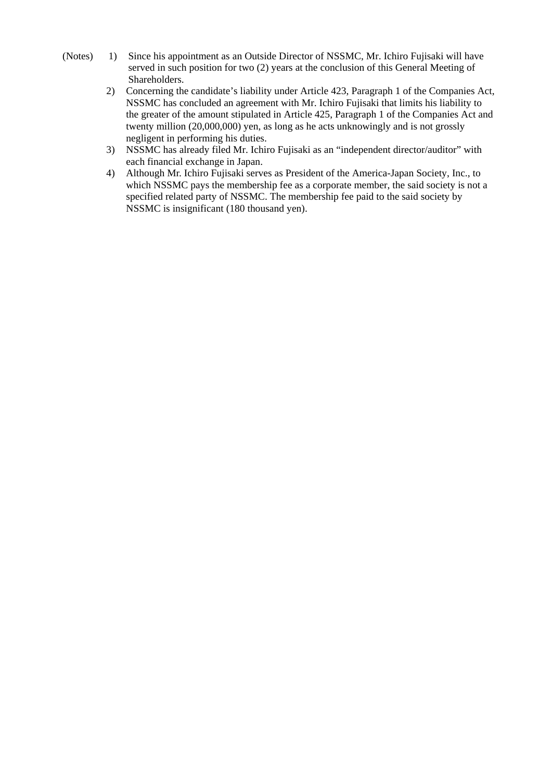- (Notes) 1) Since his appointment as an Outside Director of NSSMC, Mr. Ichiro Fujisaki will have served in such position for two (2) years at the conclusion of this General Meeting of Shareholders.
	- 2) Concerning the candidate's liability under Article 423, Paragraph 1 of the Companies Act, NSSMC has concluded an agreement with Mr. Ichiro Fujisaki that limits his liability to the greater of the amount stipulated in Article 425, Paragraph 1 of the Companies Act and twenty million (20,000,000) yen, as long as he acts unknowingly and is not grossly negligent in performing his duties.
	- 3) NSSMC has already filed Mr. Ichiro Fujisaki as an "independent director/auditor" with each financial exchange in Japan.
	- 4) Although Mr. Ichiro Fujisaki serves as President of the America-Japan Society, Inc., to which NSSMC pays the membership fee as a corporate member, the said society is not a specified related party of NSSMC. The membership fee paid to the said society by NSSMC is insignificant (180 thousand yen).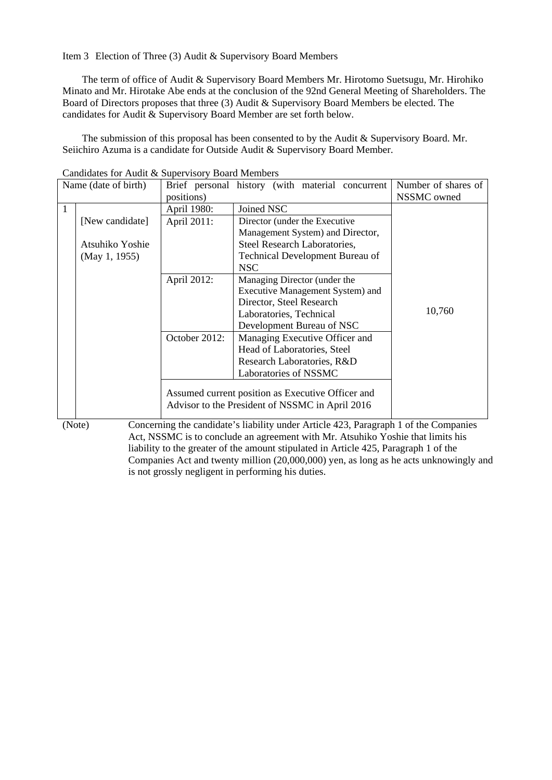Item 3 Election of Three (3) Audit & Supervisory Board Members

 The term of office of Audit & Supervisory Board Members Mr. Hirotomo Suetsugu, Mr. Hirohiko Minato and Mr. Hirotake Abe ends at the conclusion of the 92nd General Meeting of Shareholders. The Board of Directors proposes that three (3) Audit & Supervisory Board Members be elected. The candidates for Audit & Supervisory Board Member are set forth below.

 The submission of this proposal has been consented to by the Audit & Supervisory Board. Mr. Seiichiro Azuma is a candidate for Outside Audit & Supervisory Board Member.

|                 |                                                   |                                  | Number of shares of                                                                                               |
|-----------------|---------------------------------------------------|----------------------------------|-------------------------------------------------------------------------------------------------------------------|
|                 |                                                   |                                  | NSSMC owned                                                                                                       |
|                 | April 1980:                                       |                                  |                                                                                                                   |
| [New candidate] | April 2011:                                       | Director (under the Executive    |                                                                                                                   |
|                 |                                                   | Management System) and Director, |                                                                                                                   |
| Atsuhiko Yoshie |                                                   | Steel Research Laboratories,     |                                                                                                                   |
| (May 1, 1955)   |                                                   | Technical Development Bureau of  |                                                                                                                   |
|                 |                                                   | <b>NSC</b>                       |                                                                                                                   |
|                 | April 2012:                                       | Managing Director (under the     |                                                                                                                   |
|                 |                                                   | Executive Management System) and |                                                                                                                   |
|                 |                                                   | Director, Steel Research         |                                                                                                                   |
|                 |                                                   | Laboratories, Technical          | 10,760                                                                                                            |
|                 |                                                   | Development Bureau of NSC        |                                                                                                                   |
|                 | October 2012:                                     | Managing Executive Officer and   |                                                                                                                   |
|                 |                                                   | Head of Laboratories, Steel      |                                                                                                                   |
|                 |                                                   | Research Laboratories, R&D       |                                                                                                                   |
|                 |                                                   | Laboratories of NSSMC            |                                                                                                                   |
|                 |                                                   |                                  |                                                                                                                   |
|                 | Assumed current position as Executive Officer and |                                  |                                                                                                                   |
|                 |                                                   |                                  |                                                                                                                   |
|                 | Name (date of birth)                              | positions)                       | Brief personal history (with material concurrent<br>Joined NSC<br>Advisor to the President of NSSMC in April 2016 |

Candidates for Audit & Supervisory Board Members

(Note) Concerning the candidate's liability under Article 423, Paragraph 1 of the Companies Act, NSSMC is to conclude an agreement with Mr. Atsuhiko Yoshie that limits his liability to the greater of the amount stipulated in Article 425, Paragraph 1 of the Companies Act and twenty million (20,000,000) yen, as long as he acts unknowingly and is not grossly negligent in performing his duties.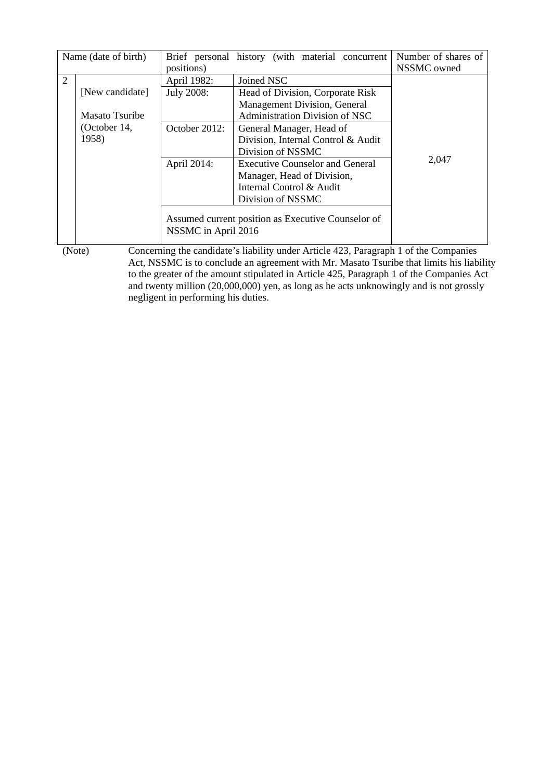| Name (date of birth) |                 |                     | Brief personal history (with material concurrent   | Number of shares of |
|----------------------|-----------------|---------------------|----------------------------------------------------|---------------------|
|                      |                 | positions)          |                                                    | NSSMC owned         |
| 2                    |                 | April 1982:         | Joined NSC                                         |                     |
|                      | [New candidate] | <b>July 2008:</b>   | Head of Division, Corporate Risk                   |                     |
|                      |                 |                     | Management Division, General                       |                     |
|                      | Masato Tsuribe  |                     | <b>Administration Division of NSC</b>              |                     |
|                      | (October 14,    | October 2012:       | General Manager, Head of                           |                     |
|                      | 1958)           |                     | Division, Internal Control & Audit                 |                     |
|                      |                 |                     | Division of NSSMC                                  |                     |
|                      |                 | April 2014:         | <b>Executive Counselor and General</b>             | 2,047               |
|                      |                 |                     | Manager, Head of Division,                         |                     |
|                      |                 |                     | Internal Control & Audit                           |                     |
|                      |                 |                     | Division of NSSMC                                  |                     |
|                      |                 | NSSMC in April 2016 | Assumed current position as Executive Counselor of |                     |

(Note) Concerning the candidate's liability under Article 423, Paragraph 1 of the Companies Act, NSSMC is to conclude an agreement with Mr. Masato Tsuribe that limits his liability to the greater of the amount stipulated in Article 425, Paragraph 1 of the Companies Act and twenty million (20,000,000) yen, as long as he acts unknowingly and is not grossly negligent in performing his duties.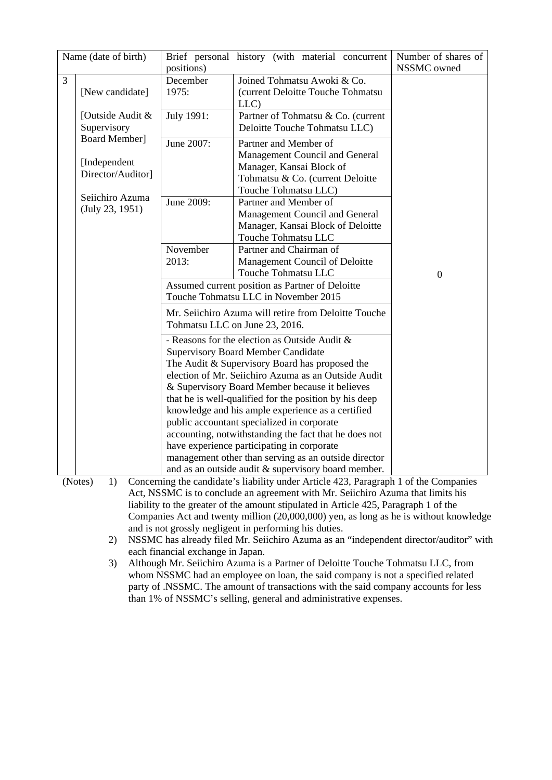|   | Name (date of birth)                                    |                   | Brief personal history (with material concurrent                                                                                                                                                                                                                                                                                                                                                                   | Number of shares of |
|---|---------------------------------------------------------|-------------------|--------------------------------------------------------------------------------------------------------------------------------------------------------------------------------------------------------------------------------------------------------------------------------------------------------------------------------------------------------------------------------------------------------------------|---------------------|
|   |                                                         | positions)        |                                                                                                                                                                                                                                                                                                                                                                                                                    | NSSMC owned         |
| 3 | [New candidate]                                         | December<br>1975: | Joined Tohmatsu Awoki & Co.<br>(current Deloitte Touche Tohmatsu<br>LLC)                                                                                                                                                                                                                                                                                                                                           |                     |
|   | [Outside Audit &<br>Supervisory<br><b>Board Member]</b> | July 1991:        | Partner of Tohmatsu & Co. (current<br>Deloitte Touche Tohmatsu LLC)                                                                                                                                                                                                                                                                                                                                                |                     |
|   |                                                         | June 2007:        | Partner and Member of<br>Management Council and General                                                                                                                                                                                                                                                                                                                                                            |                     |
|   | [Independent<br>Director/Auditor]                       |                   | Manager, Kansai Block of<br>Tohmatsu & Co. (current Deloitte                                                                                                                                                                                                                                                                                                                                                       |                     |
|   | Seiichiro Azuma<br>(July 23, 1951)                      | June 2009:        | Touche Tohmatsu LLC)<br>Partner and Member of<br>Management Council and General<br>Manager, Kansai Block of Deloitte<br>Touche Tohmatsu LLC                                                                                                                                                                                                                                                                        |                     |
|   |                                                         | November<br>2013: | Partner and Chairman of<br>Management Council of Deloitte<br>Touche Tohmatsu LLC                                                                                                                                                                                                                                                                                                                                   | $\boldsymbol{0}$    |
|   |                                                         |                   | Assumed current position as Partner of Deloitte<br>Touche Tohmatsu LLC in November 2015                                                                                                                                                                                                                                                                                                                            |                     |
|   |                                                         |                   | Mr. Seiichiro Azuma will retire from Deloitte Touche<br>Tohmatsu LLC on June 23, 2016.                                                                                                                                                                                                                                                                                                                             |                     |
|   |                                                         |                   | - Reasons for the election as Outside Audit &<br><b>Supervisory Board Member Candidate</b><br>The Audit & Supervisory Board has proposed the<br>election of Mr. Seiichiro Azuma as an Outside Audit<br>& Supervisory Board Member because it believes<br>that he is well-qualified for the position by his deep<br>knowledge and his ample experience as a certified<br>public accountant specialized in corporate |                     |
|   |                                                         |                   | accounting, notwithstanding the fact that he does not<br>have experience participating in corporate<br>management other than serving as an outside director<br>and as an outside audit & supervisory board member.                                                                                                                                                                                                 |                     |

- (Notes) 1) Concerning the candidate's liability under Article 423, Paragraph 1 of the Companies Act, NSSMC is to conclude an agreement with Mr. Seiichiro Azuma that limits his liability to the greater of the amount stipulated in Article 425, Paragraph 1 of the Companies Act and twenty million (20,000,000) yen, as long as he is without knowledge and is not grossly negligent in performing his duties.
	- 2) NSSMC has already filed Mr. Seiichiro Azuma as an "independent director/auditor" with each financial exchange in Japan.
	- 3) Although Mr. Seiichiro Azuma is a Partner of Deloitte Touche Tohmatsu LLC, from whom NSSMC had an employee on loan, the said company is not a specified related party of .NSSMC. The amount of transactions with the said company accounts for less than 1% of NSSMC's selling, general and administrative expenses.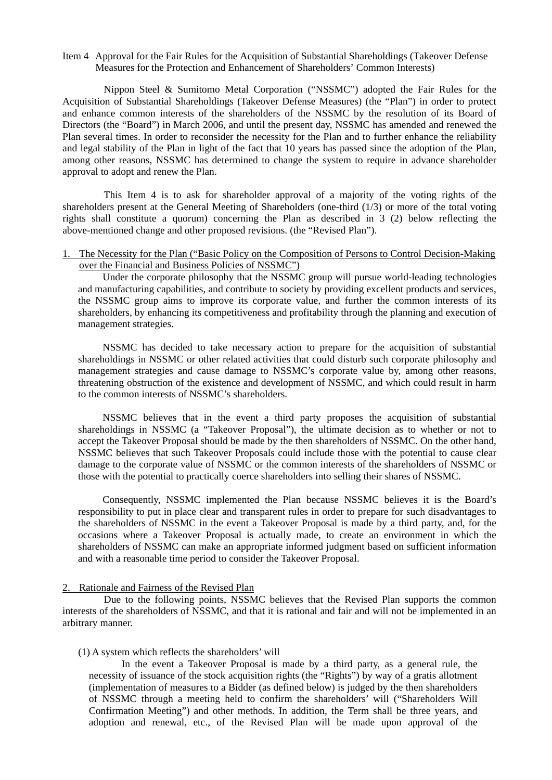Item 4 Approval for the Fair Rules for the Acquisition of Substantial Shareholdings (Takeover Defense Measures for the Protection and Enhancement of Shareholders' Common Interests)

Nippon Steel & Sumitomo Metal Corporation ("NSSMC") adopted the Fair Rules for the Acquisition of Substantial Shareholdings (Takeover Defense Measures) (the "Plan") in order to protect and enhance common interests of the shareholders of the NSSMC by the resolution of its Board of Directors (the "Board") in March 2006, and until the present day, NSSMC has amended and renewed the Plan several times. In order to reconsider the necessity for the Plan and to further enhance the reliability and legal stability of the Plan in light of the fact that 10 years has passed since the adoption of the Plan, among other reasons, NSSMC has determined to change the system to require in advance shareholder approval to adopt and renew the Plan.

This Item 4 is to ask for shareholder approval of a majority of the voting rights of the shareholders present at the General Meeting of Shareholders (one-third (1/3) or more of the total voting rights shall constitute a quorum) concerning the Plan as described in 3 (2) below reflecting the above-mentioned change and other proposed revisions. (the "Revised Plan").

### 1. The Necessity for the Plan ("Basic Policy on the Composition of Persons to Control Decision-Making over the Financial and Business Policies of NSSMC")

Under the corporate philosophy that the NSSMC group will pursue world-leading technologies and manufacturing capabilities, and contribute to society by providing excellent products and services, the NSSMC group aims to improve its corporate value, and further the common interests of its shareholders, by enhancing its competitiveness and profitability through the planning and execution of management strategies.

NSSMC has decided to take necessary action to prepare for the acquisition of substantial shareholdings in NSSMC or other related activities that could disturb such corporate philosophy and management strategies and cause damage to NSSMC's corporate value by, among other reasons, threatening obstruction of the existence and development of NSSMC, and which could result in harm to the common interests of NSSMC's shareholders.

NSSMC believes that in the event a third party proposes the acquisition of substantial shareholdings in NSSMC (a "Takeover Proposal"), the ultimate decision as to whether or not to accept the Takeover Proposal should be made by the then shareholders of NSSMC. On the other hand, NSSMC believes that such Takeover Proposals could include those with the potential to cause clear damage to the corporate value of NSSMC or the common interests of the shareholders of NSSMC or those with the potential to practically coerce shareholders into selling their shares of NSSMC.

Consequently, NSSMC implemented the Plan because NSSMC believes it is the Board's responsibility to put in place clear and transparent rules in order to prepare for such disadvantages to the shareholders of NSSMC in the event a Takeover Proposal is made by a third party, and, for the occasions where a Takeover Proposal is actually made, to create an environment in which the shareholders of NSSMC can make an appropriate informed judgment based on sufficient information and with a reasonable time period to consider the Takeover Proposal.

#### 2. Rationale and Fairness of the Revised Plan

Due to the following points, NSSMC believes that the Revised Plan supports the common interests of the shareholders of NSSMC, and that it is rational and fair and will not be implemented in an arbitrary manner.

(1) A system which reflects the shareholders' will

In the event a Takeover Proposal is made by a third party, as a general rule, the necessity of issuance of the stock acquisition rights (the "Rights") by way of a gratis allotment (implementation of measures to a Bidder (as defined below) is judged by the then shareholders of NSSMC through a meeting held to confirm the shareholders' will ("Shareholders Will Confirmation Meeting") and other methods. In addition, the Term shall be three years, and adoption and renewal, etc., of the Revised Plan will be made upon approval of the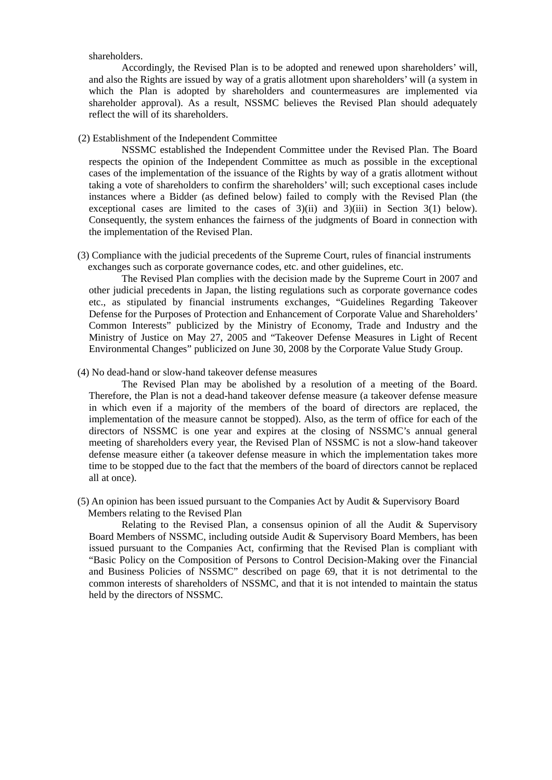shareholders.

Accordingly, the Revised Plan is to be adopted and renewed upon shareholders' will, and also the Rights are issued by way of a gratis allotment upon shareholders' will (a system in which the Plan is adopted by shareholders and countermeasures are implemented via shareholder approval). As a result, NSSMC believes the Revised Plan should adequately reflect the will of its shareholders.

(2) Establishment of the Independent Committee

NSSMC established the Independent Committee under the Revised Plan. The Board respects the opinion of the Independent Committee as much as possible in the exceptional cases of the implementation of the issuance of the Rights by way of a gratis allotment without taking a vote of shareholders to confirm the shareholders' will; such exceptional cases include instances where a Bidder (as defined below) failed to comply with the Revised Plan (the exceptional cases are limited to the cases of  $3)(ii)$  and  $3)(iii)$  in Section  $3(1)$  below). Consequently, the system enhances the fairness of the judgments of Board in connection with the implementation of the Revised Plan.

(3) Compliance with the judicial precedents of the Supreme Court, rules of financial instruments exchanges such as corporate governance codes, etc. and other guidelines, etc.

The Revised Plan complies with the decision made by the Supreme Court in 2007 and other judicial precedents in Japan, the listing regulations such as corporate governance codes etc., as stipulated by financial instruments exchanges, "Guidelines Regarding Takeover Defense for the Purposes of Protection and Enhancement of Corporate Value and Shareholders' Common Interests" publicized by the Ministry of Economy, Trade and Industry and the Ministry of Justice on May 27, 2005 and "Takeover Defense Measures in Light of Recent Environmental Changes" publicized on June 30, 2008 by the Corporate Value Study Group.

(4) No dead-hand or slow-hand takeover defense measures

The Revised Plan may be abolished by a resolution of a meeting of the Board. Therefore, the Plan is not a dead-hand takeover defense measure (a takeover defense measure in which even if a majority of the members of the board of directors are replaced, the implementation of the measure cannot be stopped). Also, as the term of office for each of the directors of NSSMC is one year and expires at the closing of NSSMC's annual general meeting of shareholders every year, the Revised Plan of NSSMC is not a slow-hand takeover defense measure either (a takeover defense measure in which the implementation takes more time to be stopped due to the fact that the members of the board of directors cannot be replaced all at once).

(5) An opinion has been issued pursuant to the Companies Act by Audit & Supervisory Board Members relating to the Revised Plan

Relating to the Revised Plan, a consensus opinion of all the Audit & Supervisory Board Members of NSSMC, including outside Audit & Supervisory Board Members, has been issued pursuant to the Companies Act, confirming that the Revised Plan is compliant with "Basic Policy on the Composition of Persons to Control Decision-Making over the Financial and Business Policies of NSSMC" described on page 69, that it is not detrimental to the common interests of shareholders of NSSMC, and that it is not intended to maintain the status held by the directors of NSSMC.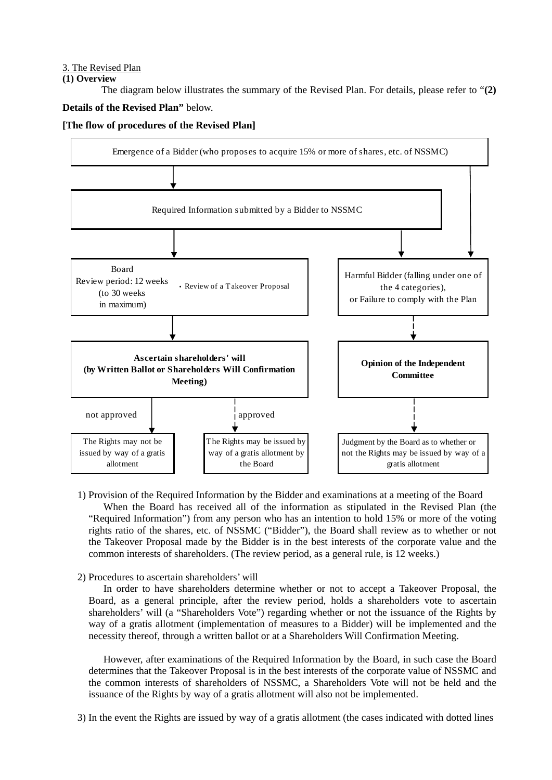### 3. The Revised Plan

### **(1) Overview**

 The diagram below illustrates the summary of the Revised Plan. For details, please refer to "**(2) Details of the Revised Plan"** below.

# **[The flow of procedures of the Revised Plan]**



- 1) Provision of the Required Information by the Bidder and examinations at a meeting of the Board When the Board has received all of the information as stipulated in the Revised Plan (the "Required Information") from any person who has an intention to hold 15% or more of the voting rights ratio of the shares, etc. of NSSMC ("Bidder"), the Board shall review as to whether or not the Takeover Proposal made by the Bidder is in the best interests of the corporate value and the common interests of shareholders. (The review period, as a general rule, is 12 weeks.)
- 2) Procedures to ascertain shareholders' will

In order to have shareholders determine whether or not to accept a Takeover Proposal, the Board, as a general principle, after the review period, holds a shareholders vote to ascertain shareholders' will (a "Shareholders Vote") regarding whether or not the issuance of the Rights by way of a gratis allotment (implementation of measures to a Bidder) will be implemented and the necessity thereof, through a written ballot or at a Shareholders Will Confirmation Meeting.

However, after examinations of the Required Information by the Board, in such case the Board determines that the Takeover Proposal is in the best interests of the corporate value of NSSMC and the common interests of shareholders of NSSMC, a Shareholders Vote will not be held and the issuance of the Rights by way of a gratis allotment will also not be implemented.

3) In the event the Rights are issued by way of a gratis allotment (the cases indicated with dotted lines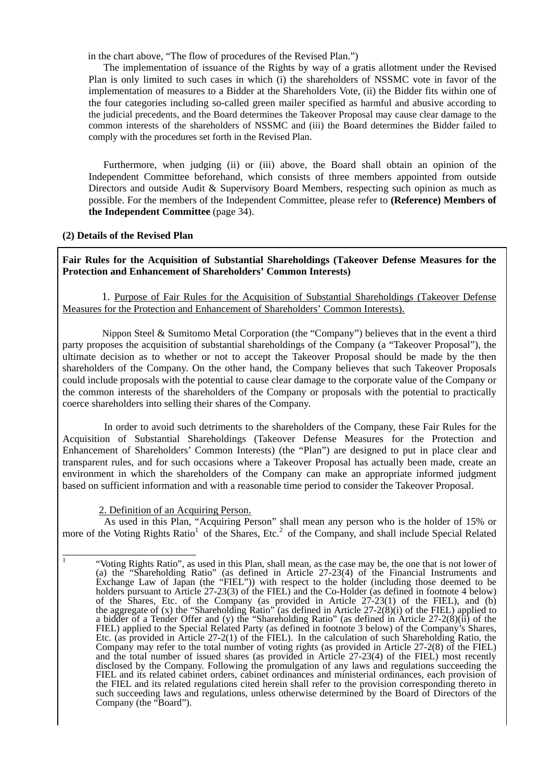in the chart above, "The flow of procedures of the Revised Plan.")

The implementation of issuance of the Rights by way of a gratis allotment under the Revised Plan is only limited to such cases in which (i) the shareholders of NSSMC vote in favor of the implementation of measures to a Bidder at the Shareholders Vote, (ii) the Bidder fits within one of the four categories including so-called green mailer specified as harmful and abusive according to the judicial precedents, and the Board determines the Takeover Proposal may cause clear damage to the common interests of the shareholders of NSSMC and (iii) the Board determines the Bidder failed to comply with the procedures set forth in the Revised Plan.

Furthermore, when judging (ii) or (iii) above, the Board shall obtain an opinion of the Independent Committee beforehand, which consists of three members appointed from outside Directors and outside Audit & Supervisory Board Members, respecting such opinion as much as possible. For the members of the Independent Committee, please refer to **(Reference) Members of the Independent Committee** (page 34).

#### **(2) Details of the Revised Plan**

**Fair Rules for the Acquisition of Substantial Shareholdings (Takeover Defense Measures for the Protection and Enhancement of Shareholders' Common Interests)** 

1. Purpose of Fair Rules for the Acquisition of Substantial Shareholdings (Takeover Defense Measures for the Protection and Enhancement of Shareholders' Common Interests).

Nippon Steel & Sumitomo Metal Corporation (the "Company") believes that in the event a third party proposes the acquisition of substantial shareholdings of the Company (a "Takeover Proposal"), the ultimate decision as to whether or not to accept the Takeover Proposal should be made by the then shareholders of the Company. On the other hand, the Company believes that such Takeover Proposals could include proposals with the potential to cause clear damage to the corporate value of the Company or the common interests of the shareholders of the Company or proposals with the potential to practically coerce shareholders into selling their shares of the Company.

In order to avoid such detriments to the shareholders of the Company, these Fair Rules for the Acquisition of Substantial Shareholdings (Takeover Defense Measures for the Protection and Enhancement of Shareholders' Common Interests) (the "Plan") are designed to put in place clear and transparent rules, and for such occasions where a Takeover Proposal has actually been made, create an environment in which the shareholders of the Company can make an appropriate informed judgment based on sufficient information and with a reasonable time period to consider the Takeover Proposal.

#### 2. Definition of an Acquiring Person.

As used in this Plan, "Acquiring Person" shall mean any person who is the holder of 15% or more of the Voting Rights Ratio<sup>1</sup> of the Shares, Etc.<sup>2</sup> of the Company, and shall include Special Related

<sup>|&</sup>lt;br>|<br>| "Voting Rights Ratio", as used in this Plan, shall mean, as the case may be, the one that is not lower of (a) the "Shareholding Ratio" (as defined in Article 27-23(4) of the Financial Instruments and Exchange Law of Japan (the "FIEL")) with respect to the holder (including those deemed to be holders pursuant to Article 27-23(3) of the FIEL) and the Co-Holder (as defined in footnote 4 below) of the Shares, Etc. of the Company (as provided in Article 27-23(1) of the FIEL), and (b) the aggregate of  $(x)$  the "Shareholding Ratio" (as defined in Article 27-2(8)(i) of the FIEL) applied to a bidder of a Tender Offer and (y) the "Shareholding Ratio" (as defined in Article 27-2(8)(ii) of the FIEL) applied to the Special Related Party (as defined in footnote 3 below) of the Company's Shares, Etc. (as provided in Article 27-2(1) of the FIEL). In the calculation of such Shareholding Ratio, the Company may refer to the total number of voting rights (as provided in Article 27-2(8) of the FIEL) and the total number of issued shares (as provided in Article 27-23(4) of the FIEL) most recently disclosed by the Company. Following the promulgation of any laws and regulations succeeding the FIEL and its related cabinet orders, cabinet ordinances and ministerial ordinances, each provision of the FIEL and its related regulations cited herein shall refer to the provision corresponding thereto in such succeeding laws and regulations, unless otherwise determined by the Board of Directors of the Company (the "Board").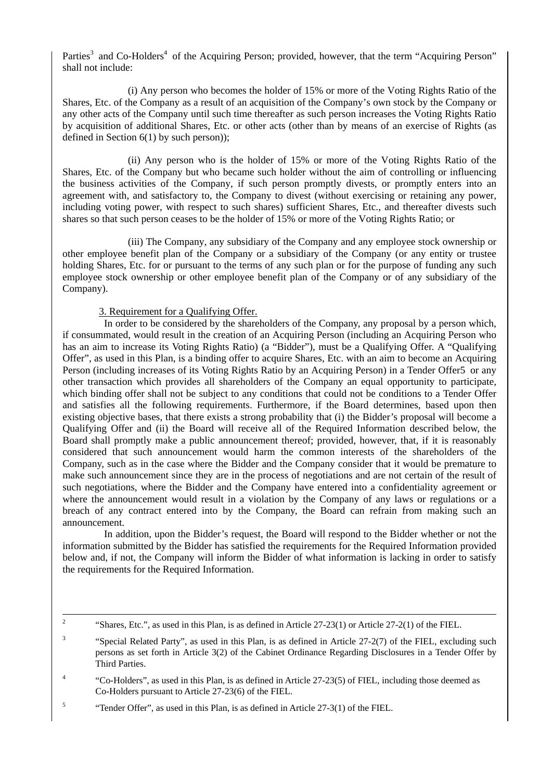Parties<sup>3</sup> and Co-Holders<sup>4</sup> of the Acquiring Person; provided, however, that the term "Acquiring Person" shall not include:

(i) Any person who becomes the holder of 15% or more of the Voting Rights Ratio of the Shares, Etc. of the Company as a result of an acquisition of the Company's own stock by the Company or any other acts of the Company until such time thereafter as such person increases the Voting Rights Ratio by acquisition of additional Shares, Etc. or other acts (other than by means of an exercise of Rights (as defined in Section 6(1) by such person));

(ii) Any person who is the holder of 15% or more of the Voting Rights Ratio of the Shares, Etc. of the Company but who became such holder without the aim of controlling or influencing the business activities of the Company, if such person promptly divests, or promptly enters into an agreement with, and satisfactory to, the Company to divest (without exercising or retaining any power, including voting power, with respect to such shares) sufficient Shares, Etc., and thereafter divests such shares so that such person ceases to be the holder of 15% or more of the Voting Rights Ratio; or

(iii) The Company, any subsidiary of the Company and any employee stock ownership or other employee benefit plan of the Company or a subsidiary of the Company (or any entity or trustee holding Shares, Etc. for or pursuant to the terms of any such plan or for the purpose of funding any such employee stock ownership or other employee benefit plan of the Company or of any subsidiary of the Company).

### 3. Requirement for a Qualifying Offer.

In order to be considered by the shareholders of the Company, any proposal by a person which, if consummated, would result in the creation of an Acquiring Person (including an Acquiring Person who has an aim to increase its Voting Rights Ratio) (a "Bidder"), must be a Qualifying Offer. A "Qualifying Offer", as used in this Plan, is a binding offer to acquire Shares, Etc. with an aim to become an Acquiring Person (including increases of its Voting Rights Ratio by an Acquiring Person) in a Tender Offer5 or any other transaction which provides all shareholders of the Company an equal opportunity to participate, which binding offer shall not be subject to any conditions that could not be conditions to a Tender Offer and satisfies all the following requirements. Furthermore, if the Board determines, based upon then existing objective bases, that there exists a strong probability that (i) the Bidder's proposal will become a Qualifying Offer and (ii) the Board will receive all of the Required Information described below, the Board shall promptly make a public announcement thereof; provided, however, that, if it is reasonably considered that such announcement would harm the common interests of the shareholders of the Company, such as in the case where the Bidder and the Company consider that it would be premature to make such announcement since they are in the process of negotiations and are not certain of the result of such negotiations, where the Bidder and the Company have entered into a confidentiality agreement or where the announcement would result in a violation by the Company of any laws or regulations or a breach of any contract entered into by the Company, the Board can refrain from making such an announcement.

In addition, upon the Bidder's request, the Board will respond to the Bidder whether or not the information submitted by the Bidder has satisfied the requirements for the Required Information provided below and, if not, the Company will inform the Bidder of what information is lacking in order to satisfy the requirements for the Required Information.

4 "Co-Holders", as used in this Plan, is as defined in Article 27-23(5) of FIEL, including those deemed as Co-Holders pursuant to Article 27-23(6) of the FIEL.

5 "Tender Offer", as used in this Plan, is as defined in Article 27-3(1) of the FIEL.

 $\frac{1}{2}$ <sup>2</sup> "Shares, Etc.", as used in this Plan, is as defined in Article 27-23(1) or Article 27-2(1) of the FIEL.

<sup>3</sup> "Special Related Party", as used in this Plan, is as defined in Article 27-2(7) of the FIEL, excluding such persons as set forth in Article 3(2) of the Cabinet Ordinance Regarding Disclosures in a Tender Offer by Third Parties.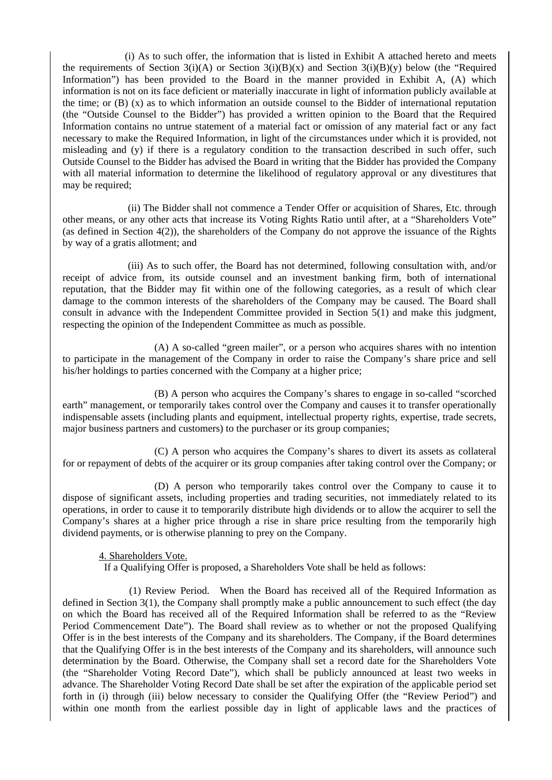(i) As to such offer, the information that is listed in Exhibit A attached hereto and meets the requirements of Section 3(i)(A) or Section 3(i)(B)(x) and Section 3(i)(B)(y) below (the "Required Information") has been provided to the Board in the manner provided in Exhibit A, (A) which information is not on its face deficient or materially inaccurate in light of information publicly available at the time; or (B) (x) as to which information an outside counsel to the Bidder of international reputation (the "Outside Counsel to the Bidder") has provided a written opinion to the Board that the Required Information contains no untrue statement of a material fact or omission of any material fact or any fact necessary to make the Required Information, in light of the circumstances under which it is provided, not misleading and (y) if there is a regulatory condition to the transaction described in such offer, such Outside Counsel to the Bidder has advised the Board in writing that the Bidder has provided the Company with all material information to determine the likelihood of regulatory approval or any divestitures that may be required;

(ii) The Bidder shall not commence a Tender Offer or acquisition of Shares, Etc. through other means, or any other acts that increase its Voting Rights Ratio until after, at a "Shareholders Vote" (as defined in Section  $4(2)$ ), the shareholders of the Company do not approve the issuance of the Rights by way of a gratis allotment; and

(iii) As to such offer, the Board has not determined, following consultation with, and/or receipt of advice from, its outside counsel and an investment banking firm, both of international reputation, that the Bidder may fit within one of the following categories, as a result of which clear damage to the common interests of the shareholders of the Company may be caused. The Board shall consult in advance with the Independent Committee provided in Section 5(1) and make this judgment, respecting the opinion of the Independent Committee as much as possible.

(A) A so-called "green mailer", or a person who acquires shares with no intention to participate in the management of the Company in order to raise the Company's share price and sell his/her holdings to parties concerned with the Company at a higher price;

(B) A person who acquires the Company's shares to engage in so-called "scorched earth" management, or temporarily takes control over the Company and causes it to transfer operationally indispensable assets (including plants and equipment, intellectual property rights, expertise, trade secrets, major business partners and customers) to the purchaser or its group companies;

(C) A person who acquires the Company's shares to divert its assets as collateral for or repayment of debts of the acquirer or its group companies after taking control over the Company; or

(D) A person who temporarily takes control over the Company to cause it to dispose of significant assets, including properties and trading securities, not immediately related to its operations, in order to cause it to temporarily distribute high dividends or to allow the acquirer to sell the Company's shares at a higher price through a rise in share price resulting from the temporarily high dividend payments, or is otherwise planning to prey on the Company.

### 4. Shareholders Vote.

If a Qualifying Offer is proposed, a Shareholders Vote shall be held as follows:

(1) Review Period. When the Board has received all of the Required Information as defined in Section 3(1), the Company shall promptly make a public announcement to such effect (the day on which the Board has received all of the Required Information shall be referred to as the "Review Period Commencement Date"). The Board shall review as to whether or not the proposed Qualifying Offer is in the best interests of the Company and its shareholders. The Company, if the Board determines that the Qualifying Offer is in the best interests of the Company and its shareholders, will announce such determination by the Board. Otherwise, the Company shall set a record date for the Shareholders Vote (the "Shareholder Voting Record Date"), which shall be publicly announced at least two weeks in advance. The Shareholder Voting Record Date shall be set after the expiration of the applicable period set forth in (i) through (iii) below necessary to consider the Qualifying Offer (the "Review Period") and within one month from the earliest possible day in light of applicable laws and the practices of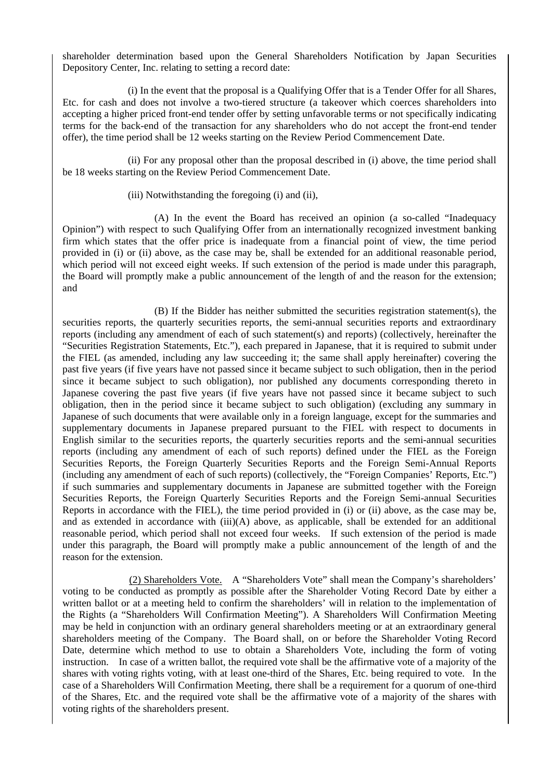shareholder determination based upon the General Shareholders Notification by Japan Securities Depository Center, Inc. relating to setting a record date:

(i) In the event that the proposal is a Qualifying Offer that is a Tender Offer for all Shares, Etc. for cash and does not involve a two-tiered structure (a takeover which coerces shareholders into accepting a higher priced front-end tender offer by setting unfavorable terms or not specifically indicating terms for the back-end of the transaction for any shareholders who do not accept the front-end tender offer), the time period shall be 12 weeks starting on the Review Period Commencement Date.

(ii) For any proposal other than the proposal described in (i) above, the time period shall be 18 weeks starting on the Review Period Commencement Date.

(iii) Notwithstanding the foregoing (i) and (ii),

(A) In the event the Board has received an opinion (a so-called "Inadequacy Opinion") with respect to such Qualifying Offer from an internationally recognized investment banking firm which states that the offer price is inadequate from a financial point of view, the time period provided in (i) or (ii) above, as the case may be, shall be extended for an additional reasonable period, which period will not exceed eight weeks. If such extension of the period is made under this paragraph, the Board will promptly make a public announcement of the length of and the reason for the extension; and

(B) If the Bidder has neither submitted the securities registration statement(s), the securities reports, the quarterly securities reports, the semi-annual securities reports and extraordinary reports (including any amendment of each of such statement(s) and reports) (collectively, hereinafter the "Securities Registration Statements, Etc."), each prepared in Japanese, that it is required to submit under the FIEL (as amended, including any law succeeding it; the same shall apply hereinafter) covering the past five years (if five years have not passed since it became subject to such obligation, then in the period since it became subject to such obligation), nor published any documents corresponding thereto in Japanese covering the past five years (if five years have not passed since it became subject to such obligation, then in the period since it became subject to such obligation) (excluding any summary in Japanese of such documents that were available only in a foreign language, except for the summaries and supplementary documents in Japanese prepared pursuant to the FIEL with respect to documents in English similar to the securities reports, the quarterly securities reports and the semi-annual securities reports (including any amendment of each of such reports) defined under the FIEL as the Foreign Securities Reports, the Foreign Quarterly Securities Reports and the Foreign Semi-Annual Reports (including any amendment of each of such reports) (collectively, the "Foreign Companies' Reports, Etc.") if such summaries and supplementary documents in Japanese are submitted together with the Foreign Securities Reports, the Foreign Quarterly Securities Reports and the Foreign Semi-annual Securities Reports in accordance with the FIEL), the time period provided in (i) or (ii) above, as the case may be, and as extended in accordance with (iii)(A) above, as applicable, shall be extended for an additional reasonable period, which period shall not exceed four weeks. If such extension of the period is made under this paragraph, the Board will promptly make a public announcement of the length of and the reason for the extension.

(2) Shareholders Vote. A "Shareholders Vote" shall mean the Company's shareholders' voting to be conducted as promptly as possible after the Shareholder Voting Record Date by either a written ballot or at a meeting held to confirm the shareholders' will in relation to the implementation of the Rights (a "Shareholders Will Confirmation Meeting"). A Shareholders Will Confirmation Meeting may be held in conjunction with an ordinary general shareholders meeting or at an extraordinary general shareholders meeting of the Company. The Board shall, on or before the Shareholder Voting Record Date, determine which method to use to obtain a Shareholders Vote, including the form of voting instruction. In case of a written ballot, the required vote shall be the affirmative vote of a majority of the shares with voting rights voting, with at least one-third of the Shares, Etc. being required to vote. In the case of a Shareholders Will Confirmation Meeting, there shall be a requirement for a quorum of one-third of the Shares, Etc. and the required vote shall be the affirmative vote of a majority of the shares with voting rights of the shareholders present.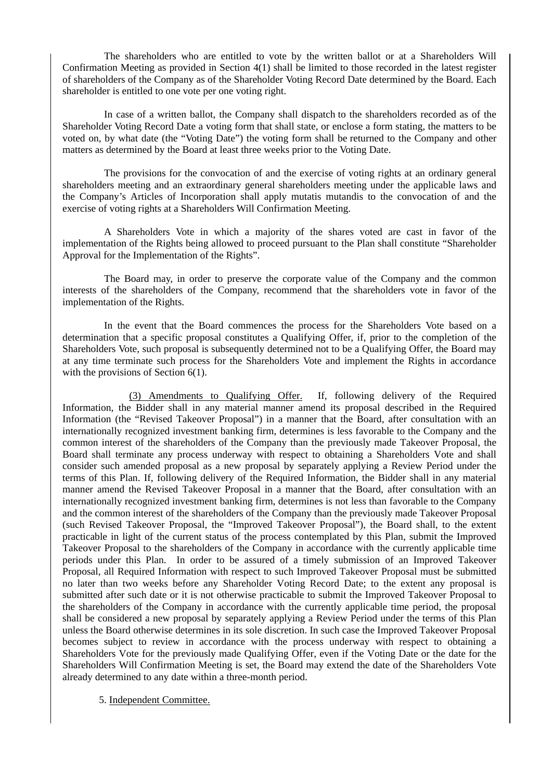The shareholders who are entitled to vote by the written ballot or at a Shareholders Will Confirmation Meeting as provided in Section 4(1) shall be limited to those recorded in the latest register of shareholders of the Company as of the Shareholder Voting Record Date determined by the Board. Each shareholder is entitled to one vote per one voting right.

In case of a written ballot, the Company shall dispatch to the shareholders recorded as of the Shareholder Voting Record Date a voting form that shall state, or enclose a form stating, the matters to be voted on, by what date (the "Voting Date") the voting form shall be returned to the Company and other matters as determined by the Board at least three weeks prior to the Voting Date.

The provisions for the convocation of and the exercise of voting rights at an ordinary general shareholders meeting and an extraordinary general shareholders meeting under the applicable laws and the Company's Articles of Incorporation shall apply mutatis mutandis to the convocation of and the exercise of voting rights at a Shareholders Will Confirmation Meeting.

A Shareholders Vote in which a majority of the shares voted are cast in favor of the implementation of the Rights being allowed to proceed pursuant to the Plan shall constitute "Shareholder Approval for the Implementation of the Rights".

The Board may, in order to preserve the corporate value of the Company and the common interests of the shareholders of the Company, recommend that the shareholders vote in favor of the implementation of the Rights.

In the event that the Board commences the process for the Shareholders Vote based on a determination that a specific proposal constitutes a Qualifying Offer, if, prior to the completion of the Shareholders Vote, such proposal is subsequently determined not to be a Qualifying Offer, the Board may at any time terminate such process for the Shareholders Vote and implement the Rights in accordance with the provisions of Section 6(1).

(3) Amendments to Qualifying Offer. If, following delivery of the Required Information, the Bidder shall in any material manner amend its proposal described in the Required Information (the "Revised Takeover Proposal") in a manner that the Board, after consultation with an internationally recognized investment banking firm, determines is less favorable to the Company and the common interest of the shareholders of the Company than the previously made Takeover Proposal, the Board shall terminate any process underway with respect to obtaining a Shareholders Vote and shall consider such amended proposal as a new proposal by separately applying a Review Period under the terms of this Plan. If, following delivery of the Required Information, the Bidder shall in any material manner amend the Revised Takeover Proposal in a manner that the Board, after consultation with an internationally recognized investment banking firm, determines is not less than favorable to the Company and the common interest of the shareholders of the Company than the previously made Takeover Proposal (such Revised Takeover Proposal, the "Improved Takeover Proposal"), the Board shall, to the extent practicable in light of the current status of the process contemplated by this Plan, submit the Improved Takeover Proposal to the shareholders of the Company in accordance with the currently applicable time periods under this Plan. In order to be assured of a timely submission of an Improved Takeover Proposal, all Required Information with respect to such Improved Takeover Proposal must be submitted no later than two weeks before any Shareholder Voting Record Date; to the extent any proposal is submitted after such date or it is not otherwise practicable to submit the Improved Takeover Proposal to the shareholders of the Company in accordance with the currently applicable time period, the proposal shall be considered a new proposal by separately applying a Review Period under the terms of this Plan unless the Board otherwise determines in its sole discretion. In such case the Improved Takeover Proposal becomes subject to review in accordance with the process underway with respect to obtaining a Shareholders Vote for the previously made Qualifying Offer, even if the Voting Date or the date for the Shareholders Will Confirmation Meeting is set, the Board may extend the date of the Shareholders Vote already determined to any date within a three-month period.

5. Independent Committee.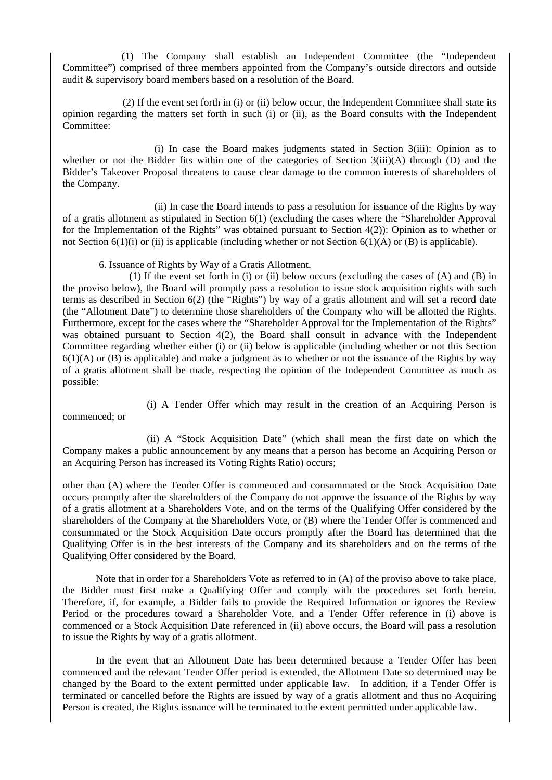(1) The Company shall establish an Independent Committee (the "Independent Committee") comprised of three members appointed from the Company's outside directors and outside audit & supervisory board members based on a resolution of the Board.

(2) If the event set forth in (i) or (ii) below occur, the Independent Committee shall state its opinion regarding the matters set forth in such (i) or (ii), as the Board consults with the Independent Committee:

(i) In case the Board makes judgments stated in Section 3(iii): Opinion as to whether or not the Bidder fits within one of the categories of Section  $3(iii)(A)$  through (D) and the Bidder's Takeover Proposal threatens to cause clear damage to the common interests of shareholders of the Company.

(ii) In case the Board intends to pass a resolution for issuance of the Rights by way of a gratis allotment as stipulated in Section 6(1) (excluding the cases where the "Shareholder Approval for the Implementation of the Rights" was obtained pursuant to Section 4(2)): Opinion as to whether or not Section  $6(1)(i)$  or (ii) is applicable (including whether or not Section  $6(1)(A)$  or (B) is applicable).

6. Issuance of Rights by Way of a Gratis Allotment.

(1) If the event set forth in (i) or (ii) below occurs (excluding the cases of (A) and (B) in the proviso below), the Board will promptly pass a resolution to issue stock acquisition rights with such terms as described in Section 6(2) (the "Rights") by way of a gratis allotment and will set a record date (the "Allotment Date") to determine those shareholders of the Company who will be allotted the Rights. Furthermore, except for the cases where the "Shareholder Approval for the Implementation of the Rights" was obtained pursuant to Section 4(2), the Board shall consult in advance with the Independent Committee regarding whether either (i) or (ii) below is applicable (including whether or not this Section  $6(1)(A)$  or (B) is applicable) and make a judgment as to whether or not the issuance of the Rights by way of a gratis allotment shall be made, respecting the opinion of the Independent Committee as much as possible:

commenced; or

(i) A Tender Offer which may result in the creation of an Acquiring Person is

(ii) A "Stock Acquisition Date" (which shall mean the first date on which the Company makes a public announcement by any means that a person has become an Acquiring Person or an Acquiring Person has increased its Voting Rights Ratio) occurs;

other than (A) where the Tender Offer is commenced and consummated or the Stock Acquisition Date occurs promptly after the shareholders of the Company do not approve the issuance of the Rights by way of a gratis allotment at a Shareholders Vote, and on the terms of the Qualifying Offer considered by the shareholders of the Company at the Shareholders Vote, or (B) where the Tender Offer is commenced and consummated or the Stock Acquisition Date occurs promptly after the Board has determined that the Qualifying Offer is in the best interests of the Company and its shareholders and on the terms of the Qualifying Offer considered by the Board.

Note that in order for a Shareholders Vote as referred to in (A) of the proviso above to take place, the Bidder must first make a Qualifying Offer and comply with the procedures set forth herein. Therefore, if, for example, a Bidder fails to provide the Required Information or ignores the Review Period or the procedures toward a Shareholder Vote, and a Tender Offer reference in (i) above is commenced or a Stock Acquisition Date referenced in (ii) above occurs, the Board will pass a resolution to issue the Rights by way of a gratis allotment.

In the event that an Allotment Date has been determined because a Tender Offer has been commenced and the relevant Tender Offer period is extended, the Allotment Date so determined may be changed by the Board to the extent permitted under applicable law. In addition, if a Tender Offer is terminated or cancelled before the Rights are issued by way of a gratis allotment and thus no Acquiring Person is created, the Rights issuance will be terminated to the extent permitted under applicable law.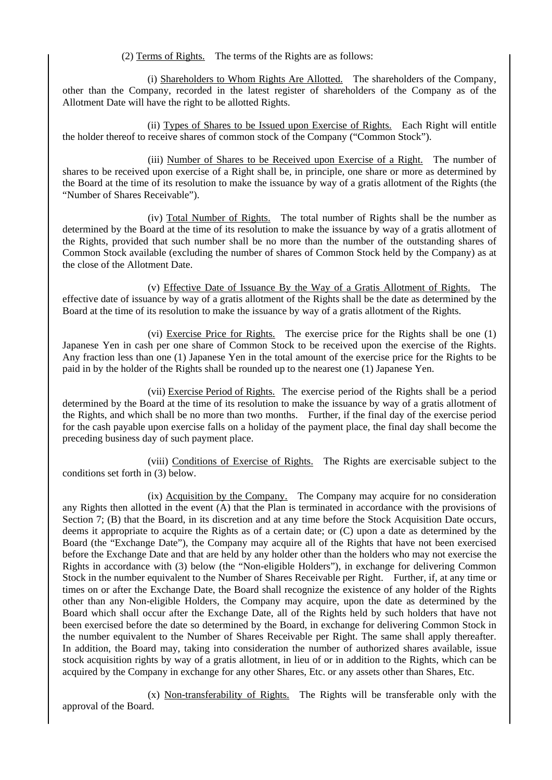(2) Terms of Rights. The terms of the Rights are as follows:

(i) Shareholders to Whom Rights Are Allotted. The shareholders of the Company, other than the Company, recorded in the latest register of shareholders of the Company as of the Allotment Date will have the right to be allotted Rights.

(ii) Types of Shares to be Issued upon Exercise of Rights. Each Right will entitle the holder thereof to receive shares of common stock of the Company ("Common Stock").

(iii) Number of Shares to be Received upon Exercise of a Right. The number of shares to be received upon exercise of a Right shall be, in principle, one share or more as determined by the Board at the time of its resolution to make the issuance by way of a gratis allotment of the Rights (the "Number of Shares Receivable").

(iv) Total Number of Rights. The total number of Rights shall be the number as determined by the Board at the time of its resolution to make the issuance by way of a gratis allotment of the Rights, provided that such number shall be no more than the number of the outstanding shares of Common Stock available (excluding the number of shares of Common Stock held by the Company) as at the close of the Allotment Date.

(v) Effective Date of Issuance By the Way of a Gratis Allotment of Rights. The effective date of issuance by way of a gratis allotment of the Rights shall be the date as determined by the Board at the time of its resolution to make the issuance by way of a gratis allotment of the Rights.

(vi) Exercise Price for Rights. The exercise price for the Rights shall be one (1) Japanese Yen in cash per one share of Common Stock to be received upon the exercise of the Rights. Any fraction less than one (1) Japanese Yen in the total amount of the exercise price for the Rights to be paid in by the holder of the Rights shall be rounded up to the nearest one (1) Japanese Yen.

(vii) Exercise Period of Rights. The exercise period of the Rights shall be a period determined by the Board at the time of its resolution to make the issuance by way of a gratis allotment of the Rights, and which shall be no more than two months. Further, if the final day of the exercise period for the cash payable upon exercise falls on a holiday of the payment place, the final day shall become the preceding business day of such payment place.

(viii) Conditions of Exercise of Rights. The Rights are exercisable subject to the conditions set forth in (3) below.

(ix) Acquisition by the Company. The Company may acquire for no consideration any Rights then allotted in the event (A) that the Plan is terminated in accordance with the provisions of Section 7; (B) that the Board, in its discretion and at any time before the Stock Acquisition Date occurs, deems it appropriate to acquire the Rights as of a certain date; or (C) upon a date as determined by the Board (the "Exchange Date"), the Company may acquire all of the Rights that have not been exercised before the Exchange Date and that are held by any holder other than the holders who may not exercise the Rights in accordance with (3) below (the "Non-eligible Holders"), in exchange for delivering Common Stock in the number equivalent to the Number of Shares Receivable per Right. Further, if, at any time or times on or after the Exchange Date, the Board shall recognize the existence of any holder of the Rights other than any Non-eligible Holders, the Company may acquire, upon the date as determined by the Board which shall occur after the Exchange Date, all of the Rights held by such holders that have not been exercised before the date so determined by the Board, in exchange for delivering Common Stock in the number equivalent to the Number of Shares Receivable per Right. The same shall apply thereafter. In addition, the Board may, taking into consideration the number of authorized shares available, issue stock acquisition rights by way of a gratis allotment, in lieu of or in addition to the Rights, which can be acquired by the Company in exchange for any other Shares, Etc. or any assets other than Shares, Etc.

(x) Non-transferability of Rights. The Rights will be transferable only with the approval of the Board.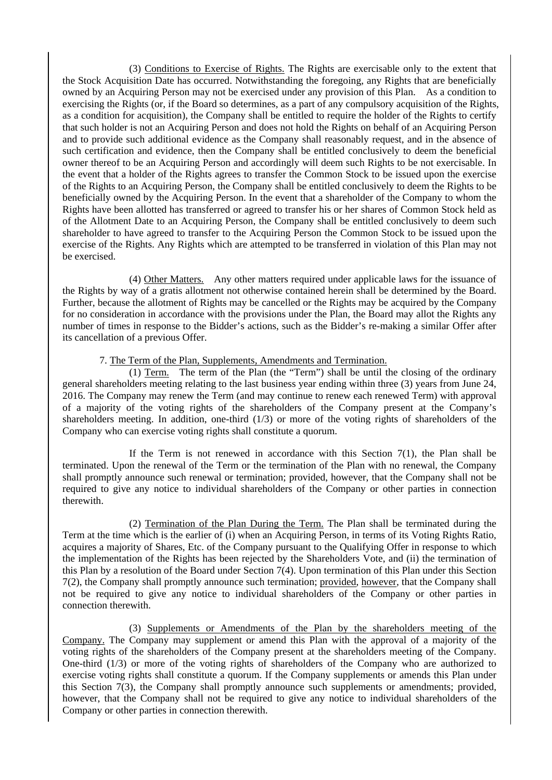(3) Conditions to Exercise of Rights. The Rights are exercisable only to the extent that the Stock Acquisition Date has occurred. Notwithstanding the foregoing, any Rights that are beneficially owned by an Acquiring Person may not be exercised under any provision of this Plan. As a condition to exercising the Rights (or, if the Board so determines, as a part of any compulsory acquisition of the Rights, as a condition for acquisition), the Company shall be entitled to require the holder of the Rights to certify that such holder is not an Acquiring Person and does not hold the Rights on behalf of an Acquiring Person and to provide such additional evidence as the Company shall reasonably request, and in the absence of such certification and evidence, then the Company shall be entitled conclusively to deem the beneficial owner thereof to be an Acquiring Person and accordingly will deem such Rights to be not exercisable. In the event that a holder of the Rights agrees to transfer the Common Stock to be issued upon the exercise of the Rights to an Acquiring Person, the Company shall be entitled conclusively to deem the Rights to be beneficially owned by the Acquiring Person. In the event that a shareholder of the Company to whom the Rights have been allotted has transferred or agreed to transfer his or her shares of Common Stock held as of the Allotment Date to an Acquiring Person, the Company shall be entitled conclusively to deem such shareholder to have agreed to transfer to the Acquiring Person the Common Stock to be issued upon the exercise of the Rights. Any Rights which are attempted to be transferred in violation of this Plan may not be exercised.

(4) Other Matters. Any other matters required under applicable laws for the issuance of the Rights by way of a gratis allotment not otherwise contained herein shall be determined by the Board. Further, because the allotment of Rights may be cancelled or the Rights may be acquired by the Company for no consideration in accordance with the provisions under the Plan, the Board may allot the Rights any number of times in response to the Bidder's actions, such as the Bidder's re-making a similar Offer after its cancellation of a previous Offer.

#### 7. The Term of the Plan, Supplements, Amendments and Termination.

(1) Term. The term of the Plan (the "Term") shall be until the closing of the ordinary general shareholders meeting relating to the last business year ending within three (3) years from June 24, 2016. The Company may renew the Term (and may continue to renew each renewed Term) with approval of a majority of the voting rights of the shareholders of the Company present at the Company's shareholders meeting. In addition, one-third (1/3) or more of the voting rights of shareholders of the Company who can exercise voting rights shall constitute a quorum.

If the Term is not renewed in accordance with this Section  $7(1)$ , the Plan shall be terminated. Upon the renewal of the Term or the termination of the Plan with no renewal, the Company shall promptly announce such renewal or termination; provided, however, that the Company shall not be required to give any notice to individual shareholders of the Company or other parties in connection therewith.

(2) Termination of the Plan During the Term. The Plan shall be terminated during the Term at the time which is the earlier of (i) when an Acquiring Person, in terms of its Voting Rights Ratio, acquires a majority of Shares, Etc. of the Company pursuant to the Qualifying Offer in response to which the implementation of the Rights has been rejected by the Shareholders Vote, and (ii) the termination of this Plan by a resolution of the Board under Section 7(4). Upon termination of this Plan under this Section 7(2), the Company shall promptly announce such termination; provided, however, that the Company shall not be required to give any notice to individual shareholders of the Company or other parties in connection therewith.

(3) Supplements or Amendments of the Plan by the shareholders meeting of the Company. The Company may supplement or amend this Plan with the approval of a majority of the voting rights of the shareholders of the Company present at the shareholders meeting of the Company. One-third (1/3) or more of the voting rights of shareholders of the Company who are authorized to exercise voting rights shall constitute a quorum. If the Company supplements or amends this Plan under this Section 7(3), the Company shall promptly announce such supplements or amendments; provided, however, that the Company shall not be required to give any notice to individual shareholders of the Company or other parties in connection therewith.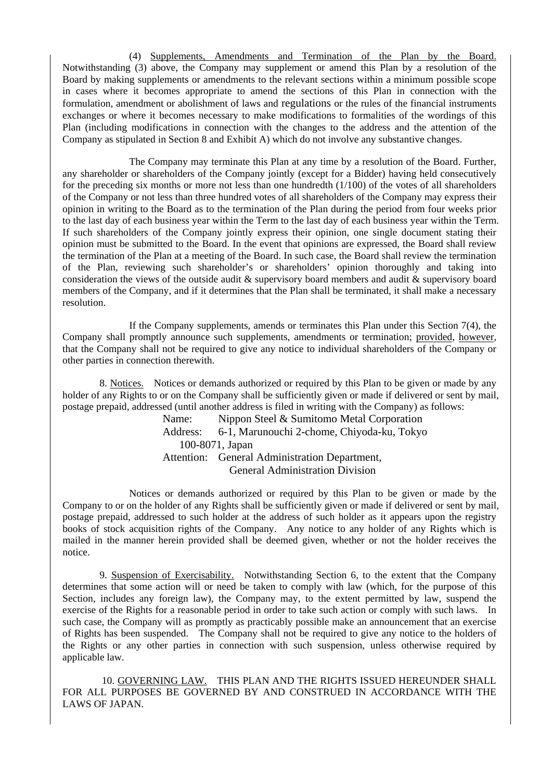(4) Supplements, Amendments and Termination of the Plan by the Board. Notwithstanding (3) above, the Company may supplement or amend this Plan by a resolution of the Board by making supplements or amendments to the relevant sections within a minimum possible scope in cases where it becomes appropriate to amend the sections of this Plan in connection with the formulation, amendment or abolishment of laws and regulations or the rules of the financial instruments exchanges or where it becomes necessary to make modifications to formalities of the wordings of this Plan (including modifications in connection with the changes to the address and the attention of the Company as stipulated in Section 8 and Exhibit A) which do not involve any substantive changes.

The Company may terminate this Plan at any time by a resolution of the Board. Further, any shareholder or shareholders of the Company jointly (except for a Bidder) having held consecutively for the preceding six months or more not less than one hundredth (1/100) of the votes of all shareholders of the Company or not less than three hundred votes of all shareholders of the Company may express their opinion in writing to the Board as to the termination of the Plan during the period from four weeks prior to the last day of each business year within the Term to the last day of each business year within the Term. If such shareholders of the Company jointly express their opinion, one single document stating their opinion must be submitted to the Board. In the event that opinions are expressed, the Board shall review the termination of the Plan at a meeting of the Board. In such case, the Board shall review the termination of the Plan, reviewing such shareholder's or shareholders' opinion thoroughly and taking into consideration the views of the outside audit & supervisory board members and audit & supervisory board members of the Company, and if it determines that the Plan shall be terminated, it shall make a necessary resolution.

If the Company supplements, amends or terminates this Plan under this Section  $7(4)$ , the Company shall promptly announce such supplements, amendments or termination; provided, however, that the Company shall not be required to give any notice to individual shareholders of the Company or other parties in connection therewith.

8. Notices. Notices or demands authorized or required by this Plan to be given or made by any holder of any Rights to or on the Company shall be sufficiently given or made if delivered or sent by mail, postage prepaid, addressed (until another address is filed in writing with the Company) as follows:

Name: Nippon Steel & Sumitomo Metal Corporation Address: 6-1, Marunouchi 2-chome, Chiyoda-ku, Tokyo 100-8071, Japan Attention: General Administration Department, General Administration Division

Notices or demands authorized or required by this Plan to be given or made by the Company to or on the holder of any Rights shall be sufficiently given or made if delivered or sent by mail, postage prepaid, addressed to such holder at the address of such holder as it appears upon the registry books of stock acquisition rights of the Company. Any notice to any holder of any Rights which is mailed in the manner herein provided shall be deemed given, whether or not the holder receives the notice.

9. Suspension of Exercisability. Notwithstanding Section 6, to the extent that the Company determines that some action will or need be taken to comply with law (which, for the purpose of this Section, includes any foreign law), the Company may, to the extent permitted by law, suspend the exercise of the Rights for a reasonable period in order to take such action or comply with such laws. In such case, the Company will as promptly as practicably possible make an announcement that an exercise of Rights has been suspended. The Company shall not be required to give any notice to the holders of the Rights or any other parties in connection with such suspension, unless otherwise required by applicable law.

10. GOVERNING LAW. THIS PLAN AND THE RIGHTS ISSUED HEREUNDER SHALL FOR ALL PURPOSES BE GOVERNED BY AND CONSTRUED IN ACCORDANCE WITH THE LAWS OF JAPAN.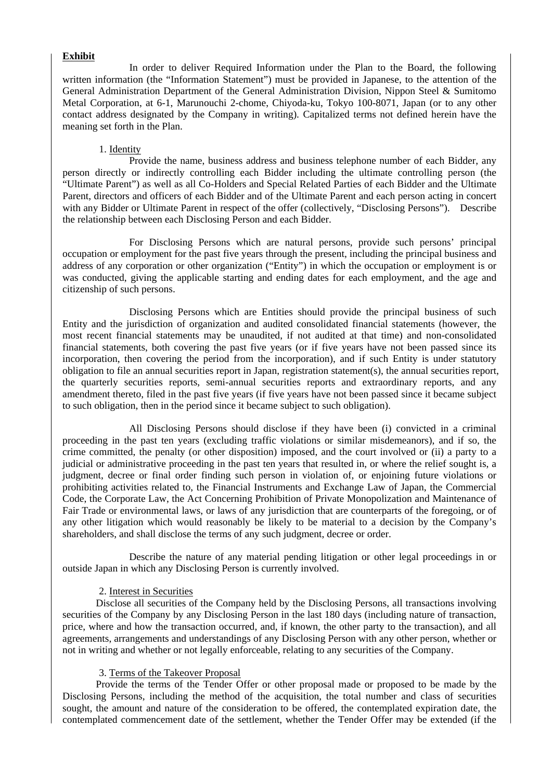### **Exhibit**

In order to deliver Required Information under the Plan to the Board, the following written information (the "Information Statement") must be provided in Japanese, to the attention of the General Administration Department of the General Administration Division, Nippon Steel & Sumitomo Metal Corporation, at 6-1, Marunouchi 2-chome, Chiyoda-ku, Tokyo 100-8071, Japan (or to any other contact address designated by the Company in writing). Capitalized terms not defined herein have the meaning set forth in the Plan.

### 1. Identity

Provide the name, business address and business telephone number of each Bidder, any person directly or indirectly controlling each Bidder including the ultimate controlling person (the "Ultimate Parent") as well as all Co-Holders and Special Related Parties of each Bidder and the Ultimate Parent, directors and officers of each Bidder and of the Ultimate Parent and each person acting in concert with any Bidder or Ultimate Parent in respect of the offer (collectively, "Disclosing Persons"). Describe the relationship between each Disclosing Person and each Bidder.

For Disclosing Persons which are natural persons, provide such persons' principal occupation or employment for the past five years through the present, including the principal business and address of any corporation or other organization ("Entity") in which the occupation or employment is or was conducted, giving the applicable starting and ending dates for each employment, and the age and citizenship of such persons.

Disclosing Persons which are Entities should provide the principal business of such Entity and the jurisdiction of organization and audited consolidated financial statements (however, the most recent financial statements may be unaudited, if not audited at that time) and non-consolidated financial statements, both covering the past five years (or if five years have not been passed since its incorporation, then covering the period from the incorporation), and if such Entity is under statutory obligation to file an annual securities report in Japan, registration statement(s), the annual securities report, the quarterly securities reports, semi-annual securities reports and extraordinary reports, and any amendment thereto, filed in the past five years (if five years have not been passed since it became subject to such obligation, then in the period since it became subject to such obligation).

All Disclosing Persons should disclose if they have been (i) convicted in a criminal proceeding in the past ten years (excluding traffic violations or similar misdemeanors), and if so, the crime committed, the penalty (or other disposition) imposed, and the court involved or (ii) a party to a judicial or administrative proceeding in the past ten years that resulted in, or where the relief sought is, a judgment, decree or final order finding such person in violation of, or enjoining future violations or prohibiting activities related to, the Financial Instruments and Exchange Law of Japan, the Commercial Code, the Corporate Law, the Act Concerning Prohibition of Private Monopolization and Maintenance of Fair Trade or environmental laws, or laws of any jurisdiction that are counterparts of the foregoing, or of any other litigation which would reasonably be likely to be material to a decision by the Company's shareholders, and shall disclose the terms of any such judgment, decree or order.

Describe the nature of any material pending litigation or other legal proceedings in or outside Japan in which any Disclosing Person is currently involved.

### 2. Interest in Securities

Disclose all securities of the Company held by the Disclosing Persons, all transactions involving securities of the Company by any Disclosing Person in the last 180 days (including nature of transaction, price, where and how the transaction occurred, and, if known, the other party to the transaction), and all agreements, arrangements and understandings of any Disclosing Person with any other person, whether or not in writing and whether or not legally enforceable, relating to any securities of the Company.

#### 3. Terms of the Takeover Proposal

Provide the terms of the Tender Offer or other proposal made or proposed to be made by the Disclosing Persons, including the method of the acquisition, the total number and class of securities sought, the amount and nature of the consideration to be offered, the contemplated expiration date, the contemplated commencement date of the settlement, whether the Tender Offer may be extended (if the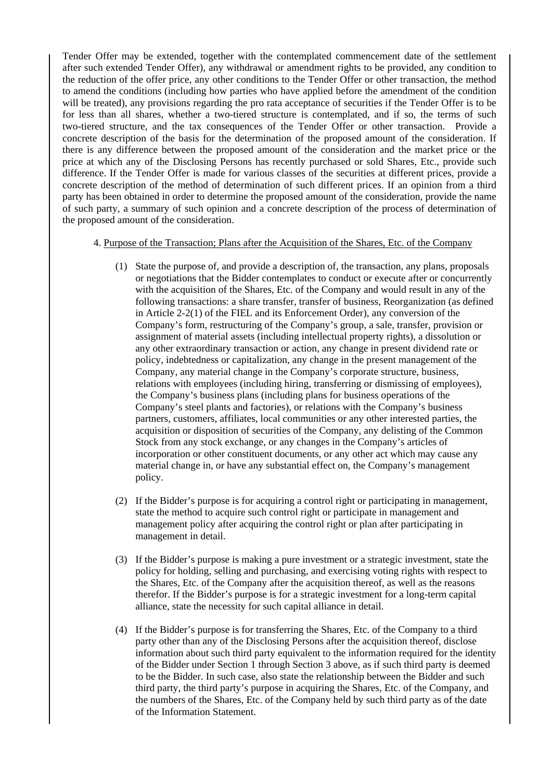Tender Offer may be extended, together with the contemplated commencement date of the settlement after such extended Tender Offer), any withdrawal or amendment rights to be provided, any condition to the reduction of the offer price, any other conditions to the Tender Offer or other transaction, the method to amend the conditions (including how parties who have applied before the amendment of the condition will be treated), any provisions regarding the pro rata acceptance of securities if the Tender Offer is to be for less than all shares, whether a two-tiered structure is contemplated, and if so, the terms of such two-tiered structure, and the tax consequences of the Tender Offer or other transaction. Provide a concrete description of the basis for the determination of the proposed amount of the consideration. If there is any difference between the proposed amount of the consideration and the market price or the price at which any of the Disclosing Persons has recently purchased or sold Shares, Etc., provide such difference. If the Tender Offer is made for various classes of the securities at different prices, provide a concrete description of the method of determination of such different prices. If an opinion from a third party has been obtained in order to determine the proposed amount of the consideration, provide the name of such party, a summary of such opinion and a concrete description of the process of determination of the proposed amount of the consideration.

### 4. Purpose of the Transaction; Plans after the Acquisition of the Shares, Etc. of the Company

- (1) State the purpose of, and provide a description of, the transaction, any plans, proposals or negotiations that the Bidder contemplates to conduct or execute after or concurrently with the acquisition of the Shares, Etc. of the Company and would result in any of the following transactions: a share transfer, transfer of business, Reorganization (as defined in Article 2-2(1) of the FIEL and its Enforcement Order), any conversion of the Company's form, restructuring of the Company's group, a sale, transfer, provision or assignment of material assets (including intellectual property rights), a dissolution or any other extraordinary transaction or action, any change in present dividend rate or policy, indebtedness or capitalization, any change in the present management of the Company, any material change in the Company's corporate structure, business, relations with employees (including hiring, transferring or dismissing of employees), the Company's business plans (including plans for business operations of the Company's steel plants and factories), or relations with the Company's business partners, customers, affiliates, local communities or any other interested parties, the acquisition or disposition of securities of the Company, any delisting of the Common Stock from any stock exchange, or any changes in the Company's articles of incorporation or other constituent documents, or any other act which may cause any material change in, or have any substantial effect on, the Company's management policy.
- (2) If the Bidder's purpose is for acquiring a control right or participating in management, state the method to acquire such control right or participate in management and management policy after acquiring the control right or plan after participating in management in detail.
- (3) If the Bidder's purpose is making a pure investment or a strategic investment, state the policy for holding, selling and purchasing, and exercising voting rights with respect to the Shares, Etc. of the Company after the acquisition thereof, as well as the reasons therefor. If the Bidder's purpose is for a strategic investment for a long-term capital alliance, state the necessity for such capital alliance in detail.
- (4) If the Bidder's purpose is for transferring the Shares, Etc. of the Company to a third party other than any of the Disclosing Persons after the acquisition thereof, disclose information about such third party equivalent to the information required for the identity of the Bidder under Section 1 through Section 3 above, as if such third party is deemed to be the Bidder. In such case, also state the relationship between the Bidder and such third party, the third party's purpose in acquiring the Shares, Etc. of the Company, and the numbers of the Shares, Etc. of the Company held by such third party as of the date of the Information Statement.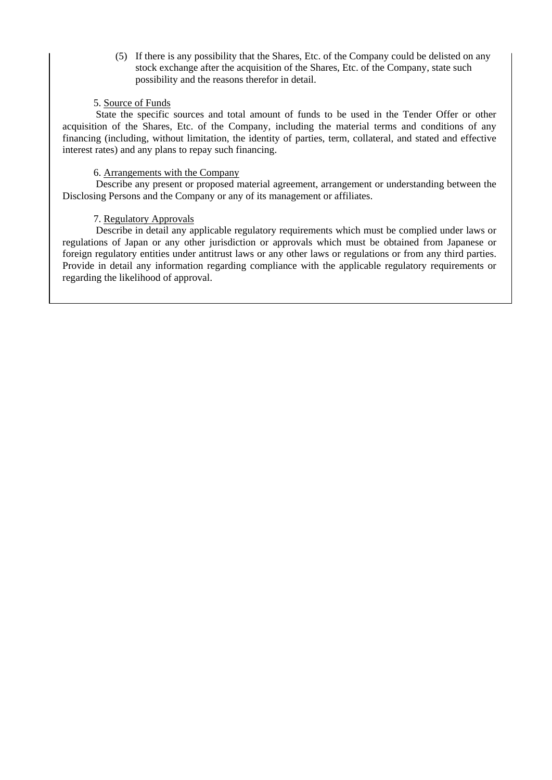(5) If there is any possibility that the Shares, Etc. of the Company could be delisted on any stock exchange after the acquisition of the Shares, Etc. of the Company, state such possibility and the reasons therefor in detail.

### 5. Source of Funds

State the specific sources and total amount of funds to be used in the Tender Offer or other acquisition of the Shares, Etc. of the Company, including the material terms and conditions of any financing (including, without limitation, the identity of parties, term, collateral, and stated and effective interest rates) and any plans to repay such financing.

### 6. Arrangements with the Company

Describe any present or proposed material agreement, arrangement or understanding between the Disclosing Persons and the Company or any of its management or affiliates.

### 7. Regulatory Approvals

Describe in detail any applicable regulatory requirements which must be complied under laws or regulations of Japan or any other jurisdiction or approvals which must be obtained from Japanese or foreign regulatory entities under antitrust laws or any other laws or regulations or from any third parties. Provide in detail any information regarding compliance with the applicable regulatory requirements or regarding the likelihood of approval.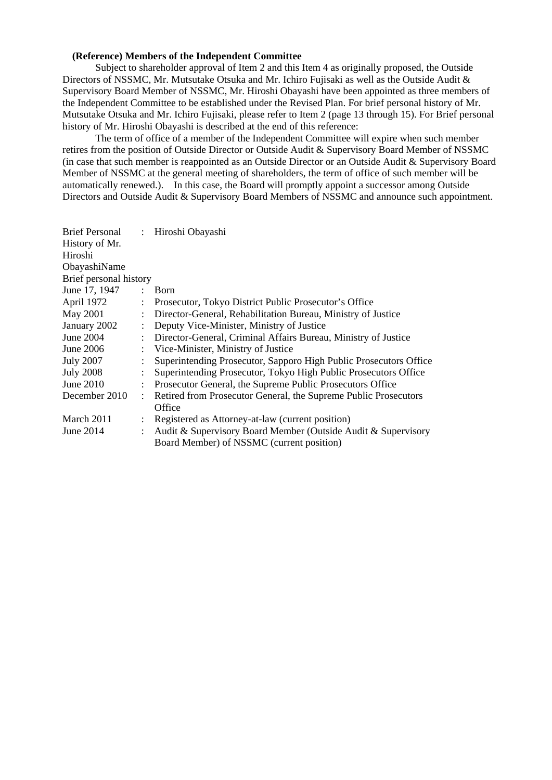# **(Reference) Members of the Independent Committee**

Subject to shareholder approval of Item 2 and this Item 4 as originally proposed, the Outside Directors of NSSMC, Mr. Mutsutake Otsuka and Mr. Ichiro Fujisaki as well as the Outside Audit & Supervisory Board Member of NSSMC, Mr. Hiroshi Obayashi have been appointed as three members of the Independent Committee to be established under the Revised Plan. For brief personal history of Mr. Mutsutake Otsuka and Mr. Ichiro Fujisaki, please refer to Item 2 (page 13 through 15). For Brief personal history of Mr. Hiroshi Obayashi is described at the end of this reference:

The term of office of a member of the Independent Committee will expire when such member retires from the position of Outside Director or Outside Audit & Supervisory Board Member of NSSMC (in case that such member is reappointed as an Outside Director or an Outside Audit & Supervisory Board Member of NSSMC at the general meeting of shareholders, the term of office of such member will be automatically renewed.). In this case, the Board will promptly appoint a successor among Outside Directors and Outside Audit & Supervisory Board Members of NSSMC and announce such appointment.

| <b>Brief Personal</b>  |                      | : Hiroshi Obayashi                                                |
|------------------------|----------------------|-------------------------------------------------------------------|
| History of Mr.         |                      |                                                                   |
| Hiroshi                |                      |                                                                   |
| ObayashiName           |                      |                                                                   |
| Brief personal history |                      |                                                                   |
| June 17, 1947          | $\mathcal{L}$        | <b>Born</b>                                                       |
| April 1972             | $\ddot{\cdot}$       | Prosecutor, Tokyo District Public Prosecutor's Office             |
| May 2001               |                      | Director-General, Rehabilitation Bureau, Ministry of Justice      |
| January 2002           | $\ddot{\cdot}$       | Deputy Vice-Minister, Ministry of Justice                         |
| June 2004              | $\ddot{\phantom{a}}$ | Director-General, Criminal Affairs Bureau, Ministry of Justice    |
| June 2006              | $\ddot{\phantom{a}}$ | Vice-Minister, Ministry of Justice                                |
| <b>July 2007</b>       |                      | Superintending Prosecutor, Sapporo High Public Prosecutors Office |
| <b>July 2008</b>       |                      | Superintending Prosecutor, Tokyo High Public Prosecutors Office   |
| June 2010              | $\ddot{\phantom{0}}$ | Prosecutor General, the Supreme Public Prosecutors Office         |
| December 2010          | $\ddot{\phantom{0}}$ | Retired from Prosecutor General, the Supreme Public Prosecutors   |
|                        |                      | Office                                                            |
| March 2011             |                      | Registered as Attorney-at-law (current position)                  |
| June 2014              |                      | Audit & Supervisory Board Member (Outside Audit & Supervisory     |
|                        |                      | Board Member) of NSSMC (current position)                         |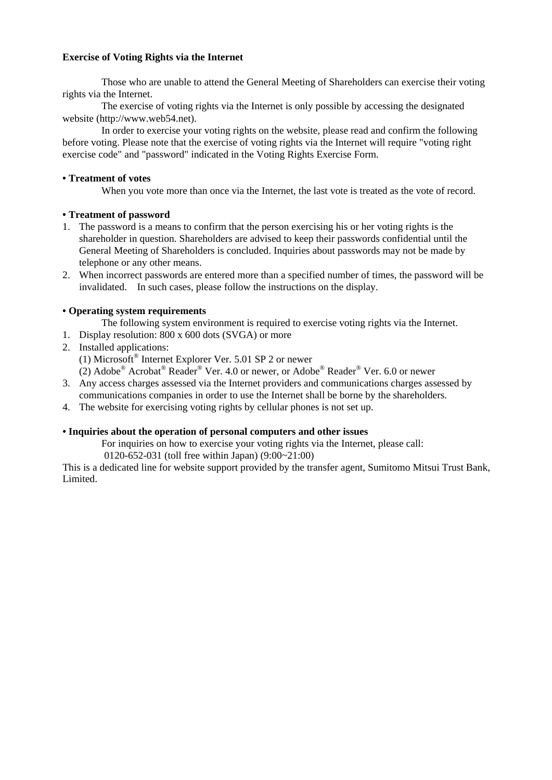### **Exercise of Voting Rights via the Internet**

Those who are unable to attend the General Meeting of Shareholders can exercise their voting rights via the Internet.

The exercise of voting rights via the Internet is only possible by accessing the designated website (http://www.web54.net).

In order to exercise your voting rights on the website, please read and confirm the following before voting. Please note that the exercise of voting rights via the Internet will require "voting right exercise code" and "password" indicated in the Voting Rights Exercise Form.

### **• Treatment of votes**

When you vote more than once via the Internet, the last vote is treated as the vote of record.

### **• Treatment of password**

- 1. The password is a means to confirm that the person exercising his or her voting rights is the shareholder in question. Shareholders are advised to keep their passwords confidential until the General Meeting of Shareholders is concluded. Inquiries about passwords may not be made by telephone or any other means.
- 2. When incorrect passwords are entered more than a specified number of times, the password will be invalidated. In such cases, please follow the instructions on the display.

# **• Operating system requirements**

- The following system environment is required to exercise voting rights via the Internet.
- 1. Display resolution: 800 x 600 dots (SVGA) or more
- 2. Installed applications:
	- (1) Microsoft® Internet Explorer Ver. 5.01 SP 2 or newer
	- (2) Adobe® Acrobat® Reader® Ver. 4.0 or newer, or Adobe® Reader® Ver. 6.0 or newer
- 3. Any access charges assessed via the Internet providers and communications charges assessed by communications companies in order to use the Internet shall be borne by the shareholders.
- 4. The website for exercising voting rights by cellular phones is not set up.

### **• Inquiries about the operation of personal computers and other issues**

For inquiries on how to exercise your voting rights via the Internet, please call:

0120-652-031 (toll free within Japan) (9:00~21:00)

This is a dedicated line for website support provided by the transfer agent, Sumitomo Mitsui Trust Bank, Limited.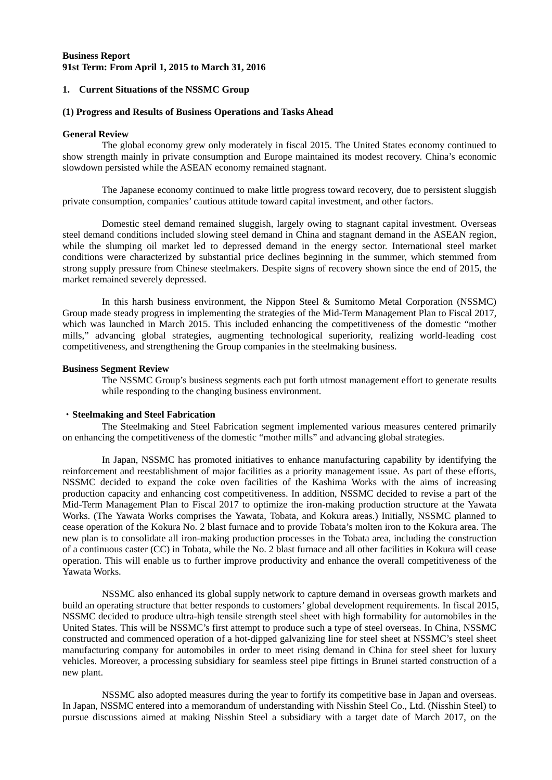#### **Business Report 91st Term: From April 1, 2015 to March 31, 2016**

#### **1. Current Situations of the NSSMC Group**

#### **(1) Progress and Results of Business Operations and Tasks Ahead**

#### **General Review**

The global economy grew only moderately in fiscal 2015. The United States economy continued to show strength mainly in private consumption and Europe maintained its modest recovery. China's economic slowdown persisted while the ASEAN economy remained stagnant.

The Japanese economy continued to make little progress toward recovery, due to persistent sluggish private consumption, companies' cautious attitude toward capital investment, and other factors.

Domestic steel demand remained sluggish, largely owing to stagnant capital investment. Overseas steel demand conditions included slowing steel demand in China and stagnant demand in the ASEAN region, while the slumping oil market led to depressed demand in the energy sector. International steel market conditions were characterized by substantial price declines beginning in the summer, which stemmed from strong supply pressure from Chinese steelmakers. Despite signs of recovery shown since the end of 2015, the market remained severely depressed.

In this harsh business environment, the Nippon Steel & Sumitomo Metal Corporation (NSSMC) Group made steady progress in implementing the strategies of the Mid-Term Management Plan to Fiscal 2017, which was launched in March 2015. This included enhancing the competitiveness of the domestic "mother mills," advancing global strategies, augmenting technological superiority, realizing world-leading cost competitiveness, and strengthening the Group companies in the steelmaking business.

#### **Business Segment Review**

The NSSMC Group's business segments each put forth utmost management effort to generate results while responding to the changing business environment.

#### ・**Steelmaking and Steel Fabrication**

The Steelmaking and Steel Fabrication segment implemented various measures centered primarily on enhancing the competitiveness of the domestic "mother mills" and advancing global strategies.

In Japan, NSSMC has promoted initiatives to enhance manufacturing capability by identifying the reinforcement and reestablishment of major facilities as a priority management issue. As part of these efforts, NSSMC decided to expand the coke oven facilities of the Kashima Works with the aims of increasing production capacity and enhancing cost competitiveness. In addition, NSSMC decided to revise a part of the Mid-Term Management Plan to Fiscal 2017 to optimize the iron-making production structure at the Yawata Works. (The Yawata Works comprises the Yawata, Tobata, and Kokura areas.) Initially, NSSMC planned to cease operation of the Kokura No. 2 blast furnace and to provide Tobata's molten iron to the Kokura area. The new plan is to consolidate all iron-making production processes in the Tobata area, including the construction of a continuous caster (CC) in Tobata, while the No. 2 blast furnace and all other facilities in Kokura will cease operation. This will enable us to further improve productivity and enhance the overall competitiveness of the Yawata Works.

NSSMC also enhanced its global supply network to capture demand in overseas growth markets and build an operating structure that better responds to customers' global development requirements. In fiscal 2015, NSSMC decided to produce ultra-high tensile strength steel sheet with high formability for automobiles in the United States. This will be NSSMC's first attempt to produce such a type of steel overseas. In China, NSSMC constructed and commenced operation of a hot-dipped galvanizing line for steel sheet at NSSMC's steel sheet manufacturing company for automobiles in order to meet rising demand in China for steel sheet for luxury vehicles. Moreover, a processing subsidiary for seamless steel pipe fittings in Brunei started construction of a new plant.

NSSMC also adopted measures during the year to fortify its competitive base in Japan and overseas. In Japan, NSSMC entered into a memorandum of understanding with Nisshin Steel Co., Ltd. (Nisshin Steel) to pursue discussions aimed at making Nisshin Steel a subsidiary with a target date of March 2017, on the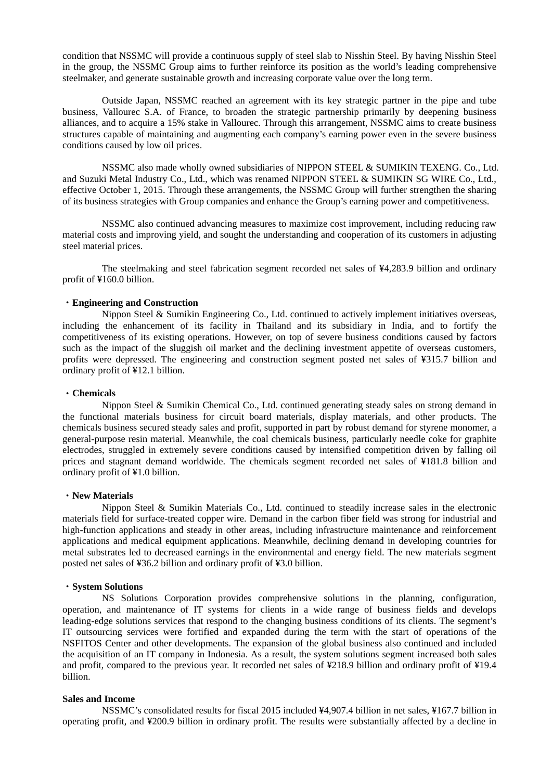condition that NSSMC will provide a continuous supply of steel slab to Nisshin Steel. By having Nisshin Steel in the group, the NSSMC Group aims to further reinforce its position as the world's leading comprehensive steelmaker, and generate sustainable growth and increasing corporate value over the long term.

Outside Japan, NSSMC reached an agreement with its key strategic partner in the pipe and tube business, Vallourec S.A. of France, to broaden the strategic partnership primarily by deepening business alliances, and to acquire a 15% stake in Vallourec. Through this arrangement, NSSMC aims to create business structures capable of maintaining and augmenting each company's earning power even in the severe business conditions caused by low oil prices.

NSSMC also made wholly owned subsidiaries of NIPPON STEEL & SUMIKIN TEXENG. Co., Ltd. and Suzuki Metal Industry Co., Ltd., which was renamed NIPPON STEEL & SUMIKIN SG WIRE Co., Ltd., effective October 1, 2015. Through these arrangements, the NSSMC Group will further strengthen the sharing of its business strategies with Group companies and enhance the Group's earning power and competitiveness.

NSSMC also continued advancing measures to maximize cost improvement, including reducing raw material costs and improving yield, and sought the understanding and cooperation of its customers in adjusting steel material prices.

The steelmaking and steel fabrication segment recorded net sales of ¥4,283.9 billion and ordinary profit of ¥160.0 billion.

## ・**Engineering and Construction**

Nippon Steel & Sumikin Engineering Co., Ltd. continued to actively implement initiatives overseas, including the enhancement of its facility in Thailand and its subsidiary in India, and to fortify the competitiveness of its existing operations. However, on top of severe business conditions caused by factors such as the impact of the sluggish oil market and the declining investment appetite of overseas customers, profits were depressed. The engineering and construction segment posted net sales of ¥315.7 billion and ordinary profit of ¥12.1 billion.

#### ・**Chemicals**

Nippon Steel & Sumikin Chemical Co., Ltd. continued generating steady sales on strong demand in the functional materials business for circuit board materials, display materials, and other products. The chemicals business secured steady sales and profit, supported in part by robust demand for styrene monomer, a general-purpose resin material. Meanwhile, the coal chemicals business, particularly needle coke for graphite electrodes, struggled in extremely severe conditions caused by intensified competition driven by falling oil prices and stagnant demand worldwide. The chemicals segment recorded net sales of ¥181.8 billion and ordinary profit of ¥1.0 billion.

## ・**New Materials**

Nippon Steel & Sumikin Materials Co., Ltd. continued to steadily increase sales in the electronic materials field for surface-treated copper wire. Demand in the carbon fiber field was strong for industrial and high-function applications and steady in other areas, including infrastructure maintenance and reinforcement applications and medical equipment applications. Meanwhile, declining demand in developing countries for metal substrates led to decreased earnings in the environmental and energy field. The new materials segment posted net sales of ¥36.2 billion and ordinary profit of ¥3.0 billion.

#### ・**System Solutions**

NS Solutions Corporation provides comprehensive solutions in the planning, configuration, operation, and maintenance of IT systems for clients in a wide range of business fields and develops leading-edge solutions services that respond to the changing business conditions of its clients. The segment's IT outsourcing services were fortified and expanded during the term with the start of operations of the NSFITOS Center and other developments. The expansion of the global business also continued and included the acquisition of an IT company in Indonesia. As a result, the system solutions segment increased both sales and profit, compared to the previous year. It recorded net sales of ¥218.9 billion and ordinary profit of ¥19.4 billion.

## **Sales and Income**

NSSMC's consolidated results for fiscal 2015 included ¥4,907.4 billion in net sales, ¥167.7 billion in operating profit, and ¥200.9 billion in ordinary profit. The results were substantially affected by a decline in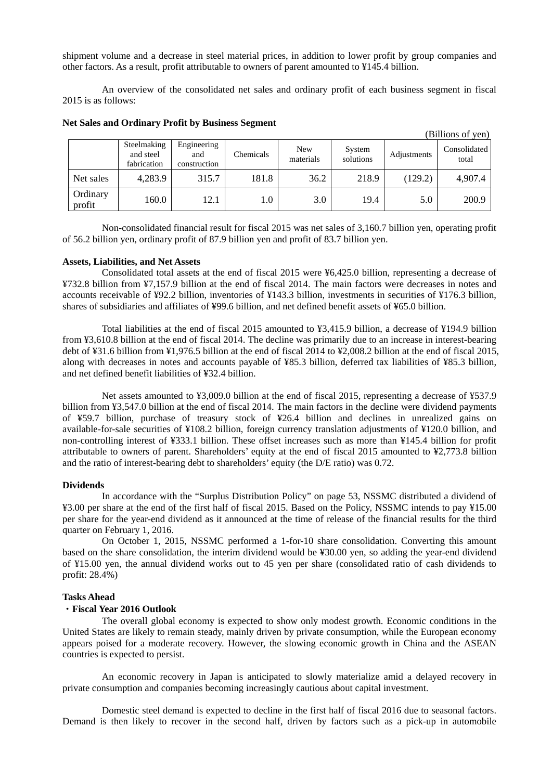shipment volume and a decrease in steel material prices, in addition to lower profit by group companies and other factors. As a result, profit attributable to owners of parent amounted to ¥145.4 billion.

An overview of the consolidated net sales and ordinary profit of each business segment in fiscal 2015 is as follows:

|                    |                                         |                                    |           |                         |                     |             | (Billions of yen)     |
|--------------------|-----------------------------------------|------------------------------------|-----------|-------------------------|---------------------|-------------|-----------------------|
|                    | Steelmaking<br>and steel<br>fabrication | Engineering<br>and<br>construction | Chemicals | <b>New</b><br>materials | System<br>solutions | Adjustments | Consolidated<br>total |
| Net sales          | 4,283.9                                 | 315.7                              | 181.8     | 36.2                    | 218.9               | (129.2)     | 4,907.4               |
| Ordinary<br>profit | 160.0                                   | 12.1                               | $1.0\,$   | 3.0                     | 19.4                | 5.0         | 200.9                 |

#### **Net Sales and Ordinary Profit by Business Segment**

Non-consolidated financial result for fiscal 2015 was net sales of 3,160.7 billion yen, operating profit of 56.2 billion yen, ordinary profit of 87.9 billion yen and profit of 83.7 billion yen.

## **Assets, Liabilities, and Net Assets**

Consolidated total assets at the end of fiscal 2015 were ¥6,425.0 billion, representing a decrease of ¥732.8 billion from ¥7,157.9 billion at the end of fiscal 2014. The main factors were decreases in notes and accounts receivable of ¥92.2 billion, inventories of ¥143.3 billion, investments in securities of ¥176.3 billion, shares of subsidiaries and affiliates of ¥99.6 billion, and net defined benefit assets of ¥65.0 billion.

Total liabilities at the end of fiscal 2015 amounted to ¥3,415.9 billion, a decrease of ¥194.9 billion from ¥3,610.8 billion at the end of fiscal 2014. The decline was primarily due to an increase in interest-bearing debt of ¥31.6 billion from ¥1,976.5 billion at the end of fiscal 2014 to ¥2,008.2 billion at the end of fiscal 2015, along with decreases in notes and accounts payable of ¥85.3 billion, deferred tax liabilities of ¥85.3 billion, and net defined benefit liabilities of ¥32.4 billion.

Net assets amounted to ¥3,009.0 billion at the end of fiscal 2015, representing a decrease of ¥537.9 billion from ¥3,547.0 billion at the end of fiscal 2014. The main factors in the decline were dividend payments of ¥59.7 billion, purchase of treasury stock of ¥26.4 billion and declines in unrealized gains on available-for-sale securities of ¥108.2 billion, foreign currency translation adjustments of ¥120.0 billion, and non-controlling interest of ¥333.1 billion. These offset increases such as more than ¥145.4 billion for profit attributable to owners of parent. Shareholders' equity at the end of fiscal 2015 amounted to ¥2,773.8 billion and the ratio of interest-bearing debt to shareholders' equity (the D/E ratio) was 0.72.

#### **Dividends**

In accordance with the "Surplus Distribution Policy" on page 53, NSSMC distributed a dividend of ¥3.00 per share at the end of the first half of fiscal 2015. Based on the Policy, NSSMC intends to pay ¥15.00 per share for the year-end dividend as it announced at the time of release of the financial results for the third quarter on February 1, 2016.

On October 1, 2015, NSSMC performed a 1-for-10 share consolidation. Converting this amount based on the share consolidation, the interim dividend would be ¥30.00 yen, so adding the year-end dividend of ¥15.00 yen, the annual dividend works out to 45 yen per share (consolidated ratio of cash dividends to profit: 28.4%)

### **Tasks Ahead**

#### ・**Fiscal Year 2016 Outlook**

The overall global economy is expected to show only modest growth. Economic conditions in the United States are likely to remain steady, mainly driven by private consumption, while the European economy appears poised for a moderate recovery. However, the slowing economic growth in China and the ASEAN countries is expected to persist.

An economic recovery in Japan is anticipated to slowly materialize amid a delayed recovery in private consumption and companies becoming increasingly cautious about capital investment.

Domestic steel demand is expected to decline in the first half of fiscal 2016 due to seasonal factors. Demand is then likely to recover in the second half, driven by factors such as a pick-up in automobile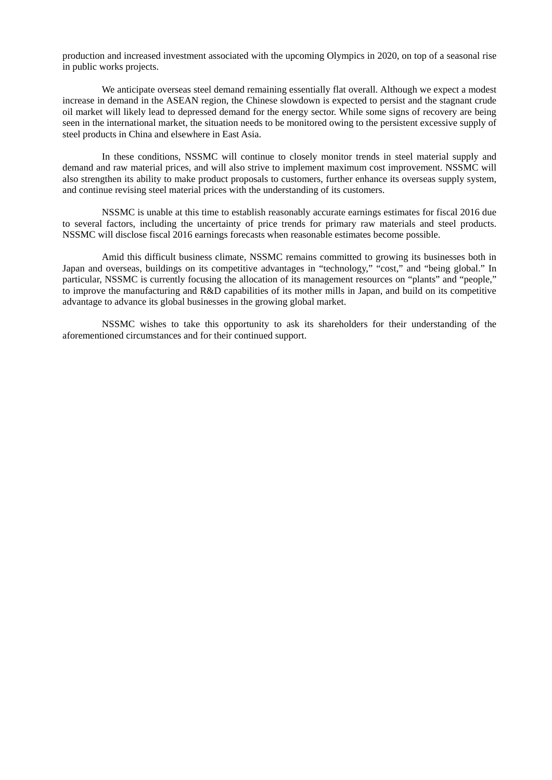production and increased investment associated with the upcoming Olympics in 2020, on top of a seasonal rise in public works projects.

We anticipate overseas steel demand remaining essentially flat overall. Although we expect a modest increase in demand in the ASEAN region, the Chinese slowdown is expected to persist and the stagnant crude oil market will likely lead to depressed demand for the energy sector. While some signs of recovery are being seen in the international market, the situation needs to be monitored owing to the persistent excessive supply of steel products in China and elsewhere in East Asia.

In these conditions, NSSMC will continue to closely monitor trends in steel material supply and demand and raw material prices, and will also strive to implement maximum cost improvement. NSSMC will also strengthen its ability to make product proposals to customers, further enhance its overseas supply system, and continue revising steel material prices with the understanding of its customers.

NSSMC is unable at this time to establish reasonably accurate earnings estimates for fiscal 2016 due to several factors, including the uncertainty of price trends for primary raw materials and steel products. NSSMC will disclose fiscal 2016 earnings forecasts when reasonable estimates become possible.

Amid this difficult business climate, NSSMC remains committed to growing its businesses both in Japan and overseas, buildings on its competitive advantages in "technology," "cost," and "being global." In particular, NSSMC is currently focusing the allocation of its management resources on "plants" and "people," to improve the manufacturing and R&D capabilities of its mother mills in Japan, and build on its competitive advantage to advance its global businesses in the growing global market.

NSSMC wishes to take this opportunity to ask its shareholders for their understanding of the aforementioned circumstances and for their continued support.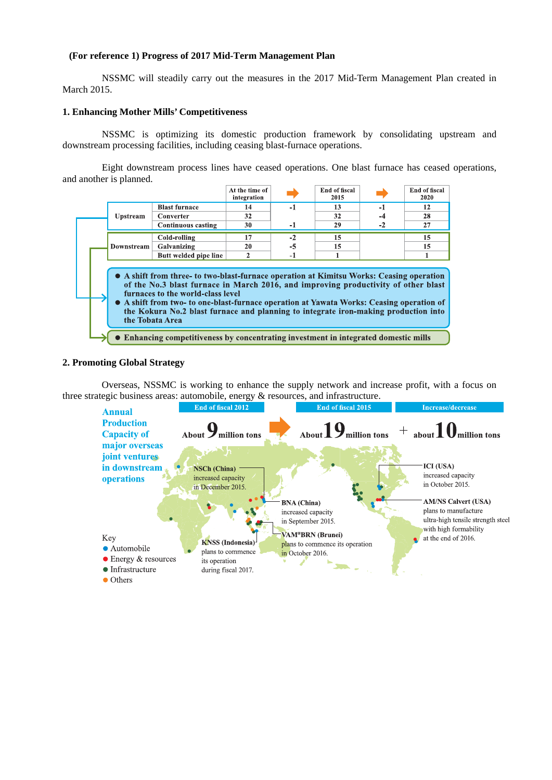# **(For reference 1) Progress of 2017 Mid-Term Management Plan**

NSSMC will steadily carry out the measures in the 2017 Mid-Term Management Plan created in March 2015.

# **1. Enhancing Mother Mills' Competitiveness**

NSSMC is optimizing its domestic production framework by consolidating upstream and downstream processing facilities, including ceasing blast-furnace operations.

Eight downstream process lines have ceased operations. One blast furnace has ceased operations, and another is planned.

|                 |                                                                                                                                                                                                                                                                                                                                                                                                        | At the time of<br>integration |      | End of fiscal<br>2015 |      | End of fiscal<br>2020 |
|-----------------|--------------------------------------------------------------------------------------------------------------------------------------------------------------------------------------------------------------------------------------------------------------------------------------------------------------------------------------------------------------------------------------------------------|-------------------------------|------|-----------------------|------|-----------------------|
|                 | <b>Blast furnace</b>                                                                                                                                                                                                                                                                                                                                                                                   | 14                            | $-1$ | 13                    | $-1$ | 12                    |
| <b>Upstream</b> | Converter                                                                                                                                                                                                                                                                                                                                                                                              | 32                            |      | 32                    | -4   | 28                    |
|                 | <b>Continuous casting</b>                                                                                                                                                                                                                                                                                                                                                                              | 30                            | $-1$ | 29                    | $-2$ | 27                    |
|                 | Cold-rolling                                                                                                                                                                                                                                                                                                                                                                                           | 17                            | $-2$ | 15                    |      | 15                    |
| Downstream      | Galvanizing                                                                                                                                                                                                                                                                                                                                                                                            | 20                            | $-5$ | 15                    |      | 15                    |
|                 | Butt welded pipe line                                                                                                                                                                                                                                                                                                                                                                                  | $\mathbf{2}$                  | -1   |                       |      |                       |
| the Tobata Area | • A shift from three- to two-blast-furnace operation at Kimitsu Works: Ceasing operation<br>of the No.3 blast furnace in March 2016, and improving productivity of other blast<br>furnaces to the world-class level<br>• A shift from two- to one-blast-furnace operation at Yawata Works: Ceasing operation of<br>the Kokura No.2 blast furnace and planning to integrate iron-making production into |                               |      |                       |      |                       |
|                 | • Enhancing competitiveness by concentrating investment in integrated domestic mills                                                                                                                                                                                                                                                                                                                   |                               |      |                       |      |                       |

# **2. Promoting Global Strategy**

Overseas, NSSMC is working to enhance the supply network and increase profit, with a focus on three strategic business areas: automobile, energy & resources, and infrastructure.<br>End of fiscal 2015

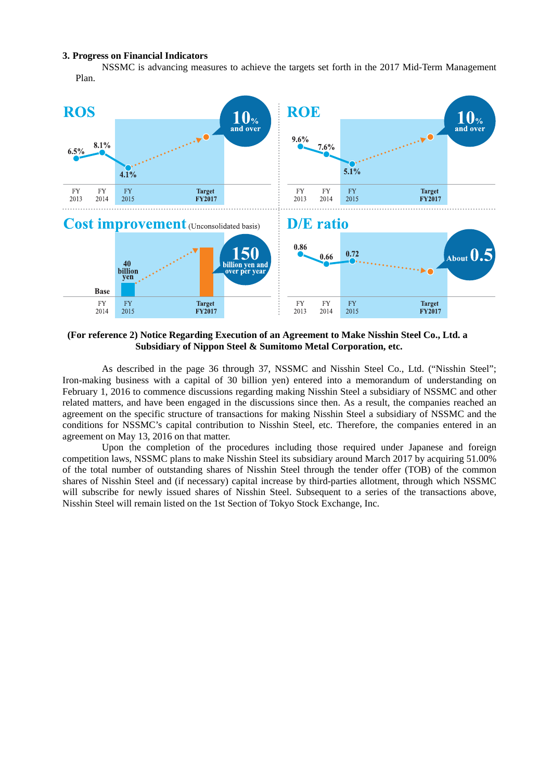# **3. Progress on Financial Indicators**

NSSMC is advancing measures to achieve the targets set forth in the 2017 Mid-Term Management Plan.



**(For reference 2) Notice Regarding Execution of an Agreement to Make Nisshin Steel Co., Ltd. a Subsidiary of Nippon Steel & Sumitomo Metal Corporation, etc.** 

As described in the page 36 through 37, NSSMC and Nisshin Steel Co., Ltd. ("Nisshin Steel"; Iron-making business with a capital of 30 billion yen) entered into a memorandum of understanding on February 1, 2016 to commence discussions regarding making Nisshin Steel a subsidiary of NSSMC and other related matters, and have been engaged in the discussions since then. As a result, the companies reached an agreement on the specific structure of transactions for making Nisshin Steel a subsidiary of NSSMC and the conditions for NSSMC's capital contribution to Nisshin Steel, etc. Therefore, the companies entered in an agreement on May 13, 2016 on that matter.

Upon the completion of the procedures including those required under Japanese and foreign competition laws, NSSMC plans to make Nisshin Steel its subsidiary around March 2017 by acquiring 51.00% of the total number of outstanding shares of Nisshin Steel through the tender offer (TOB) of the common shares of Nisshin Steel and (if necessary) capital increase by third-parties allotment, through which NSSMC will subscribe for newly issued shares of Nisshin Steel. Subsequent to a series of the transactions above, Nisshin Steel will remain listed on the 1st Section of Tokyo Stock Exchange, Inc.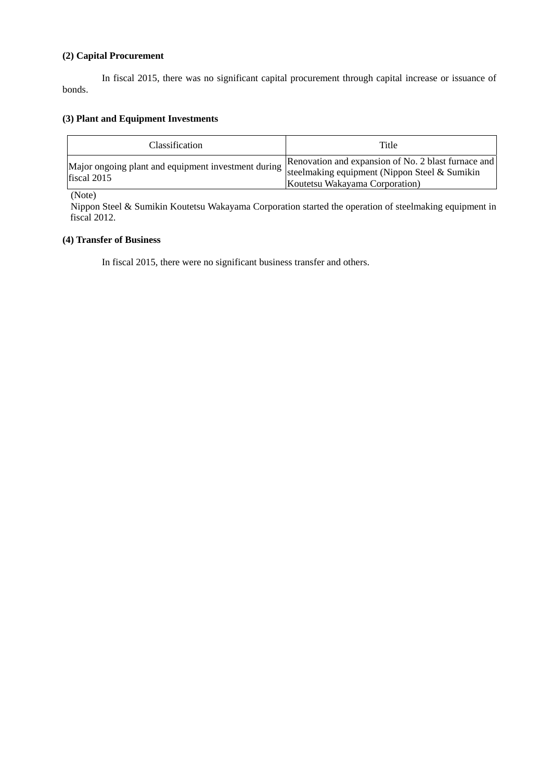# **(2) Capital Procurement**

In fiscal 2015, there was no significant capital procurement through capital increase or issuance of bonds.

# **(3) Plant and Equipment Investments**

| <b>Classification</b>                                                | Title                                                                                                                                  |
|----------------------------------------------------------------------|----------------------------------------------------------------------------------------------------------------------------------------|
| Major ongoing plant and equipment investment during  <br>fiscal 2015 | Renovation and expansion of No. 2 blast furnace and<br>steelmaking equipment (Nippon Steel & Sumikin<br>Koutetsu Wakayama Corporation) |

(Note)

Nippon Steel & Sumikin Koutetsu Wakayama Corporation started the operation of steelmaking equipment in fiscal 2012.

# **(4) Transfer of Business**

In fiscal 2015, there were no significant business transfer and others.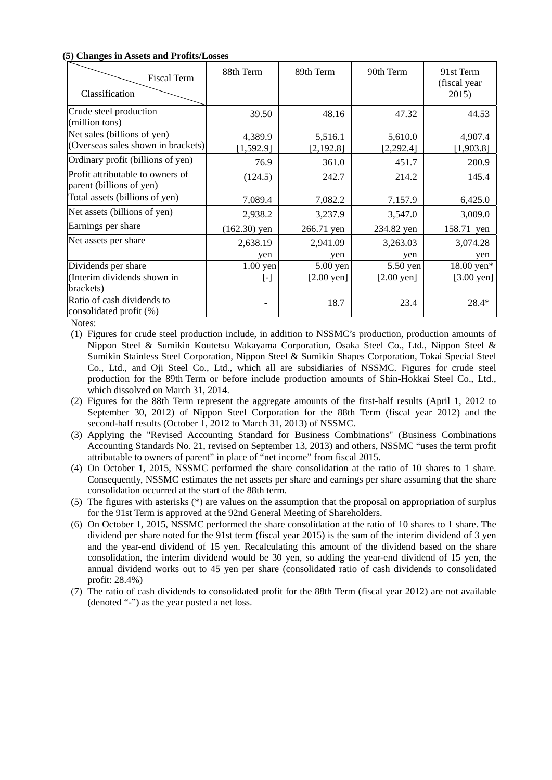# **(5) Changes in Assets and Profits/Losses**

| <b>Fiscal Term</b><br>Classification                              | 88th Term             | 89th Term            | 90th Term            | 91st Term<br>(fiscal year)<br>2015) |
|-------------------------------------------------------------------|-----------------------|----------------------|----------------------|-------------------------------------|
| Crude steel production<br>(million tons)                          | 39.50                 | 48.16                | 47.32                | 44.53                               |
| Net sales (billions of yen)<br>(Overseas sales shown in brackets) | 4,389.9<br>[1, 592.9] | 5,516.1<br>[2,192.8] | 5,610.0<br>[2,292.4] | 4,907.4<br>[1,903.8]                |
| Ordinary profit (billions of yen)                                 | 76.9                  | 361.0                | 451.7                | 200.9                               |
| Profit attributable to owners of<br>parent (billions of yen)      | (124.5)               | 242.7                | 214.2                | 145.4                               |
| Total assets (billions of yen)                                    | 7,089.4               | 7,082.2              | 7,157.9              | 6,425.0                             |
| Net assets (billions of yen)                                      | 2,938.2               | 3,237.9              | 3,547.0              | 3,009.0                             |
| Earnings per share                                                | $(162.30)$ yen        | 266.71 yen           | 234.82 yen           | 158.71 yen                          |
| Net assets per share                                              | 2,638.19<br>yen       | 2,941.09<br>yen      | 3,263.03<br>yen      | 3,074.28<br>yen                     |
| Dividends per share                                               | $1.00$ yen            | 5.00 yen             | 5.50 yen             | 18.00 yen*                          |
| (Interim dividends shown in<br>brackets)                          | ŀJ                    | $[2.00 \text{ yen}]$ | $[2.00 \text{ yen}]$ | $[3.00 \text{ yen}]$                |
| Ratio of cash dividends to<br>consolidated profit (%)             |                       | 18.7                 | 23.4                 | $28.4*$                             |

Notes:

- (1) Figures for crude steel production include, in addition to NSSMC's production, production amounts of Nippon Steel & Sumikin Koutetsu Wakayama Corporation, Osaka Steel Co., Ltd., Nippon Steel & Sumikin Stainless Steel Corporation, Nippon Steel & Sumikin Shapes Corporation, Tokai Special Steel Co., Ltd., and Oji Steel Co., Ltd., which all are subsidiaries of NSSMC. Figures for crude steel production for the 89th Term or before include production amounts of Shin-Hokkai Steel Co., Ltd., which dissolved on March 31, 2014.
- (2) Figures for the 88th Term represent the aggregate amounts of the first-half results (April 1, 2012 to September 30, 2012) of Nippon Steel Corporation for the 88th Term (fiscal year 2012) and the second-half results (October 1, 2012 to March 31, 2013) of NSSMC.
- (3) Applying the "Revised Accounting Standard for Business Combinations" (Business Combinations Accounting Standards No. 21, revised on September 13, 2013) and others, NSSMC "uses the term profit attributable to owners of parent" in place of "net income" from fiscal 2015.
- (4) On October 1, 2015, NSSMC performed the share consolidation at the ratio of 10 shares to 1 share. Consequently, NSSMC estimates the net assets per share and earnings per share assuming that the share consolidation occurred at the start of the 88th term.
- (5) The figures with asterisks (\*) are values on the assumption that the proposal on appropriation of surplus for the 91st Term is approved at the 92nd General Meeting of Shareholders.
- (6) On October 1, 2015, NSSMC performed the share consolidation at the ratio of 10 shares to 1 share. The dividend per share noted for the 91st term (fiscal year 2015) is the sum of the interim dividend of 3 yen and the year-end dividend of 15 yen. Recalculating this amount of the dividend based on the share consolidation, the interim dividend would be 30 yen, so adding the year-end dividend of 15 yen, the annual dividend works out to 45 yen per share (consolidated ratio of cash dividends to consolidated profit: 28.4%)
- (7) The ratio of cash dividends to consolidated profit for the 88th Term (fiscal year 2012) are not available (denoted "-") as the year posted a net loss.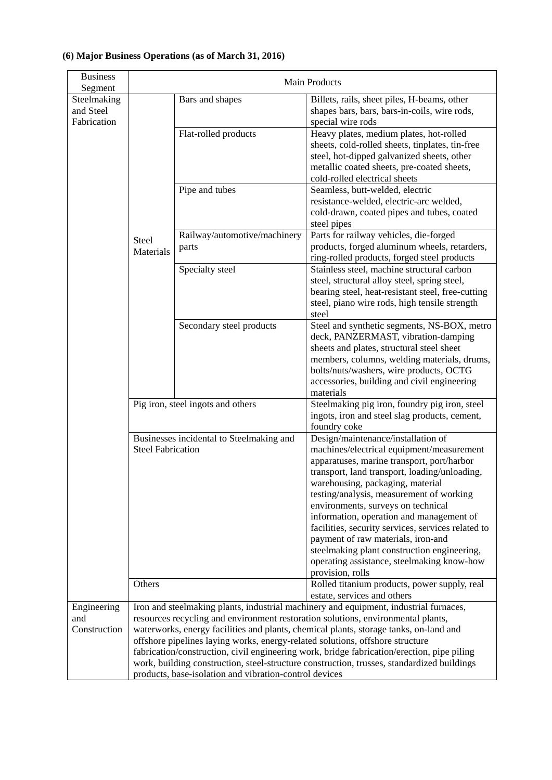# **(6) Major Business Operations (as of March 31, 2016)**

| <b>Business</b>                         | <b>Main Products</b>                                                                                                                                                                     |                                                        |                                                                                                                                                             |  |  |
|-----------------------------------------|------------------------------------------------------------------------------------------------------------------------------------------------------------------------------------------|--------------------------------------------------------|-------------------------------------------------------------------------------------------------------------------------------------------------------------|--|--|
| Segment                                 |                                                                                                                                                                                          |                                                        |                                                                                                                                                             |  |  |
| Steelmaking<br>and Steel<br>Fabrication |                                                                                                                                                                                          | Bars and shapes                                        | Billets, rails, sheet piles, H-beams, other<br>shapes bars, bars, bars-in-coils, wire rods,<br>special wire rods                                            |  |  |
|                                         |                                                                                                                                                                                          | Flat-rolled products                                   | Heavy plates, medium plates, hot-rolled<br>sheets, cold-rolled sheets, tinplates, tin-free<br>steel, hot-dipped galvanized sheets, other                    |  |  |
|                                         |                                                                                                                                                                                          |                                                        | metallic coated sheets, pre-coated sheets,<br>cold-rolled electrical sheets                                                                                 |  |  |
|                                         |                                                                                                                                                                                          | Pipe and tubes                                         | Seamless, butt-welded, electric                                                                                                                             |  |  |
|                                         |                                                                                                                                                                                          |                                                        | resistance-welded, electric-arc welded,<br>cold-drawn, coated pipes and tubes, coated<br>steel pipes                                                        |  |  |
|                                         | <b>Steel</b><br>Materials                                                                                                                                                                | Railway/automotive/machinery<br>parts                  | Parts for railway vehicles, die-forged<br>products, forged aluminum wheels, retarders,                                                                      |  |  |
|                                         |                                                                                                                                                                                          | Specialty steel                                        | ring-rolled products, forged steel products<br>Stainless steel, machine structural carbon                                                                   |  |  |
|                                         |                                                                                                                                                                                          |                                                        | steel, structural alloy steel, spring steel,<br>bearing steel, heat-resistant steel, free-cutting<br>steel, piano wire rods, high tensile strength<br>steel |  |  |
|                                         |                                                                                                                                                                                          | Secondary steel products                               | Steel and synthetic segments, NS-BOX, metro                                                                                                                 |  |  |
|                                         |                                                                                                                                                                                          |                                                        | deck, PANZERMAST, vibration-damping                                                                                                                         |  |  |
|                                         |                                                                                                                                                                                          |                                                        | sheets and plates, structural steel sheet                                                                                                                   |  |  |
|                                         |                                                                                                                                                                                          |                                                        | members, columns, welding materials, drums,                                                                                                                 |  |  |
|                                         |                                                                                                                                                                                          |                                                        | bolts/nuts/washers, wire products, OCTG<br>accessories, building and civil engineering                                                                      |  |  |
|                                         |                                                                                                                                                                                          |                                                        | materials                                                                                                                                                   |  |  |
|                                         |                                                                                                                                                                                          | Pig iron, steel ingots and others                      | Steelmaking pig iron, foundry pig iron, steel<br>ingots, iron and steel slag products, cement,<br>foundry coke                                              |  |  |
|                                         |                                                                                                                                                                                          | Businesses incidental to Steelmaking and               | Design/maintenance/installation of                                                                                                                          |  |  |
|                                         | <b>Steel Fabrication</b>                                                                                                                                                                 |                                                        | machines/electrical equipment/measurement<br>apparatuses, marine transport, port/harbor                                                                     |  |  |
|                                         |                                                                                                                                                                                          |                                                        | transport, land transport, loading/unloading,                                                                                                               |  |  |
|                                         |                                                                                                                                                                                          |                                                        | warehousing, packaging, material                                                                                                                            |  |  |
|                                         |                                                                                                                                                                                          |                                                        | testing/analysis, measurement of working<br>environments, surveys on technical                                                                              |  |  |
|                                         |                                                                                                                                                                                          |                                                        | information, operation and management of<br>facilities, security services, services related to                                                              |  |  |
|                                         |                                                                                                                                                                                          |                                                        | payment of raw materials, iron-and                                                                                                                          |  |  |
|                                         |                                                                                                                                                                                          |                                                        | steelmaking plant construction engineering,                                                                                                                 |  |  |
|                                         |                                                                                                                                                                                          |                                                        | operating assistance, steelmaking know-how                                                                                                                  |  |  |
|                                         |                                                                                                                                                                                          |                                                        | provision, rolls                                                                                                                                            |  |  |
|                                         | Others                                                                                                                                                                                   |                                                        | Rolled titanium products, power supply, real<br>estate, services and others                                                                                 |  |  |
| Engineering                             |                                                                                                                                                                                          |                                                        | Iron and steelmaking plants, industrial machinery and equipment, industrial furnaces,                                                                       |  |  |
| and                                     |                                                                                                                                                                                          |                                                        | resources recycling and environment restoration solutions, environmental plants,                                                                            |  |  |
| Construction                            |                                                                                                                                                                                          |                                                        | waterworks, energy facilities and plants, chemical plants, storage tanks, on-land and                                                                       |  |  |
|                                         | offshore pipelines laying works, energy-related solutions, offshore structure                                                                                                            |                                                        |                                                                                                                                                             |  |  |
|                                         | fabrication/construction, civil engineering work, bridge fabrication/erection, pipe piling<br>work, building construction, steel-structure construction, trusses, standardized buildings |                                                        |                                                                                                                                                             |  |  |
|                                         |                                                                                                                                                                                          | products, base-isolation and vibration-control devices |                                                                                                                                                             |  |  |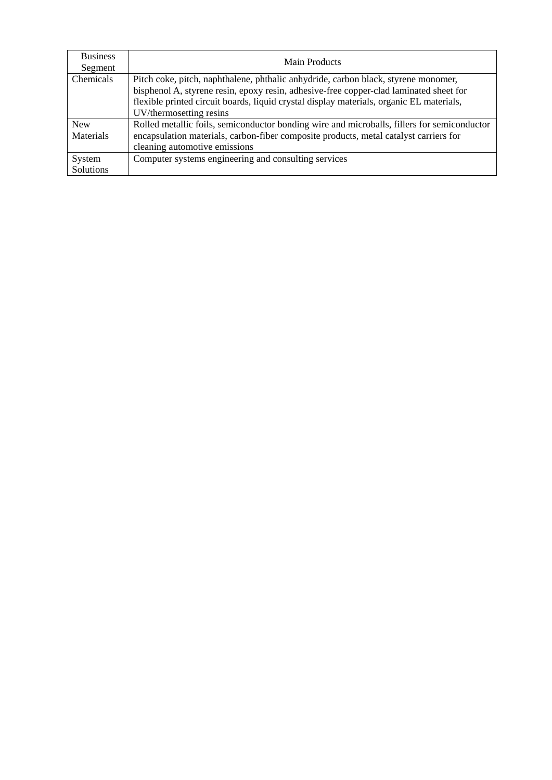| <b>Business</b><br>Segment | <b>Main Products</b>                                                                        |
|----------------------------|---------------------------------------------------------------------------------------------|
| Chemicals                  | Pitch coke, pitch, naphthalene, phthalic anhydride, carbon black, styrene monomer,          |
|                            | bisphenol A, styrene resin, epoxy resin, adhesive-free copper-clad laminated sheet for      |
|                            | flexible printed circuit boards, liquid crystal display materials, organic EL materials,    |
|                            | UV/thermosetting resins                                                                     |
| <b>New</b>                 | Rolled metallic foils, semiconductor bonding wire and microballs, fillers for semiconductor |
| Materials                  | encapsulation materials, carbon-fiber composite products, metal catalyst carriers for       |
|                            | cleaning automotive emissions                                                               |
| System                     | Computer systems engineering and consulting services                                        |
| Solutions                  |                                                                                             |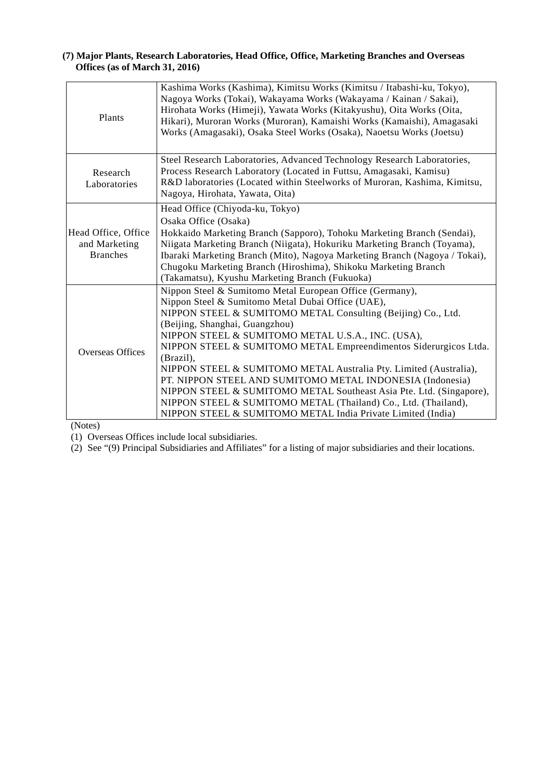# **(7) Major Plants, Research Laboratories, Head Office, Office, Marketing Branches and Overseas Offices (as of March 31, 2016)**

| Plants                                                  | Kashima Works (Kashima), Kimitsu Works (Kimitsu / Itabashi-ku, Tokyo),<br>Nagoya Works (Tokai), Wakayama Works (Wakayama / Kainan / Sakai),<br>Hirohata Works (Himeji), Yawata Works (Kitakyushu), Oita Works (Oita,<br>Hikari), Muroran Works (Muroran), Kamaishi Works (Kamaishi), Amagasaki<br>Works (Amagasaki), Osaka Steel Works (Osaka), Naoetsu Works (Joetsu)                                                                                                                                                                                                                                                                                                                          |
|---------------------------------------------------------|-------------------------------------------------------------------------------------------------------------------------------------------------------------------------------------------------------------------------------------------------------------------------------------------------------------------------------------------------------------------------------------------------------------------------------------------------------------------------------------------------------------------------------------------------------------------------------------------------------------------------------------------------------------------------------------------------|
| Research<br>Laboratories                                | Steel Research Laboratories, Advanced Technology Research Laboratories,<br>Process Research Laboratory (Located in Futtsu, Amagasaki, Kamisu)<br>R&D laboratories (Located within Steelworks of Muroran, Kashima, Kimitsu,<br>Nagoya, Hirohata, Yawata, Oita)                                                                                                                                                                                                                                                                                                                                                                                                                                   |
| Head Office, Office<br>and Marketing<br><b>Branches</b> | Head Office (Chiyoda-ku, Tokyo)<br>Osaka Office (Osaka)<br>Hokkaido Marketing Branch (Sapporo), Tohoku Marketing Branch (Sendai),<br>Niigata Marketing Branch (Niigata), Hokuriku Marketing Branch (Toyama),<br>Ibaraki Marketing Branch (Mito), Nagoya Marketing Branch (Nagoya / Tokai),<br>Chugoku Marketing Branch (Hiroshima), Shikoku Marketing Branch<br>(Takamatsu), Kyushu Marketing Branch (Fukuoka)                                                                                                                                                                                                                                                                                  |
| <b>Overseas Offices</b>                                 | Nippon Steel & Sumitomo Metal European Office (Germany),<br>Nippon Steel & Sumitomo Metal Dubai Office (UAE),<br>NIPPON STEEL & SUMITOMO METAL Consulting (Beijing) Co., Ltd.<br>(Beijing, Shanghai, Guangzhou)<br>NIPPON STEEL & SUMITOMO METAL U.S.A., INC. (USA),<br>NIPPON STEEL & SUMITOMO METAL Empreendimentos Siderurgicos Ltda.<br>(Brazil),<br>NIPPON STEEL & SUMITOMO METAL Australia Pty. Limited (Australia),<br>PT. NIPPON STEEL AND SUMITOMO METAL INDONESIA (Indonesia)<br>NIPPON STEEL & SUMITOMO METAL Southeast Asia Pte. Ltd. (Singapore),<br>NIPPON STEEL & SUMITOMO METAL (Thailand) Co., Ltd. (Thailand),<br>NIPPON STEEL & SUMITOMO METAL India Private Limited (India) |

(Notes)

(1) Overseas Offices include local subsidiaries.

(2) See "(9) Principal Subsidiaries and Affiliates" for a listing of major subsidiaries and their locations.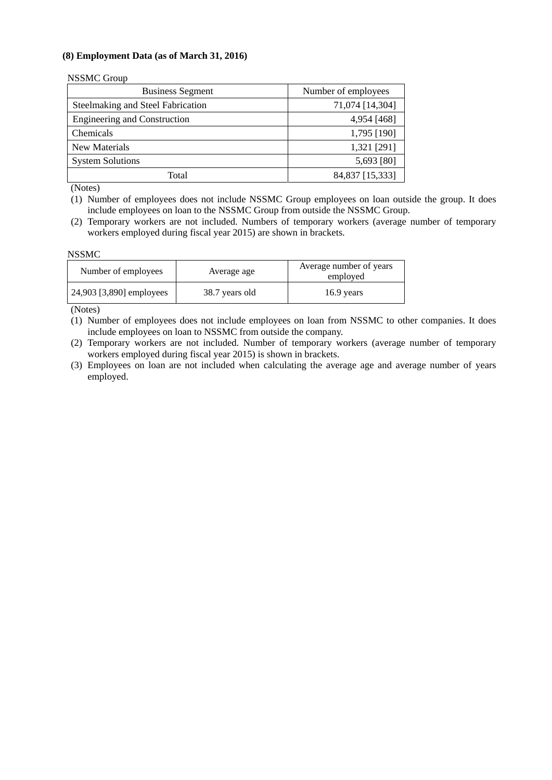# **(8) Employment Data (as of March 31, 2016)**

# NSSMC Group

| <b>Business Segment</b>             | Number of employees |
|-------------------------------------|---------------------|
| Steelmaking and Steel Fabrication   | 71,074 [14,304]     |
| <b>Engineering and Construction</b> | 4,954 [468]         |
| Chemicals                           | 1,795 [190]         |
| New Materials                       | 1,321 [291]         |
| <b>System Solutions</b>             | 5,693 [80]          |
| Total                               | 84,837 [15,333]     |

(Notes)

(2) Temporary workers are not included. Numbers of temporary workers (average number of temporary workers employed during fiscal year 2015) are shown in brackets.

## NSSMC

| Number of employees      | Average age    | Average number of years<br>employed |
|--------------------------|----------------|-------------------------------------|
| 24,903 [3,890] employees | 38.7 years old | 16.9 years                          |

(Notes)

(1) Number of employees does not include employees on loan from NSSMC to other companies. It does include employees on loan to NSSMC from outside the company.

(2) Temporary workers are not included. Number of temporary workers (average number of temporary workers employed during fiscal year 2015) is shown in brackets.

(3) Employees on loan are not included when calculating the average age and average number of years employed.

<sup>(1)</sup> Number of employees does not include NSSMC Group employees on loan outside the group. It does include employees on loan to the NSSMC Group from outside the NSSMC Group.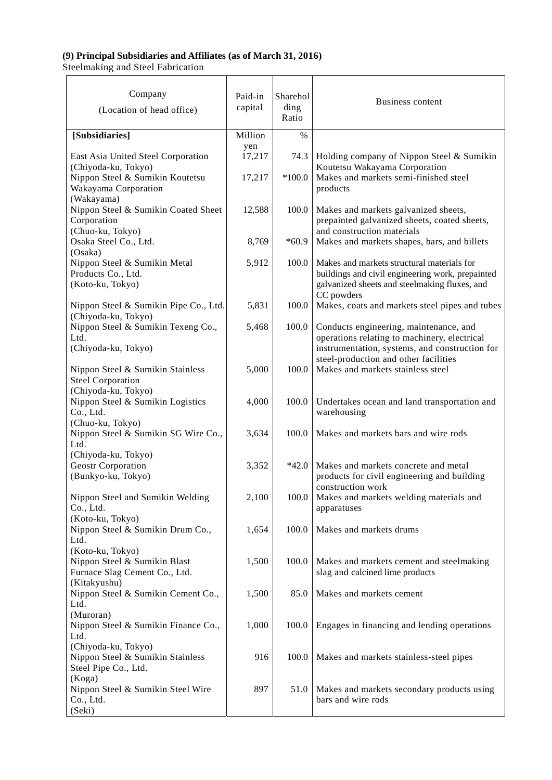# **(9) Principal Subsidiaries and Affiliates (as of March 31, 2016)**

Steelmaking and Steel Fabrication

| Company<br>(Location of head office)                                              | Paid-in<br>capital | Sharehol<br>ding<br>Ratio | <b>Business content</b>                                                                                                                  |
|-----------------------------------------------------------------------------------|--------------------|---------------------------|------------------------------------------------------------------------------------------------------------------------------------------|
| [Subsidiaries]                                                                    | Million            | %                         |                                                                                                                                          |
| East Asia United Steel Corporation<br>(Chiyoda-ku, Tokyo)                         | yen<br>17,217      | 74.3                      | Holding company of Nippon Steel & Sumikin<br>Koutetsu Wakayama Corporation                                                               |
| Nippon Steel & Sumikin Koutetsu<br>Wakayama Corporation<br>(Wakayama)             | 17,217             | $*100.0$                  | Makes and markets semi-finished steel<br>products                                                                                        |
| Nippon Steel & Sumikin Coated Sheet<br>Corporation<br>(Chuo-ku, Tokyo)            | 12,588             | 100.0                     | Makes and markets galvanized sheets,<br>prepainted galvanized sheets, coated sheets,<br>and construction materials                       |
| Osaka Steel Co., Ltd.<br>(Osaka)                                                  | 8,769              | $*60.9$                   | Makes and markets shapes, bars, and billets                                                                                              |
| Nippon Steel & Sumikin Metal<br>Products Co., Ltd.                                | 5,912              | 100.0                     | Makes and markets structural materials for<br>buildings and civil engineering work, prepainted                                           |
| (Koto-ku, Tokyo)                                                                  |                    |                           | galvanized sheets and steelmaking fluxes, and<br>CC powders                                                                              |
| Nippon Steel & Sumikin Pipe Co., Ltd.<br>(Chiyoda-ku, Tokyo)                      | 5,831              | 100.0                     | Makes, coats and markets steel pipes and tubes                                                                                           |
| Nippon Steel & Sumikin Texeng Co.,<br>Ltd.<br>(Chiyoda-ku, Tokyo)                 | 5,468              | 100.0                     | Conducts engineering, maintenance, and<br>operations relating to machinery, electrical<br>instrumentation, systems, and construction for |
| Nippon Steel & Sumikin Stainless                                                  | 5,000              | 100.0                     | steel-production and other facilities<br>Makes and markets stainless steel                                                               |
| <b>Steel Corporation</b><br>(Chiyoda-ku, Tokyo)                                   |                    |                           |                                                                                                                                          |
| Nippon Steel & Sumikin Logistics<br>Co., Ltd.<br>(Chuo-ku, Tokyo)                 | 4,000              | 100.0                     | Undertakes ocean and land transportation and<br>warehousing                                                                              |
| Nippon Steel & Sumikin SG Wire Co.,<br>Ltd.                                       | 3,634              | 100.0                     | Makes and markets bars and wire rods                                                                                                     |
| (Chiyoda-ku, Tokyo)<br><b>Geostr Corporation</b>                                  | 3,352              | $*42.0$                   | Makes and markets concrete and metal                                                                                                     |
| (Bunkyo-ku, Tokyo)                                                                |                    |                           | products for civil engineering and building<br>construction work                                                                         |
| Nippon Steel and Sumikin Welding<br>Co., Ltd.<br>(Koto-ku, Tokyo)                 | 2,100              | 100.0                     | Makes and markets welding materials and<br>apparatuses                                                                                   |
| Nippon Steel & Sumikin Drum Co.,<br>Ltd.                                          | 1,654              | 100.0                     | Makes and markets drums                                                                                                                  |
| (Koto-ku, Tokyo)<br>Nippon Steel & Sumikin Blast<br>Furnace Slag Cement Co., Ltd. | 1,500              | 100.0                     | Makes and markets cement and steelmaking<br>slag and calcined lime products                                                              |
| (Kitakyushu)<br>Nippon Steel & Sumikin Cement Co.,<br>Ltd.                        | 1,500              | 85.0                      | Makes and markets cement                                                                                                                 |
| (Muroran)<br>Nippon Steel & Sumikin Finance Co.,<br>Ltd.                          | 1,000              | 100.0                     | Engages in financing and lending operations                                                                                              |
| (Chiyoda-ku, Tokyo)<br>Nippon Steel & Sumikin Stainless<br>Steel Pipe Co., Ltd.   | 916                | 100.0                     | Makes and markets stainless-steel pipes                                                                                                  |
| (Koga)<br>Nippon Steel & Sumikin Steel Wire<br>Co., Ltd.<br>(Seki)                | 897                | 51.0                      | Makes and markets secondary products using<br>bars and wire rods                                                                         |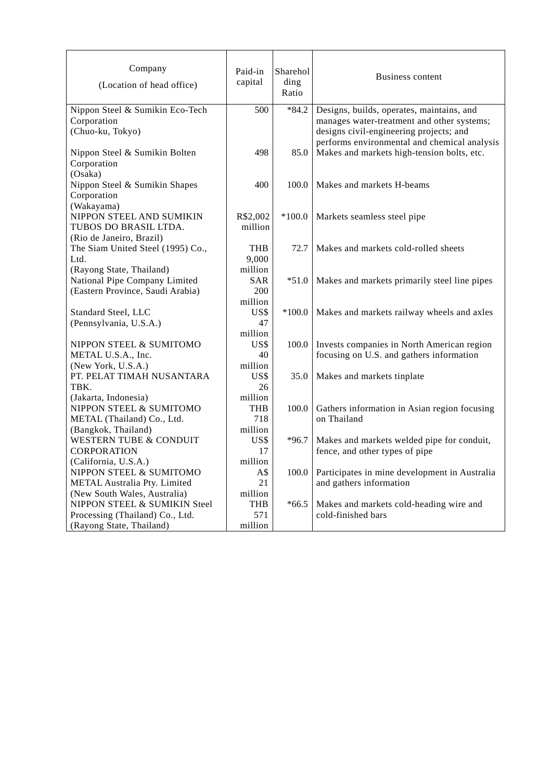| Company<br>(Location of head office) | Paid-in<br>capital | Sharehol<br>ding<br>Ratio | <b>Business content</b>                       |
|--------------------------------------|--------------------|---------------------------|-----------------------------------------------|
| Nippon Steel & Sumikin Eco-Tech      | 500                | $*84.2$                   | Designs, builds, operates, maintains, and     |
| Corporation                          |                    |                           | manages water-treatment and other systems;    |
| (Chuo-ku, Tokyo)                     |                    |                           | designs civil-engineering projects; and       |
|                                      |                    |                           | performs environmental and chemical analysis  |
| Nippon Steel & Sumikin Bolten        | 498                | 85.0                      | Makes and markets high-tension bolts, etc.    |
| Corporation                          |                    |                           |                                               |
| (Osaka)                              |                    |                           |                                               |
| Nippon Steel & Sumikin Shapes        | 400                | 100.0                     | Makes and markets H-beams                     |
| Corporation                          |                    |                           |                                               |
| (Wakayama)                           |                    |                           |                                               |
| NIPPON STEEL AND SUMIKIN             | R\$2,002           | $*100.0$                  | Markets seamless steel pipe                   |
| TUBOS DO BRASIL LTDA.                | million            |                           |                                               |
| (Rio de Janeiro, Brazil)             |                    |                           |                                               |
| The Siam United Steel (1995) Co.,    | <b>THB</b>         | 72.7                      | Makes and markets cold-rolled sheets          |
| Ltd.                                 | 9,000              |                           |                                               |
| (Rayong State, Thailand)             | million            |                           |                                               |
| National Pipe Company Limited        | <b>SAR</b>         | $*51.0$                   | Makes and markets primarily steel line pipes  |
| (Eastern Province, Saudi Arabia)     | 200                |                           |                                               |
|                                      | million            |                           |                                               |
| Standard Steel, LLC                  | US\$               | $*100.0$                  | Makes and markets railway wheels and axles    |
| (Pennsylvania, U.S.A.)               | 47                 |                           |                                               |
|                                      | million            |                           |                                               |
| NIPPON STEEL & SUMITOMO              | US\$               | 100.0                     | Invests companies in North American region    |
| METAL U.S.A., Inc.                   | 40                 |                           | focusing on U.S. and gathers information      |
| (New York, U.S.A.)                   | million            |                           |                                               |
| PT. PELAT TIMAH NUSANTARA            | US\$               | 35.0                      | Makes and markets tinplate                    |
| TBK.                                 | 26                 |                           |                                               |
| (Jakarta, Indonesia)                 | million            |                           |                                               |
| NIPPON STEEL & SUMITOMO              | <b>THB</b>         | 100.0                     | Gathers information in Asian region focusing  |
| METAL (Thailand) Co., Ltd.           | 718                |                           | on Thailand                                   |
| (Bangkok, Thailand)                  | million            |                           |                                               |
| <b>WESTERN TUBE &amp; CONDUIT</b>    | US\$               | $*96.7$                   | Makes and markets welded pipe for conduit,    |
| <b>CORPORATION</b>                   | 17                 |                           | fence, and other types of pipe                |
| (California, U.S.A.)                 | million            |                           |                                               |
| NIPPON STEEL & SUMITOMO              | A\$                | 100.0                     | Participates in mine development in Australia |
| METAL Australia Pty. Limited         | 21                 |                           | and gathers information                       |
| (New South Wales, Australia)         | million            |                           |                                               |
| NIPPON STEEL & SUMIKIN Steel         | <b>THB</b>         | $*66.5$                   | Makes and markets cold-heading wire and       |
| Processing (Thailand) Co., Ltd.      | 571                |                           | cold-finished bars                            |
| (Rayong State, Thailand)             | million            |                           |                                               |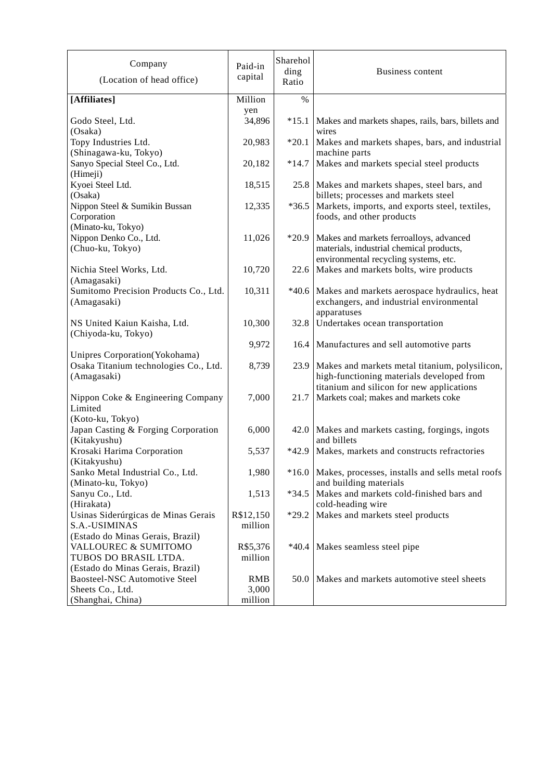| Company                                                                  | Paid-in       | Sharehol      |                                                                                          |
|--------------------------------------------------------------------------|---------------|---------------|------------------------------------------------------------------------------------------|
| (Location of head office)                                                | capital       | ding<br>Ratio | <b>Business content</b>                                                                  |
|                                                                          |               |               |                                                                                          |
| [Affiliates]                                                             | Million       | $\%$          |                                                                                          |
| Godo Steel, Ltd.                                                         | yen<br>34,896 | $*15.1$       | Makes and markets shapes, rails, bars, billets and                                       |
| (Osaka)                                                                  |               |               | wires                                                                                    |
| Topy Industries Ltd.                                                     | 20,983        | $*20.1$       | Makes and markets shapes, bars, and industrial                                           |
| (Shinagawa-ku, Tokyo)                                                    |               |               | machine parts                                                                            |
| Sanyo Special Steel Co., Ltd.                                            | 20,182        | $*14.7$       | Makes and markets special steel products                                                 |
| (Himeji)                                                                 |               |               |                                                                                          |
| Kyoei Steel Ltd.                                                         | 18,515        | 25.8          | Makes and markets shapes, steel bars, and                                                |
| (Osaka)                                                                  |               |               | billets; processes and markets steel                                                     |
| Nippon Steel & Sumikin Bussan                                            | 12,335        | $*36.5$       | Markets, imports, and exports steel, textiles,                                           |
| Corporation                                                              |               |               | foods, and other products                                                                |
| (Minato-ku, Tokyo)                                                       |               |               |                                                                                          |
| Nippon Denko Co., Ltd.                                                   | 11,026        | $*20.9$       | Makes and markets ferroalloys, advanced                                                  |
| (Chuo-ku, Tokyo)                                                         |               |               | materials, industrial chemical products,                                                 |
|                                                                          |               |               | environmental recycling systems, etc.                                                    |
| Nichia Steel Works, Ltd.                                                 | 10,720        | 22.6          | Makes and markets bolts, wire products                                                   |
| (Amagasaki)<br>Sumitomo Precision Products Co., Ltd.                     | 10,311        | $*40.6$       |                                                                                          |
| (Amagasaki)                                                              |               |               | Makes and markets aerospace hydraulics, heat<br>exchangers, and industrial environmental |
|                                                                          |               |               | apparatuses                                                                              |
| NS United Kaiun Kaisha, Ltd.                                             | 10,300        | 32.8          | Undertakes ocean transportation                                                          |
| (Chiyoda-ku, Tokyo)                                                      |               |               |                                                                                          |
|                                                                          | 9,972         |               | 16.4 Manufactures and sell automotive parts                                              |
| Unipres Corporation(Yokohama)                                            |               |               |                                                                                          |
| Osaka Titanium technologies Co., Ltd.                                    | 8,739         | 23.9          | Makes and markets metal titanium, polysilicon,                                           |
| (Amagasaki)                                                              |               |               | high-functioning materials developed from                                                |
|                                                                          |               |               | titanium and silicon for new applications                                                |
| Nippon Coke & Engineering Company                                        | 7,000         | 21.7          | Markets coal; makes and markets coke                                                     |
| Limited                                                                  |               |               |                                                                                          |
| (Koto-ku, Tokyo)                                                         |               |               |                                                                                          |
| Japan Casting & Forging Corporation                                      | 6,000         | 42.0          | Makes and markets casting, forgings, ingots                                              |
| (Kitakyushu)                                                             |               |               | and billets                                                                              |
| Krosaki Harima Corporation                                               | 5,537         | $*42.9$       | Makes, markets and constructs refractories                                               |
| (Kitakyushu)                                                             |               |               |                                                                                          |
| Sanko Metal Industrial Co., Ltd.                                         | 1,980         | $*16.0$       | Makes, processes, installs and sells metal roofs                                         |
| (Minato-ku, Tokyo)                                                       |               |               | and building materials                                                                   |
| Sanyu Co., Ltd.                                                          | 1,513         | $*34.5$       | Makes and markets cold-finished bars and                                                 |
| (Hirakata)                                                               |               |               | cold-heading wire                                                                        |
| Usinas Siderúrgicas de Minas Gerais                                      | R\$12,150     | $*29.2$       | Makes and markets steel products                                                         |
| S.A.-USIMINAS                                                            | million       |               |                                                                                          |
| (Estado do Minas Gerais, Brazil)                                         |               |               |                                                                                          |
| VALLOUREC & SUMITOMO                                                     | R\$5,376      | $*40.4$       | Makes seamless steel pipe                                                                |
| TUBOS DO BRASIL LTDA.                                                    | million       |               |                                                                                          |
| (Estado do Minas Gerais, Brazil)<br><b>Baosteel-NSC Automotive Steel</b> | <b>RMB</b>    | 50.0          |                                                                                          |
| Sheets Co., Ltd.                                                         | 3,000         |               | Makes and markets automotive steel sheets                                                |
| (Shanghai, China)                                                        | million       |               |                                                                                          |
|                                                                          |               |               |                                                                                          |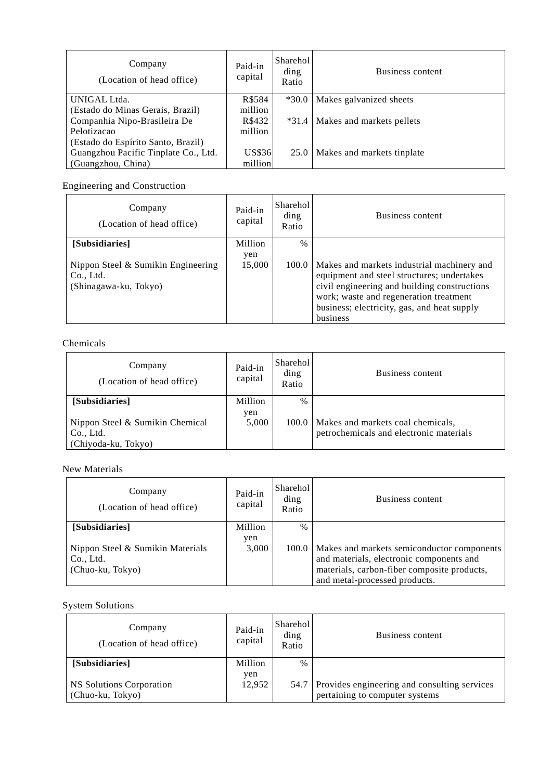| Company<br>(Location of head office) | Paid-in<br>capital | Sharehol<br>ding<br>Ratio | Business content           |
|--------------------------------------|--------------------|---------------------------|----------------------------|
| UNIGAL Ltda.                         | R\$584             | $*30.0$                   | Makes galvanized sheets    |
| (Estado do Minas Gerais, Brazil)     | million            |                           |                            |
| Companhia Nipo-Brasileira De         | R\$432             | $*31.4$                   | Makes and markets pellets  |
| Pelotizacao                          | million            |                           |                            |
| (Estado do Espírito Santo, Brazil)   |                    |                           |                            |
| Guangzhou Pacific Tinplate Co., Ltd. | US\$36             | 25.0                      | Makes and markets tinplate |
| (Guangzhou, China)                   | million            |                           |                            |

# Engineering and Construction

| Company<br>(Location of head office)                                     | Paid-in<br>capital | Sharehol<br>ding<br>Ratio | Business content                                                                                                                                                                                                                              |
|--------------------------------------------------------------------------|--------------------|---------------------------|-----------------------------------------------------------------------------------------------------------------------------------------------------------------------------------------------------------------------------------------------|
| [Subsidiaries]                                                           | Million<br>yen     | $\%$                      |                                                                                                                                                                                                                                               |
| Nippon Steel & Sumikin Engineering<br>Co., Ltd.<br>(Shinagawa-ku, Tokyo) | 15,000             | 100.0                     | Makes and markets industrial machinery and<br>equipment and steel structures; undertakes<br>civil engineering and building constructions<br>work; waste and regeneration treatment<br>business; electricity, gas, and heat supply<br>business |

# Chemicals

| Company<br>(Location of head office) | Paid-in<br>capital | Sharehol<br>ding<br>Ratio | Business content                          |
|--------------------------------------|--------------------|---------------------------|-------------------------------------------|
| [Subsidiaries]                       | Million            | $\frac{0}{0}$             |                                           |
|                                      | yen                |                           |                                           |
| Nippon Steel & Sumikin Chemical      | 5,000              |                           | 100.0   Makes and markets coal chemicals, |
| Co., Ltd.                            |                    |                           | petrochemicals and electronic materials   |
| (Chiyoda-ku, Tokyo)                  |                    |                           |                                           |

New Materials

| Company<br>(Location of head office)                              | Paid-in<br>capital | Sharehol<br>ding<br>Ratio | Business content                                                                                                                                                       |
|-------------------------------------------------------------------|--------------------|---------------------------|------------------------------------------------------------------------------------------------------------------------------------------------------------------------|
| [Subsidiaries]                                                    | Million            | $\%$                      |                                                                                                                                                                        |
| Nippon Steel & Sumikin Materials<br>Co., Ltd.<br>(Chuo-ku, Tokyo) | yen<br>3,000       | 100.0                     | Makes and markets semiconductor components<br>and materials, electronic components and<br>materials, carbon-fiber composite products,<br>and metal-processed products. |

# System Solutions

| Company<br>(Location of head office) | Paid-in<br>capital | <b>Sharehol</b><br>ding<br>Ratio | Business content                             |
|--------------------------------------|--------------------|----------------------------------|----------------------------------------------|
| [Subsidiaries]                       | Million            | $\frac{0}{0}$                    |                                              |
|                                      | yen                |                                  |                                              |
| NS Solutions Corporation             | 12.952             | 54.7                             | Provides engineering and consulting services |
| (Chuo-ku, Tokyo)                     |                    |                                  | pertaining to computer systems               |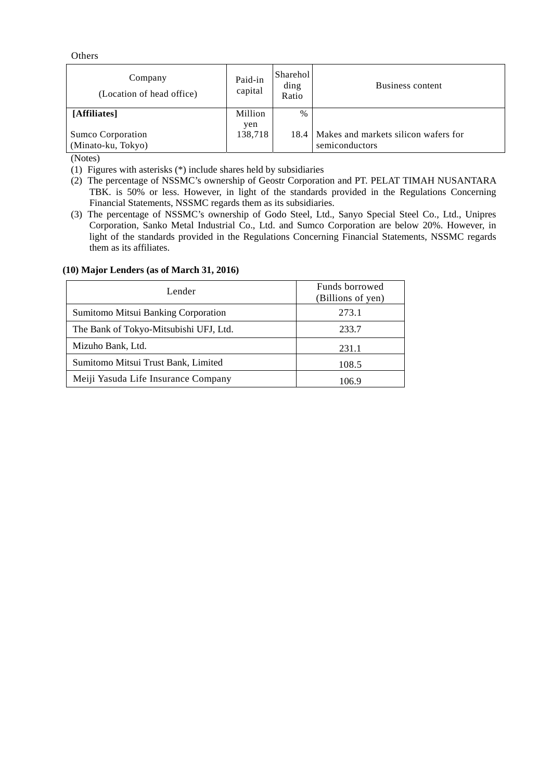Others

| Company<br>(Location of head office) | Paid-in<br>capital | <b>Sharehol</b><br>ding<br>Ratio | Business content                            |
|--------------------------------------|--------------------|----------------------------------|---------------------------------------------|
| [Affiliates]                         | Million            | $\%$                             |                                             |
|                                      | yen                |                                  |                                             |
| Sumco Corporation                    | 138,718            |                                  | 18.4   Makes and markets silicon wafers for |
| (Minato-ku, Tokyo)                   |                    |                                  | semiconductors                              |

(Notes)

(1) Figures with asterisks (\*) include shares held by subsidiaries

- (2) The percentage of NSSMC's ownership of Geostr Corporation and PT. PELAT TIMAH NUSANTARA TBK. is 50% or less. However, in light of the standards provided in the Regulations Concerning Financial Statements, NSSMC regards them as its subsidiaries.
- (3) The percentage of NSSMC's ownership of Godo Steel, Ltd., Sanyo Special Steel Co., Ltd., Unipres Corporation, Sanko Metal Industrial Co., Ltd. and Sumco Corporation are below 20%. However, in light of the standards provided in the Regulations Concerning Financial Statements, NSSMC regards them as its affiliates.

# **(10) Major Lenders (as of March 31, 2016)**

| Lender                                     | Funds borrowed<br>(Billions of yen) |
|--------------------------------------------|-------------------------------------|
| <b>Sumitomo Mitsui Banking Corporation</b> | 273.1                               |
| The Bank of Tokyo-Mitsubishi UFJ, Ltd.     | 233.7                               |
| Mizuho Bank, Ltd.                          | 231.1                               |
| Sumitomo Mitsui Trust Bank, Limited        | 108.5                               |
| Meiji Yasuda Life Insurance Company        | 106.9                               |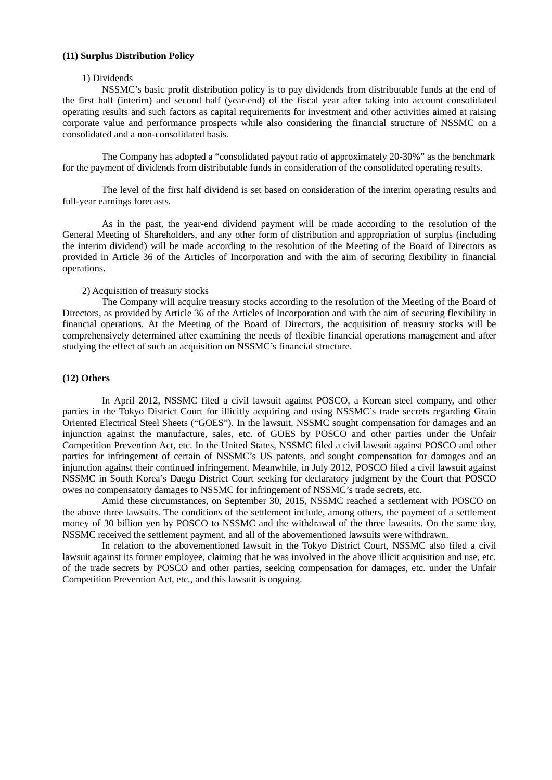## **(11) Surplus Distribution Policy**

## 1) Dividends

NSSMC's basic profit distribution policy is to pay dividends from distributable funds at the end of the first half (interim) and second half (year-end) of the fiscal year after taking into account consolidated operating results and such factors as capital requirements for investment and other activities aimed at raising corporate value and performance prospects while also considering the financial structure of NSSMC on a consolidated and a non-consolidated basis.

The Company has adopted a "consolidated payout ratio of approximately 20-30%" as the benchmark for the payment of dividends from distributable funds in consideration of the consolidated operating results.

The level of the first half dividend is set based on consideration of the interim operating results and full-year earnings forecasts.

As in the past, the year-end dividend payment will be made according to the resolution of the General Meeting of Shareholders, and any other form of distribution and appropriation of surplus (including the interim dividend) will be made according to the resolution of the Meeting of the Board of Directors as provided in Article 36 of the Articles of Incorporation and with the aim of securing flexibility in financial operations.

## 2) Acquisition of treasury stocks

The Company will acquire treasury stocks according to the resolution of the Meeting of the Board of Directors, as provided by Article 36 of the Articles of Incorporation and with the aim of securing flexibility in financial operations. At the Meeting of the Board of Directors, the acquisition of treasury stocks will be comprehensively determined after examining the needs of flexible financial operations management and after studying the effect of such an acquisition on NSSMC's financial structure.

## **(12) Others**

In April 2012, NSSMC filed a civil lawsuit against POSCO, a Korean steel company, and other parties in the Tokyo District Court for illicitly acquiring and using NSSMC's trade secrets regarding Grain Oriented Electrical Steel Sheets ("GOES"). In the lawsuit, NSSMC sought compensation for damages and an injunction against the manufacture, sales, etc. of GOES by POSCO and other parties under the Unfair Competition Prevention Act, etc. In the United States, NSSMC filed a civil lawsuit against POSCO and other parties for infringement of certain of NSSMC's US patents, and sought compensation for damages and an injunction against their continued infringement. Meanwhile, in July 2012, POSCO filed a civil lawsuit against NSSMC in South Korea's Daegu District Court seeking for declaratory judgment by the Court that POSCO owes no compensatory damages to NSSMC for infringement of NSSMC's trade secrets, etc.

Amid these circumstances, on September 30, 2015, NSSMC reached a settlement with POSCO on the above three lawsuits. The conditions of the settlement include, among others, the payment of a settlement money of 30 billion yen by POSCO to NSSMC and the withdrawal of the three lawsuits. On the same day, NSSMC received the settlement payment, and all of the abovementioned lawsuits were withdrawn.

In relation to the abovementioned lawsuit in the Tokyo District Court, NSSMC also filed a civil lawsuit against its former employee, claiming that he was involved in the above illicit acquisition and use, etc. of the trade secrets by POSCO and other parties, seeking compensation for damages, etc. under the Unfair Competition Prevention Act, etc., and this lawsuit is ongoing.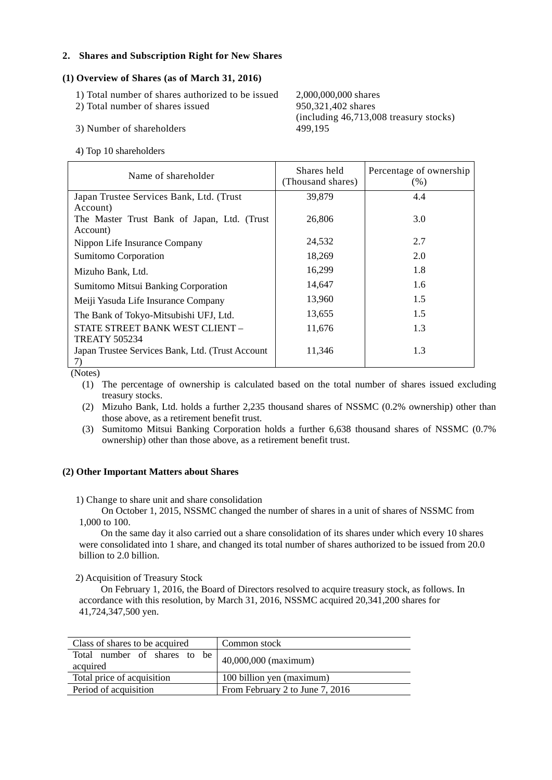# **2. Shares and Subscription Right for New Shares**

## **(1) Overview of Shares (as of March 31, 2016)**

- 1) Total number of shares authorized to be issued 2,000,000,000 shares
- 2) Total number of shares issued 950,321,402 shares
- 3) Number of shareholders 499,195
- 4) Top 10 shareholders

| Name of shareholder                                                 | Shares held<br>(Thousand shares) | Percentage of ownership<br>(% ) |
|---------------------------------------------------------------------|----------------------------------|---------------------------------|
| Japan Trustee Services Bank, Ltd. (Trust                            | 39,879                           | 4.4                             |
| Account)<br>The Master Trust Bank of Japan, Ltd. (Trust<br>Account) | 26,806                           | 3.0                             |
| Nippon Life Insurance Company                                       | 24,532                           | 2.7                             |
| Sumitomo Corporation                                                | 18,269                           | 2.0                             |
| Mizuho Bank, Ltd.                                                   | 16,299                           | 1.8                             |
| Sumitomo Mitsui Banking Corporation                                 | 14,647                           | 1.6                             |
| Meiji Yasuda Life Insurance Company                                 | 13,960                           | 1.5                             |
| The Bank of Tokyo-Mitsubishi UFJ, Ltd.                              | 13,655                           | 1.5                             |
| STATE STREET BANK WEST CLIENT -                                     | 11,676                           | 1.3                             |
| <b>TREATY 505234</b>                                                |                                  |                                 |
| Japan Trustee Services Bank, Ltd. (Trust Account<br>7)              | 11,346                           | 1.3                             |

(Notes)

(1) The percentage of ownership is calculated based on the total number of shares issued excluding treasury stocks.

(2) Mizuho Bank, Ltd. holds a further 2,235 thousand shares of NSSMC (0.2% ownership) other than those above, as a retirement benefit trust.

(3) Sumitomo Mitsui Banking Corporation holds a further 6,638 thousand shares of NSSMC (0.7% ownership) other than those above, as a retirement benefit trust.

# **(2) Other Important Matters about Shares**

1) Change to share unit and share consolidation

On October 1, 2015, NSSMC changed the number of shares in a unit of shares of NSSMC from 1,000 to 100.

On the same day it also carried out a share consolidation of its shares under which every 10 shares were consolidated into 1 share, and changed its total number of shares authorized to be issued from 20.0 billion to 2.0 billion.

2) Acquisition of Treasury Stock

On February 1, 2016, the Board of Directors resolved to acquire treasury stock, as follows. In accordance with this resolution, by March 31, 2016, NSSMC acquired 20,341,200 shares for 41,724,347,500 yen.

| Class of shares to be acquired           | Common stock                    |
|------------------------------------------|---------------------------------|
| Total number of shares to be<br>acquired | 40,000,000 (maximum)            |
| Total price of acquisition               | 100 billion yen (maximum)       |
| Period of acquisition                    | From February 2 to June 7, 2016 |

(including 46,713,008 treasury stocks)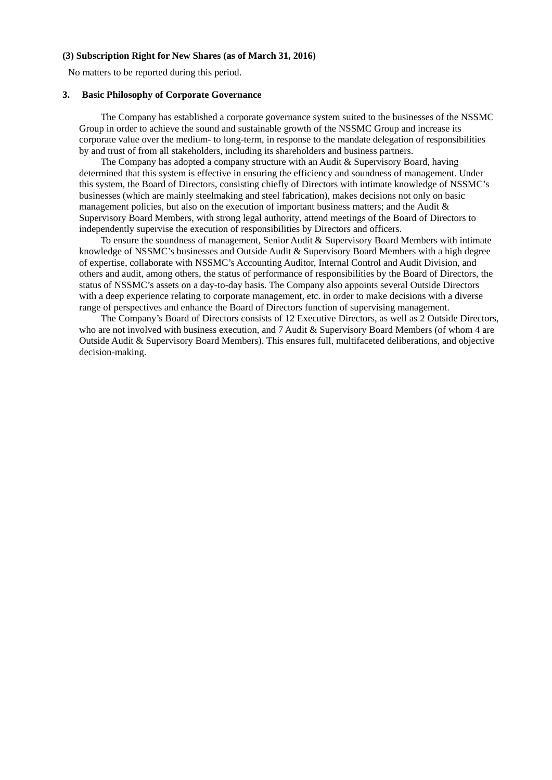# **(3) Subscription Right for New Shares (as of March 31, 2016)**

No matters to be reported during this period.

## **3. Basic Philosophy of Corporate Governance**

The Company has established a corporate governance system suited to the businesses of the NSSMC Group in order to achieve the sound and sustainable growth of the NSSMC Group and increase its corporate value over the medium- to long-term, in response to the mandate delegation of responsibilities by and trust of from all stakeholders, including its shareholders and business partners.

The Company has adopted a company structure with an Audit & Supervisory Board, having determined that this system is effective in ensuring the efficiency and soundness of management. Under this system, the Board of Directors, consisting chiefly of Directors with intimate knowledge of NSSMC's businesses (which are mainly steelmaking and steel fabrication), makes decisions not only on basic management policies, but also on the execution of important business matters; and the Audit  $\&$ Supervisory Board Members, with strong legal authority, attend meetings of the Board of Directors to independently supervise the execution of responsibilities by Directors and officers.

To ensure the soundness of management, Senior Audit & Supervisory Board Members with intimate knowledge of NSSMC's businesses and Outside Audit & Supervisory Board Members with a high degree of expertise, collaborate with NSSMC's Accounting Auditor, Internal Control and Audit Division, and others and audit, among others, the status of performance of responsibilities by the Board of Directors, the status of NSSMC's assets on a day-to-day basis. The Company also appoints several Outside Directors with a deep experience relating to corporate management, etc. in order to make decisions with a diverse range of perspectives and enhance the Board of Directors function of supervising management.

The Company's Board of Directors consists of 12 Executive Directors, as well as 2 Outside Directors, who are not involved with business execution, and 7 Audit & Supervisory Board Members (of whom 4 are Outside Audit & Supervisory Board Members). This ensures full, multifaceted deliberations, and objective decision-making.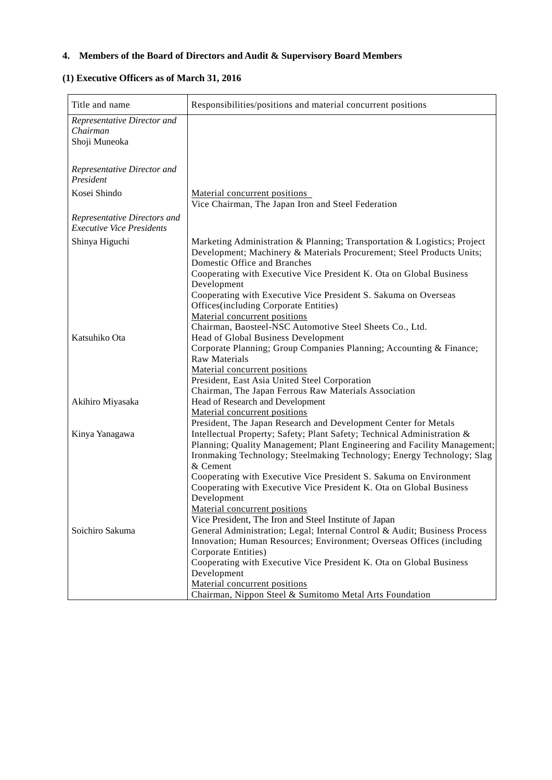# **4. Members of the Board of Directors and Audit & Supervisory Board Members**

# **(1) Executive Officers as of March 31, 2016**

| Title and name                   | Responsibilities/positions and material concurrent positions                                                                                      |
|----------------------------------|---------------------------------------------------------------------------------------------------------------------------------------------------|
| Representative Director and      |                                                                                                                                                   |
| Chairman                         |                                                                                                                                                   |
| Shoji Muneoka                    |                                                                                                                                                   |
|                                  |                                                                                                                                                   |
| Representative Director and      |                                                                                                                                                   |
| President                        |                                                                                                                                                   |
| Kosei Shindo                     | Material concurrent positions                                                                                                                     |
|                                  | Vice Chairman, The Japan Iron and Steel Federation                                                                                                |
| Representative Directors and     |                                                                                                                                                   |
| <b>Executive Vice Presidents</b> |                                                                                                                                                   |
|                                  |                                                                                                                                                   |
| Shinya Higuchi                   | Marketing Administration & Planning; Transportation & Logistics; Project<br>Development; Machinery & Materials Procurement; Steel Products Units; |
|                                  | Domestic Office and Branches                                                                                                                      |
|                                  | Cooperating with Executive Vice President K. Ota on Global Business                                                                               |
|                                  | Development                                                                                                                                       |
|                                  | Cooperating with Executive Vice President S. Sakuma on Overseas                                                                                   |
|                                  | <b>Offices</b> (including Corporate Entities)                                                                                                     |
|                                  | Material concurrent positions                                                                                                                     |
|                                  | Chairman, Baosteel-NSC Automotive Steel Sheets Co., Ltd.                                                                                          |
| Katsuhiko Ota                    | Head of Global Business Development                                                                                                               |
|                                  | Corporate Planning; Group Companies Planning; Accounting & Finance;                                                                               |
|                                  | Raw Materials                                                                                                                                     |
|                                  | Material concurrent positions                                                                                                                     |
|                                  | President, East Asia United Steel Corporation                                                                                                     |
|                                  | Chairman, The Japan Ferrous Raw Materials Association                                                                                             |
| Akihiro Miyasaka                 | Head of Research and Development<br>Material concurrent positions                                                                                 |
|                                  | President, The Japan Research and Development Center for Metals                                                                                   |
| Kinya Yanagawa                   | Intellectual Property; Safety; Plant Safety; Technical Administration &                                                                           |
|                                  | Planning; Quality Management; Plant Engineering and Facility Management;                                                                          |
|                                  | Ironmaking Technology; Steelmaking Technology; Energy Technology; Slag                                                                            |
|                                  | & Cement                                                                                                                                          |
|                                  | Cooperating with Executive Vice President S. Sakuma on Environment                                                                                |
|                                  | Cooperating with Executive Vice President K. Ota on Global Business                                                                               |
|                                  | Development                                                                                                                                       |
|                                  | Material concurrent positions                                                                                                                     |
|                                  | Vice President, The Iron and Steel Institute of Japan                                                                                             |
| Soichiro Sakuma                  | General Administration; Legal; Internal Control & Audit; Business Process                                                                         |
|                                  | Innovation; Human Resources; Environment; Overseas Offices (including                                                                             |
|                                  | Corporate Entities)                                                                                                                               |
|                                  | Cooperating with Executive Vice President K. Ota on Global Business                                                                               |
|                                  | Development                                                                                                                                       |
|                                  | Material concurrent positions                                                                                                                     |
|                                  | Chairman, Nippon Steel & Sumitomo Metal Arts Foundation                                                                                           |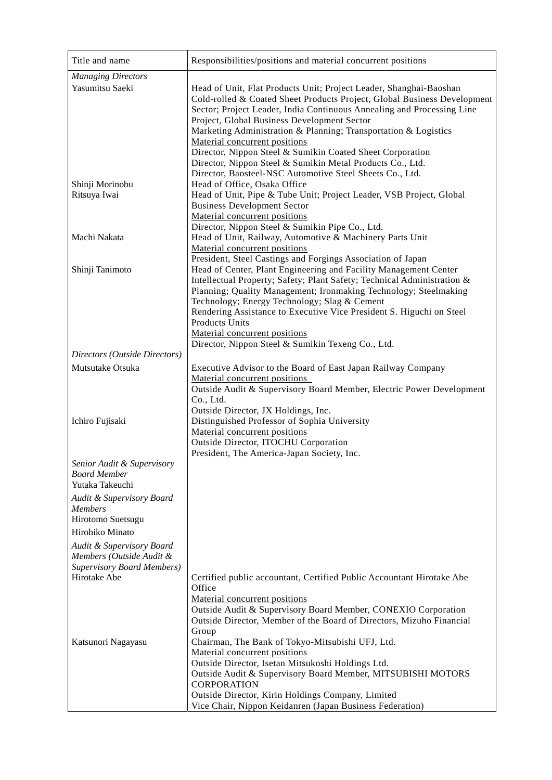| Title and name                                        | Responsibilities/positions and material concurrent positions                                                                                                                                                                                                            |
|-------------------------------------------------------|-------------------------------------------------------------------------------------------------------------------------------------------------------------------------------------------------------------------------------------------------------------------------|
| <b>Managing Directors</b>                             |                                                                                                                                                                                                                                                                         |
| Yasumitsu Saeki                                       | Head of Unit, Flat Products Unit; Project Leader, Shanghai-Baoshan<br>Cold-rolled & Coated Sheet Products Project, Global Business Development<br>Sector; Project Leader, India Continuous Annealing and Processing Line<br>Project, Global Business Development Sector |
|                                                       | Marketing Administration & Planning; Transportation & Logistics<br>Material concurrent positions                                                                                                                                                                        |
|                                                       | Director, Nippon Steel & Sumikin Coated Sheet Corporation<br>Director, Nippon Steel & Sumikin Metal Products Co., Ltd.                                                                                                                                                  |
|                                                       | Director, Baosteel-NSC Automotive Steel Sheets Co., Ltd.                                                                                                                                                                                                                |
| Shinji Morinobu<br>Ritsuya Iwai                       | Head of Office, Osaka Office<br>Head of Unit, Pipe & Tube Unit; Project Leader, VSB Project, Global                                                                                                                                                                     |
|                                                       | <b>Business Development Sector</b><br>Material concurrent positions                                                                                                                                                                                                     |
| Machi Nakata                                          | Director, Nippon Steel & Sumikin Pipe Co., Ltd.<br>Head of Unit, Railway, Automotive & Machinery Parts Unit                                                                                                                                                             |
|                                                       | Material concurrent positions                                                                                                                                                                                                                                           |
| Shinji Tanimoto                                       | President, Steel Castings and Forgings Association of Japan<br>Head of Center, Plant Engineering and Facility Management Center                                                                                                                                         |
|                                                       | Intellectual Property; Safety; Plant Safety; Technical Administration &                                                                                                                                                                                                 |
|                                                       | Planning; Quality Management; Ironmaking Technology; Steelmaking<br>Technology; Energy Technology; Slag & Cement                                                                                                                                                        |
|                                                       | Rendering Assistance to Executive Vice President S. Higuchi on Steel<br><b>Products Units</b>                                                                                                                                                                           |
|                                                       | Material concurrent positions                                                                                                                                                                                                                                           |
| Directors (Outside Directors)                         | Director, Nippon Steel & Sumikin Texeng Co., Ltd.                                                                                                                                                                                                                       |
| Mutsutake Otsuka                                      | Executive Advisor to the Board of East Japan Railway Company                                                                                                                                                                                                            |
|                                                       | Material concurrent positions                                                                                                                                                                                                                                           |
|                                                       | Outside Audit & Supervisory Board Member, Electric Power Development<br>Co., Ltd.                                                                                                                                                                                       |
| Ichiro Fujisaki                                       | Outside Director, JX Holdings, Inc.<br>Distinguished Professor of Sophia University                                                                                                                                                                                     |
|                                                       | Material concurrent positions<br>Outside Director, ITOCHU Corporation                                                                                                                                                                                                   |
|                                                       | President, The America-Japan Society, Inc.                                                                                                                                                                                                                              |
| Senior Audit & Supervisory<br><b>Board Member</b>     |                                                                                                                                                                                                                                                                         |
| Yutaka Takeuchi                                       |                                                                                                                                                                                                                                                                         |
| Audit & Supervisory Board                             |                                                                                                                                                                                                                                                                         |
| <i>Members</i><br>Hirotomo Suetsugu                   |                                                                                                                                                                                                                                                                         |
| Hirohiko Minato                                       |                                                                                                                                                                                                                                                                         |
| Audit & Supervisory Board<br>Members (Outside Audit & |                                                                                                                                                                                                                                                                         |
| <b>Supervisory Board Members)</b><br>Hirotake Abe     | Certified public accountant, Certified Public Accountant Hirotake Abe<br>Office                                                                                                                                                                                         |
|                                                       | Material concurrent positions<br>Outside Audit & Supervisory Board Member, CONEXIO Corporation<br>Outside Director, Member of the Board of Directors, Mizuho Financial                                                                                                  |
| Katsunori Nagayasu                                    | Group<br>Chairman, The Bank of Tokyo-Mitsubishi UFJ, Ltd.                                                                                                                                                                                                               |
|                                                       | Material concurrent positions<br>Outside Director, Isetan Mitsukoshi Holdings Ltd.                                                                                                                                                                                      |
|                                                       | Outside Audit & Supervisory Board Member, MITSUBISHI MOTORS<br><b>CORPORATION</b>                                                                                                                                                                                       |
|                                                       | Outside Director, Kirin Holdings Company, Limited<br>Vice Chair, Nippon Keidanren (Japan Business Federation)                                                                                                                                                           |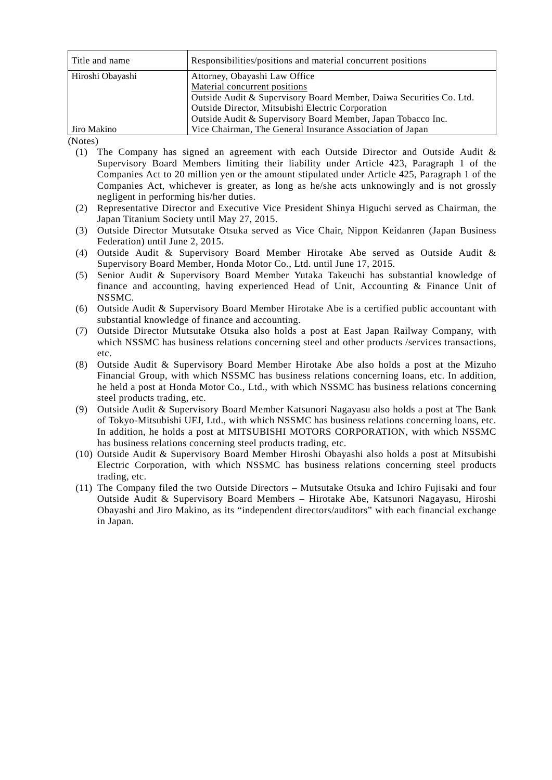| Title and name    | Responsibilities/positions and material concurrent positions        |
|-------------------|---------------------------------------------------------------------|
| Hiroshi Obayashi  | Attorney, Obayashi Law Office                                       |
|                   | Material concurrent positions                                       |
|                   | Outside Audit & Supervisory Board Member, Daiwa Securities Co. Ltd. |
|                   | Outside Director, Mitsubishi Electric Corporation                   |
|                   | Outside Audit & Supervisory Board Member, Japan Tobacco Inc.        |
| Jiro Makino       | Vice Chairman, The General Insurance Association of Japan           |
| $(N_{\text{of}})$ |                                                                     |

(Notes)

- (1) The Company has signed an agreement with each Outside Director and Outside Audit & Supervisory Board Members limiting their liability under Article 423, Paragraph 1 of the Companies Act to 20 million yen or the amount stipulated under Article 425, Paragraph 1 of the Companies Act, whichever is greater, as long as he/she acts unknowingly and is not grossly negligent in performing his/her duties.
- (2) Representative Director and Executive Vice President Shinya Higuchi served as Chairman, the Japan Titanium Society until May 27, 2015.
- (3) Outside Director Mutsutake Otsuka served as Vice Chair, Nippon Keidanren (Japan Business Federation) until June 2, 2015.
- (4) Outside Audit & Supervisory Board Member Hirotake Abe served as Outside Audit & Supervisory Board Member, Honda Motor Co., Ltd. until June 17, 2015.
- (5) Senior Audit & Supervisory Board Member Yutaka Takeuchi has substantial knowledge of finance and accounting, having experienced Head of Unit, Accounting & Finance Unit of NSSMC.
- (6) Outside Audit & Supervisory Board Member Hirotake Abe is a certified public accountant with substantial knowledge of finance and accounting.
- (7) Outside Director Mutsutake Otsuka also holds a post at East Japan Railway Company, with which NSSMC has business relations concerning steel and other products /services transactions, etc.
- (8) Outside Audit & Supervisory Board Member Hirotake Abe also holds a post at the Mizuho Financial Group, with which NSSMC has business relations concerning loans, etc. In addition, he held a post at Honda Motor Co., Ltd., with which NSSMC has business relations concerning steel products trading, etc.
- (9) Outside Audit & Supervisory Board Member Katsunori Nagayasu also holds a post at The Bank of Tokyo-Mitsubishi UFJ, Ltd., with which NSSMC has business relations concerning loans, etc. In addition, he holds a post at MITSUBISHI MOTORS CORPORATION, with which NSSMC has business relations concerning steel products trading, etc.
- (10) Outside Audit & Supervisory Board Member Hiroshi Obayashi also holds a post at Mitsubishi Electric Corporation, with which NSSMC has business relations concerning steel products trading, etc.
- (11) The Company filed the two Outside Directors Mutsutake Otsuka and Ichiro Fujisaki and four Outside Audit & Supervisory Board Members – Hirotake Abe, Katsunori Nagayasu, Hiroshi Obayashi and Jiro Makino, as its "independent directors/auditors" with each financial exchange in Japan.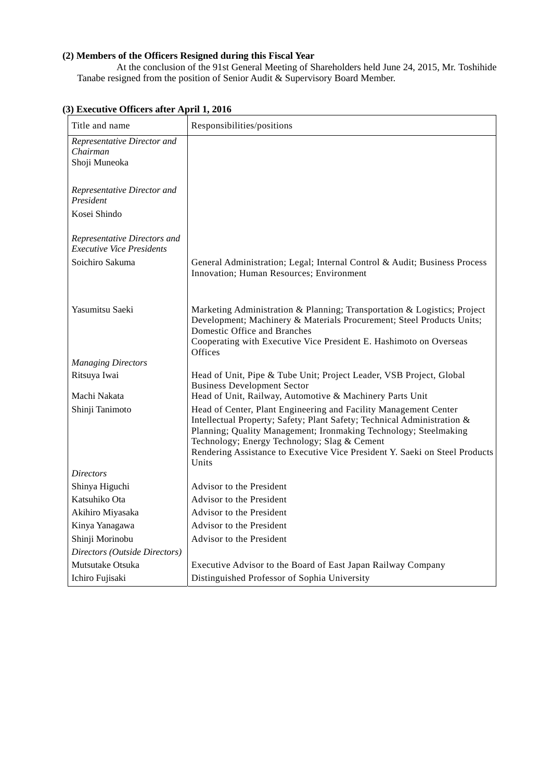# **(2) Members of the Officers Resigned during this Fiscal Year**

At the conclusion of the 91st General Meeting of Shareholders held June 24, 2015, Mr. Toshihide Tanabe resigned from the position of Senior Audit & Supervisory Board Member.

| Title and name                                                   | Responsibilities/positions                                                                                                                                                                                                                                                                                                                              |
|------------------------------------------------------------------|---------------------------------------------------------------------------------------------------------------------------------------------------------------------------------------------------------------------------------------------------------------------------------------------------------------------------------------------------------|
| Representative Director and<br>Chairman<br>Shoji Muneoka         |                                                                                                                                                                                                                                                                                                                                                         |
| Representative Director and<br>President                         |                                                                                                                                                                                                                                                                                                                                                         |
| Kosei Shindo                                                     |                                                                                                                                                                                                                                                                                                                                                         |
| Representative Directors and<br><b>Executive Vice Presidents</b> |                                                                                                                                                                                                                                                                                                                                                         |
| Soichiro Sakuma                                                  | General Administration; Legal; Internal Control & Audit; Business Process<br>Innovation; Human Resources; Environment                                                                                                                                                                                                                                   |
| Yasumitsu Saeki                                                  | Marketing Administration & Planning; Transportation & Logistics; Project<br>Development; Machinery & Materials Procurement; Steel Products Units;<br>Domestic Office and Branches<br>Cooperating with Executive Vice President E. Hashimoto on Overseas<br><b>Offices</b>                                                                               |
| <b>Managing Directors</b>                                        |                                                                                                                                                                                                                                                                                                                                                         |
| Ritsuya Iwai                                                     | Head of Unit, Pipe & Tube Unit; Project Leader, VSB Project, Global<br><b>Business Development Sector</b>                                                                                                                                                                                                                                               |
| Machi Nakata                                                     | Head of Unit, Railway, Automotive & Machinery Parts Unit                                                                                                                                                                                                                                                                                                |
| Shinji Tanimoto                                                  | Head of Center, Plant Engineering and Facility Management Center<br>Intellectual Property; Safety; Plant Safety; Technical Administration &<br>Planning; Quality Management; Ironmaking Technology; Steelmaking<br>Technology; Energy Technology; Slag & Cement<br>Rendering Assistance to Executive Vice President Y. Saeki on Steel Products<br>Units |
| <b>Directors</b>                                                 |                                                                                                                                                                                                                                                                                                                                                         |
| Shinya Higuchi                                                   | Advisor to the President                                                                                                                                                                                                                                                                                                                                |
| Katsuhiko Ota                                                    | Advisor to the President                                                                                                                                                                                                                                                                                                                                |
| Akihiro Miyasaka                                                 | Advisor to the President                                                                                                                                                                                                                                                                                                                                |
| Kinya Yanagawa                                                   | Advisor to the President                                                                                                                                                                                                                                                                                                                                |
| Shinji Morinobu                                                  | Advisor to the President                                                                                                                                                                                                                                                                                                                                |
| Directors (Outside Directors)                                    |                                                                                                                                                                                                                                                                                                                                                         |
| Mutsutake Otsuka                                                 | Executive Advisor to the Board of East Japan Railway Company                                                                                                                                                                                                                                                                                            |
| Ichiro Fujisaki                                                  | Distinguished Professor of Sophia University                                                                                                                                                                                                                                                                                                            |

# **(3) Executive Officers after April 1, 2016**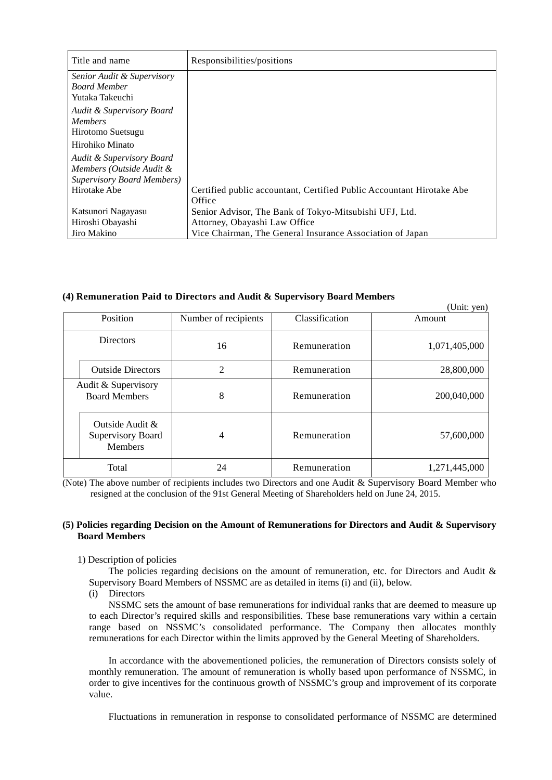| Title and name                                                                             | Responsibilities/positions                                            |
|--------------------------------------------------------------------------------------------|-----------------------------------------------------------------------|
| Senior Audit & Supervisory<br><b>Board Member</b><br>Yutaka Takeuchi                       |                                                                       |
| Audit & Supervisory Board<br><i>Members</i><br>Hirotomo Suetsugu                           |                                                                       |
| Hirohiko Minato                                                                            |                                                                       |
| Audit & Supervisory Board<br>Members (Outside Audit &<br><b>Supervisory Board Members)</b> |                                                                       |
| Hirotake Abe                                                                               | Certified public accountant, Certified Public Accountant Hirotake Abe |
|                                                                                            | Office                                                                |
| Katsunori Nagayasu                                                                         | Senior Advisor, The Bank of Tokyo-Mitsubishi UFJ, Ltd.                |
| Hiroshi Obayashi                                                                           | Attorney, Obayashi Law Office                                         |
| Jiro Makino                                                                                | Vice Chairman, The General Insurance Association of Japan             |

# **(4) Remuneration Paid to Directors and Audit & Supervisory Board Members**

|                                                               |                      |                | (Unit: yen)   |
|---------------------------------------------------------------|----------------------|----------------|---------------|
| Position                                                      | Number of recipients | Classification | Amount        |
| <b>Directors</b>                                              | 16                   | Remuneration   | 1,071,405,000 |
| <b>Outside Directors</b>                                      | 2                    | Remuneration   | 28,800,000    |
| Audit & Supervisory<br><b>Board Members</b>                   | 8                    | Remuneration   | 200,040,000   |
| Outside Audit &<br><b>Supervisory Board</b><br><b>Members</b> | 4                    | Remuneration   | 57,600,000    |
| Total                                                         | 24                   | Remuneration   | 1,271,445,000 |

(Note) The above number of recipients includes two Directors and one Audit & Supervisory Board Member who resigned at the conclusion of the 91st General Meeting of Shareholders held on June 24, 2015.

### **(5) Policies regarding Decision on the Amount of Remunerations for Directors and Audit & Supervisory Board Members**

1) Description of policies

The policies regarding decisions on the amount of remuneration, etc. for Directors and Audit  $\&$ Supervisory Board Members of NSSMC are as detailed in items (i) and (ii), below.

(i) Directors

NSSMC sets the amount of base remunerations for individual ranks that are deemed to measure up to each Director's required skills and responsibilities. These base remunerations vary within a certain range based on NSSMC's consolidated performance. The Company then allocates monthly remunerations for each Director within the limits approved by the General Meeting of Shareholders.

In accordance with the abovementioned policies, the remuneration of Directors consists solely of monthly remuneration. The amount of remuneration is wholly based upon performance of NSSMC, in order to give incentives for the continuous growth of NSSMC's group and improvement of its corporate value.

Fluctuations in remuneration in response to consolidated performance of NSSMC are determined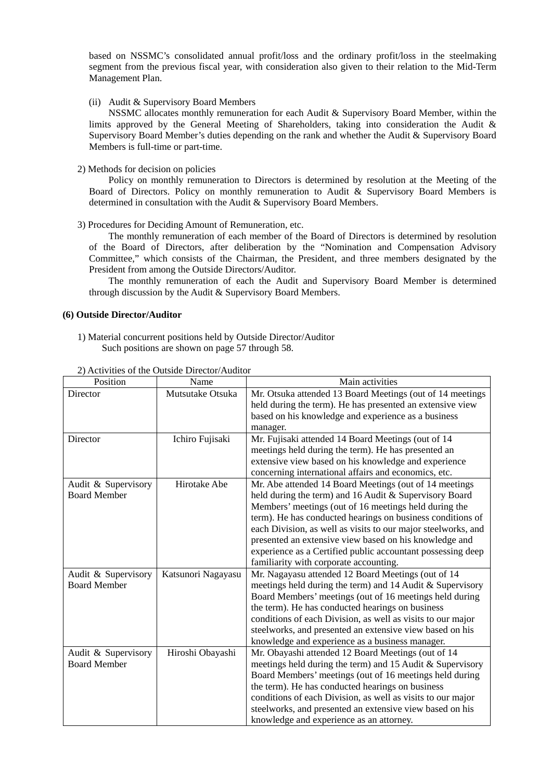based on NSSMC's consolidated annual profit/loss and the ordinary profit/loss in the steelmaking segment from the previous fiscal year, with consideration also given to their relation to the Mid-Term Management Plan.

## (ii) Audit & Supervisory Board Members

NSSMC allocates monthly remuneration for each Audit & Supervisory Board Member, within the limits approved by the General Meeting of Shareholders, taking into consideration the Audit & Supervisory Board Member's duties depending on the rank and whether the Audit & Supervisory Board Members is full-time or part-time.

## 2) Methods for decision on policies

Policy on monthly remuneration to Directors is determined by resolution at the Meeting of the Board of Directors. Policy on monthly remuneration to Audit & Supervisory Board Members is determined in consultation with the Audit & Supervisory Board Members.

#### 3) Procedures for Deciding Amount of Remuneration, etc.

The monthly remuneration of each member of the Board of Directors is determined by resolution of the Board of Directors, after deliberation by the "Nomination and Compensation Advisory Committee," which consists of the Chairman, the President, and three members designated by the President from among the Outside Directors/Auditor.

The monthly remuneration of each the Audit and Supervisory Board Member is determined through discussion by the Audit & Supervisory Board Members.

### **(6) Outside Director/Auditor**

1) Material concurrent positions held by Outside Director/Auditor Such positions are shown on page 57 through 58.

| Position            | Name               | Main activities                                               |  |  |
|---------------------|--------------------|---------------------------------------------------------------|--|--|
| Director            | Mutsutake Otsuka   | Mr. Otsuka attended 13 Board Meetings (out of 14 meetings)    |  |  |
|                     |                    | held during the term). He has presented an extensive view     |  |  |
|                     |                    | based on his knowledge and experience as a business           |  |  |
|                     |                    | manager.                                                      |  |  |
| Director            | Ichiro Fujisaki    | Mr. Fujisaki attended 14 Board Meetings (out of 14            |  |  |
|                     |                    | meetings held during the term). He has presented an           |  |  |
|                     |                    | extensive view based on his knowledge and experience          |  |  |
|                     |                    | concerning international affairs and economics, etc.          |  |  |
| Audit & Supervisory | Hirotake Abe       | Mr. Abe attended 14 Board Meetings (out of 14 meetings        |  |  |
| <b>Board Member</b> |                    | held during the term) and 16 Audit & Supervisory Board        |  |  |
|                     |                    | Members' meetings (out of 16 meetings held during the         |  |  |
|                     |                    | term). He has conducted hearings on business conditions of    |  |  |
|                     |                    | each Division, as well as visits to our major steelworks, and |  |  |
|                     |                    | presented an extensive view based on his knowledge and        |  |  |
|                     |                    | experience as a Certified public accountant possessing deep   |  |  |
|                     |                    | familiarity with corporate accounting.                        |  |  |
| Audit & Supervisory | Katsunori Nagayasu | Mr. Nagayasu attended 12 Board Meetings (out of 14            |  |  |
| <b>Board Member</b> |                    | meetings held during the term) and 14 Audit & Supervisory     |  |  |
|                     |                    | Board Members' meetings (out of 16 meetings held during       |  |  |
|                     |                    | the term). He has conducted hearings on business              |  |  |
|                     |                    | conditions of each Division, as well as visits to our major   |  |  |
|                     |                    | steelworks, and presented an extensive view based on his      |  |  |
|                     |                    | knowledge and experience as a business manager.               |  |  |
| Audit & Supervisory | Hiroshi Obayashi   | Mr. Obayashi attended 12 Board Meetings (out of 14            |  |  |
| <b>Board Member</b> |                    | meetings held during the term) and 15 Audit & Supervisory     |  |  |
|                     |                    | Board Members' meetings (out of 16 meetings held during       |  |  |
|                     |                    | the term). He has conducted hearings on business              |  |  |
|                     |                    | conditions of each Division, as well as visits to our major   |  |  |
|                     |                    | steelworks, and presented an extensive view based on his      |  |  |
|                     |                    | knowledge and experience as an attorney.                      |  |  |

## 2) Activities of the Outside Director/Auditor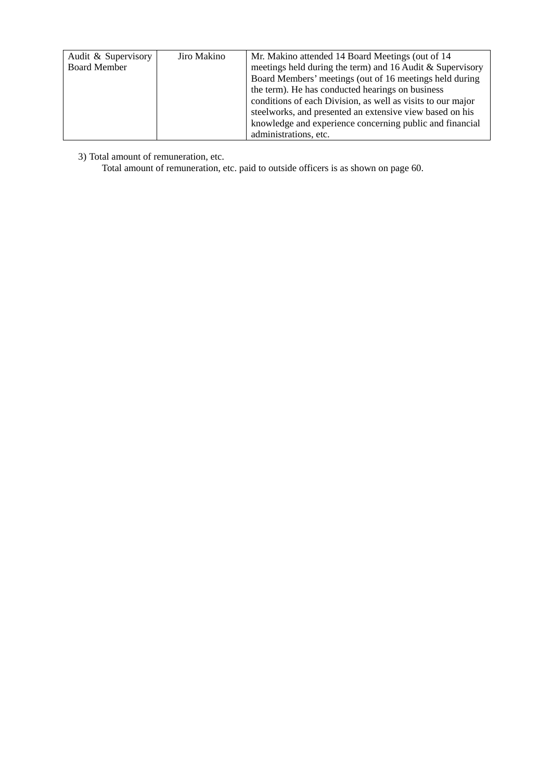| Audit & Supervisory | Jiro Makino | Mr. Makino attended 14 Board Meetings (out of 14            |
|---------------------|-------------|-------------------------------------------------------------|
| <b>Board Member</b> |             | meetings held during the term) and 16 Audit & Supervisory   |
|                     |             | Board Members' meetings (out of 16 meetings held during     |
|                     |             | the term). He has conducted hearings on business            |
|                     |             | conditions of each Division, as well as visits to our major |
|                     |             | steelworks, and presented an extensive view based on his    |
|                     |             | knowledge and experience concerning public and financial    |
|                     |             | administrations, etc.                                       |

3) Total amount of remuneration, etc.

Total amount of remuneration, etc. paid to outside officers is as shown on page 60.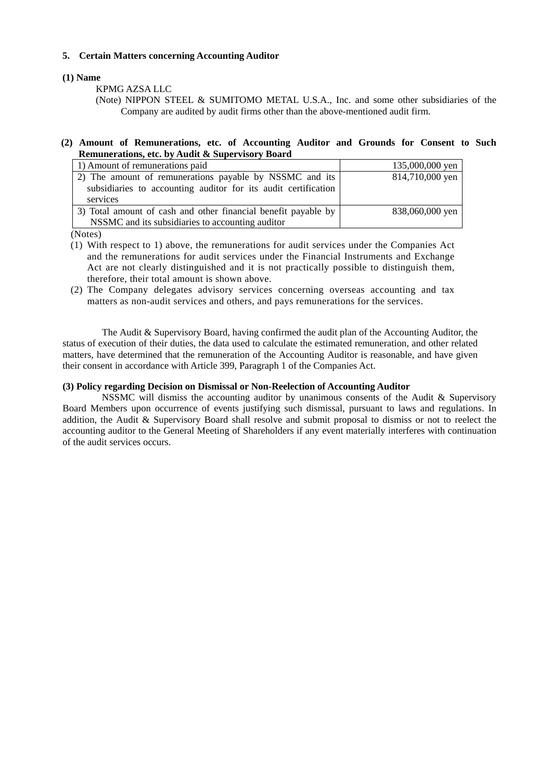# **5. Certain Matters concerning Accounting Auditor**

# **(1) Name**

KPMG AZSA LLC

(Note) NIPPON STEEL & SUMITOMO METAL U.S.A., Inc. and some other subsidiaries of the Company are audited by audit firms other than the above-mentioned audit firm.

## **(2) Amount of Remunerations, etc. of Accounting Auditor and Grounds for Consent to Such Remunerations, etc. by Audit & Supervisory Board**

| 1) Amount of remunerations paid                                | 135,000,000 yen |
|----------------------------------------------------------------|-----------------|
| (2) The amount of remunerations payable by NSSMC and its       | 814,710,000 yen |
| subsidiaries to accounting auditor for its audit certification |                 |
| services                                                       |                 |
| 3) Total amount of cash and other financial benefit payable by | 838,060,000 yen |
| NSSMC and its subsidiaries to accounting auditor               |                 |

(Notes)

- (1) With respect to 1) above, the remunerations for audit services under the Companies Act and the remunerations for audit services under the Financial Instruments and Exchange Act are not clearly distinguished and it is not practically possible to distinguish them, therefore, their total amount is shown above.
- (2) The Company delegates advisory services concerning overseas accounting and tax matters as non-audit services and others, and pays remunerations for the services.

The Audit & Supervisory Board, having confirmed the audit plan of the Accounting Auditor, the status of execution of their duties, the data used to calculate the estimated remuneration, and other related matters, have determined that the remuneration of the Accounting Auditor is reasonable, and have given their consent in accordance with Article 399, Paragraph 1 of the Companies Act.

# **(3) Policy regarding Decision on Dismissal or Non-Reelection of Accounting Auditor**

NSSMC will dismiss the accounting auditor by unanimous consents of the Audit & Supervisory Board Members upon occurrence of events justifying such dismissal, pursuant to laws and regulations. In addition, the Audit & Supervisory Board shall resolve and submit proposal to dismiss or not to reelect the accounting auditor to the General Meeting of Shareholders if any event materially interferes with continuation of the audit services occurs.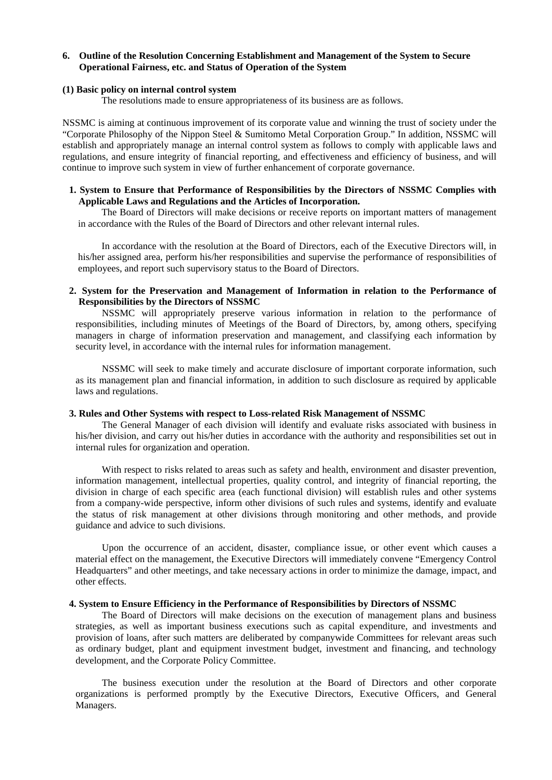## **6. Outline of the Resolution Concerning Establishment and Management of the System to Secure Operational Fairness, etc. and Status of Operation of the System**

### **(1) Basic policy on internal control system**

The resolutions made to ensure appropriateness of its business are as follows.

NSSMC is aiming at continuous improvement of its corporate value and winning the trust of society under the "Corporate Philosophy of the Nippon Steel & Sumitomo Metal Corporation Group." In addition, NSSMC will establish and appropriately manage an internal control system as follows to comply with applicable laws and regulations, and ensure integrity of financial reporting, and effectiveness and efficiency of business, and will continue to improve such system in view of further enhancement of corporate governance.

## **1. System to Ensure that Performance of Responsibilities by the Directors of NSSMC Complies with Applicable Laws and Regulations and the Articles of Incorporation.**

The Board of Directors will make decisions or receive reports on important matters of management in accordance with the Rules of the Board of Directors and other relevant internal rules.

In accordance with the resolution at the Board of Directors, each of the Executive Directors will, in his/her assigned area, perform his/her responsibilities and supervise the performance of responsibilities of employees, and report such supervisory status to the Board of Directors.

## **2. System for the Preservation and Management of Information in relation to the Performance of Responsibilities by the Directors of NSSMC**

NSSMC will appropriately preserve various information in relation to the performance of responsibilities, including minutes of Meetings of the Board of Directors, by, among others, specifying managers in charge of information preservation and management, and classifying each information by security level, in accordance with the internal rules for information management.

NSSMC will seek to make timely and accurate disclosure of important corporate information, such as its management plan and financial information, in addition to such disclosure as required by applicable laws and regulations.

#### **3. Rules and Other Systems with respect to Loss-related Risk Management of NSSMC**

The General Manager of each division will identify and evaluate risks associated with business in his/her division, and carry out his/her duties in accordance with the authority and responsibilities set out in internal rules for organization and operation.

With respect to risks related to areas such as safety and health, environment and disaster prevention, information management, intellectual properties, quality control, and integrity of financial reporting, the division in charge of each specific area (each functional division) will establish rules and other systems from a company-wide perspective, inform other divisions of such rules and systems, identify and evaluate the status of risk management at other divisions through monitoring and other methods, and provide guidance and advice to such divisions.

Upon the occurrence of an accident, disaster, compliance issue, or other event which causes a material effect on the management, the Executive Directors will immediately convene "Emergency Control Headquarters" and other meetings, and take necessary actions in order to minimize the damage, impact, and other effects.

# **4. System to Ensure Efficiency in the Performance of Responsibilities by Directors of NSSMC**

The Board of Directors will make decisions on the execution of management plans and business strategies, as well as important business executions such as capital expenditure, and investments and provision of loans, after such matters are deliberated by companywide Committees for relevant areas such as ordinary budget, plant and equipment investment budget, investment and financing, and technology development, and the Corporate Policy Committee.

The business execution under the resolution at the Board of Directors and other corporate organizations is performed promptly by the Executive Directors, Executive Officers, and General Managers.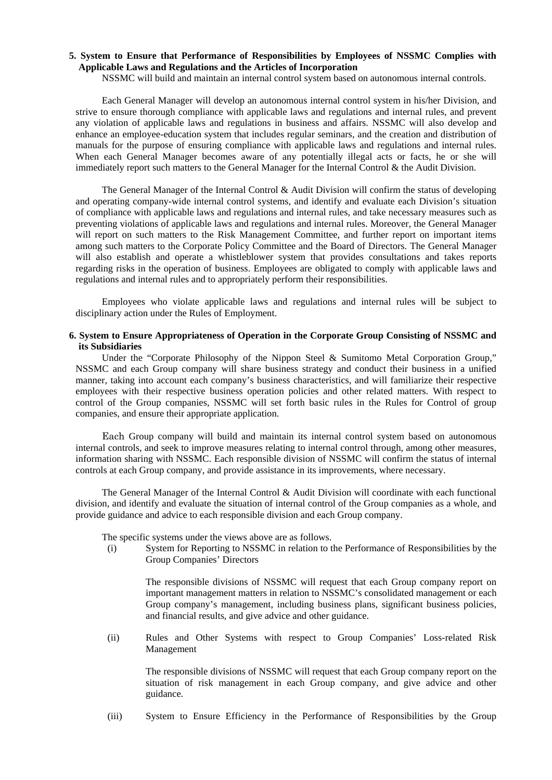# **5. System to Ensure that Performance of Responsibilities by Employees of NSSMC Complies with Applicable Laws and Regulations and the Articles of Incorporation**

NSSMC will build and maintain an internal control system based on autonomous internal controls.

Each General Manager will develop an autonomous internal control system in his/her Division, and strive to ensure thorough compliance with applicable laws and regulations and internal rules, and prevent any violation of applicable laws and regulations in business and affairs. NSSMC will also develop and enhance an employee-education system that includes regular seminars, and the creation and distribution of manuals for the purpose of ensuring compliance with applicable laws and regulations and internal rules. When each General Manager becomes aware of any potentially illegal acts or facts, he or she will immediately report such matters to the General Manager for the Internal Control & the Audit Division.

The General Manager of the Internal Control & Audit Division will confirm the status of developing and operating company-wide internal control systems, and identify and evaluate each Division's situation of compliance with applicable laws and regulations and internal rules, and take necessary measures such as preventing violations of applicable laws and regulations and internal rules. Moreover, the General Manager will report on such matters to the Risk Management Committee, and further report on important items among such matters to the Corporate Policy Committee and the Board of Directors. The General Manager will also establish and operate a whistleblower system that provides consultations and takes reports regarding risks in the operation of business. Employees are obligated to comply with applicable laws and regulations and internal rules and to appropriately perform their responsibilities.

Employees who violate applicable laws and regulations and internal rules will be subject to disciplinary action under the Rules of Employment.

## **6. System to Ensure Appropriateness of Operation in the Corporate Group Consisting of NSSMC and its Subsidiaries**

Under the "Corporate Philosophy of the Nippon Steel & Sumitomo Metal Corporation Group," NSSMC and each Group company will share business strategy and conduct their business in a unified manner, taking into account each company's business characteristics, and will familiarize their respective employees with their respective business operation policies and other related matters. With respect to control of the Group companies, NSSMC will set forth basic rules in the Rules for Control of group companies, and ensure their appropriate application.

Each Group company will build and maintain its internal control system based on autonomous internal controls, and seek to improve measures relating to internal control through, among other measures, information sharing with NSSMC. Each responsible division of NSSMC will confirm the status of internal controls at each Group company, and provide assistance in its improvements, where necessary.

The General Manager of the Internal Control & Audit Division will coordinate with each functional division, and identify and evaluate the situation of internal control of the Group companies as a whole, and provide guidance and advice to each responsible division and each Group company.

The specific systems under the views above are as follows.

(i) System for Reporting to NSSMC in relation to the Performance of Responsibilities by the Group Companies' Directors

The responsible divisions of NSSMC will request that each Group company report on important management matters in relation to NSSMC's consolidated management or each Group company's management, including business plans, significant business policies, and financial results, and give advice and other guidance.

(ii) Rules and Other Systems with respect to Group Companies' Loss-related Risk Management

The responsible divisions of NSSMC will request that each Group company report on the situation of risk management in each Group company, and give advice and other guidance.

(iii) System to Ensure Efficiency in the Performance of Responsibilities by the Group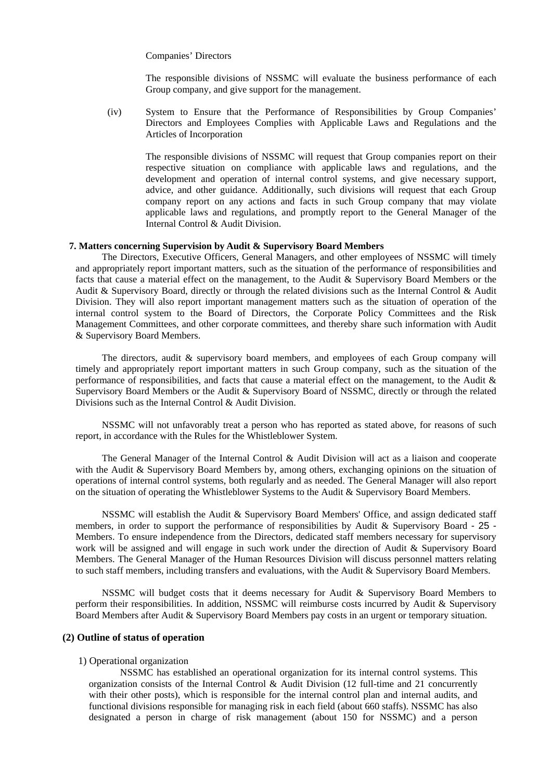#### Companies' Directors

The responsible divisions of NSSMC will evaluate the business performance of each Group company, and give support for the management.

(iv) System to Ensure that the Performance of Responsibilities by Group Companies' Directors and Employees Complies with Applicable Laws and Regulations and the Articles of Incorporation

> The responsible divisions of NSSMC will request that Group companies report on their respective situation on compliance with applicable laws and regulations, and the development and operation of internal control systems, and give necessary support, advice, and other guidance. Additionally, such divisions will request that each Group company report on any actions and facts in such Group company that may violate applicable laws and regulations, and promptly report to the General Manager of the Internal Control & Audit Division.

#### **7. Matters concerning Supervision by Audit & Supervisory Board Members**

The Directors, Executive Officers, General Managers, and other employees of NSSMC will timely and appropriately report important matters, such as the situation of the performance of responsibilities and facts that cause a material effect on the management, to the Audit & Supervisory Board Members or the Audit & Supervisory Board, directly or through the related divisions such as the Internal Control & Audit Division. They will also report important management matters such as the situation of operation of the internal control system to the Board of Directors, the Corporate Policy Committees and the Risk Management Committees, and other corporate committees, and thereby share such information with Audit & Supervisory Board Members.

The directors, audit & supervisory board members, and employees of each Group company will timely and appropriately report important matters in such Group company, such as the situation of the performance of responsibilities, and facts that cause a material effect on the management, to the Audit & Supervisory Board Members or the Audit & Supervisory Board of NSSMC, directly or through the related Divisions such as the Internal Control & Audit Division.

NSSMC will not unfavorably treat a person who has reported as stated above, for reasons of such report, in accordance with the Rules for the Whistleblower System.

The General Manager of the Internal Control & Audit Division will act as a liaison and cooperate with the Audit & Supervisory Board Members by, among others, exchanging opinions on the situation of operations of internal control systems, both regularly and as needed. The General Manager will also report on the situation of operating the Whistleblower Systems to the Audit & Supervisory Board Members.

NSSMC will establish the Audit & Supervisory Board Members' Office, and assign dedicated staff members, in order to support the performance of responsibilities by Audit & Supervisory Board - 25 - Members. To ensure independence from the Directors, dedicated staff members necessary for supervisory work will be assigned and will engage in such work under the direction of Audit & Supervisory Board Members. The General Manager of the Human Resources Division will discuss personnel matters relating to such staff members, including transfers and evaluations, with the Audit & Supervisory Board Members.

NSSMC will budget costs that it deems necessary for Audit & Supervisory Board Members to perform their responsibilities. In addition, NSSMC will reimburse costs incurred by Audit & Supervisory Board Members after Audit & Supervisory Board Members pay costs in an urgent or temporary situation.

## **(2) Outline of status of operation**

#### 1) Operational organization

NSSMC has established an operational organization for its internal control systems. This organization consists of the Internal Control & Audit Division (12 full-time and 21 concurrently with their other posts), which is responsible for the internal control plan and internal audits, and functional divisions responsible for managing risk in each field (about 660 staffs). NSSMC has also designated a person in charge of risk management (about 150 for NSSMC) and a person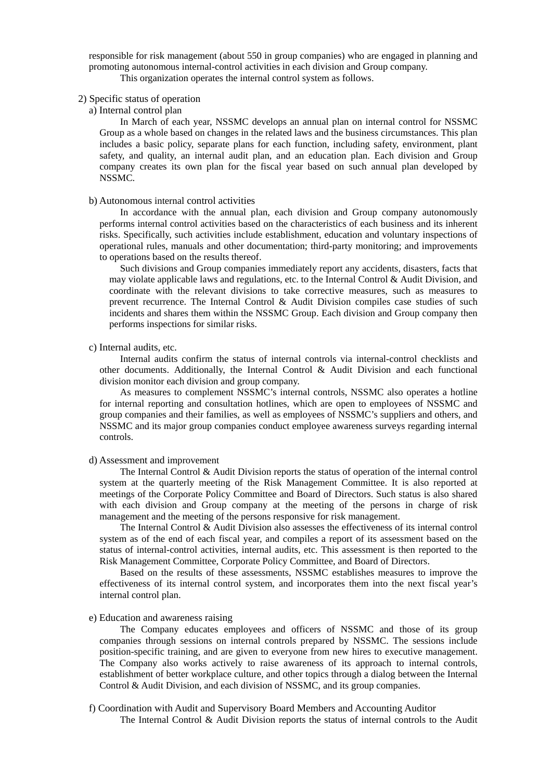responsible for risk management (about 550 in group companies) who are engaged in planning and promoting autonomous internal-control activities in each division and Group company. This organization operates the internal control system as follows.

#### 2) Specific status of operation

a) Internal control plan

In March of each year, NSSMC develops an annual plan on internal control for NSSMC Group as a whole based on changes in the related laws and the business circumstances. This plan includes a basic policy, separate plans for each function, including safety, environment, plant safety, and quality, an internal audit plan, and an education plan. Each division and Group company creates its own plan for the fiscal year based on such annual plan developed by NSSMC.

#### b) Autonomous internal control activities

In accordance with the annual plan, each division and Group company autonomously performs internal control activities based on the characteristics of each business and its inherent risks. Specifically, such activities include establishment, education and voluntary inspections of operational rules, manuals and other documentation; third-party monitoring; and improvements to operations based on the results thereof.

Such divisions and Group companies immediately report any accidents, disasters, facts that may violate applicable laws and regulations, etc. to the Internal Control & Audit Division, and coordinate with the relevant divisions to take corrective measures, such as measures to prevent recurrence. The Internal Control & Audit Division compiles case studies of such incidents and shares them within the NSSMC Group. Each division and Group company then performs inspections for similar risks.

#### c) Internal audits, etc.

Internal audits confirm the status of internal controls via internal-control checklists and other documents. Additionally, the Internal Control & Audit Division and each functional division monitor each division and group company.

As measures to complement NSSMC's internal controls, NSSMC also operates a hotline for internal reporting and consultation hotlines, which are open to employees of NSSMC and group companies and their families, as well as employees of NSSMC's suppliers and others, and NSSMC and its major group companies conduct employee awareness surveys regarding internal controls.

#### d) Assessment and improvement

The Internal Control & Audit Division reports the status of operation of the internal control system at the quarterly meeting of the Risk Management Committee. It is also reported at meetings of the Corporate Policy Committee and Board of Directors. Such status is also shared with each division and Group company at the meeting of the persons in charge of risk management and the meeting of the persons responsive for risk management.

The Internal Control & Audit Division also assesses the effectiveness of its internal control system as of the end of each fiscal year, and compiles a report of its assessment based on the status of internal-control activities, internal audits, etc. This assessment is then reported to the Risk Management Committee, Corporate Policy Committee, and Board of Directors.

Based on the results of these assessments, NSSMC establishes measures to improve the effectiveness of its internal control system, and incorporates them into the next fiscal year's internal control plan.

#### e) Education and awareness raising

The Company educates employees and officers of NSSMC and those of its group companies through sessions on internal controls prepared by NSSMC. The sessions include position-specific training, and are given to everyone from new hires to executive management. The Company also works actively to raise awareness of its approach to internal controls, establishment of better workplace culture, and other topics through a dialog between the Internal Control & Audit Division, and each division of NSSMC, and its group companies.

- f) Coordination with Audit and Supervisory Board Members and Accounting Auditor
	- The Internal Control & Audit Division reports the status of internal controls to the Audit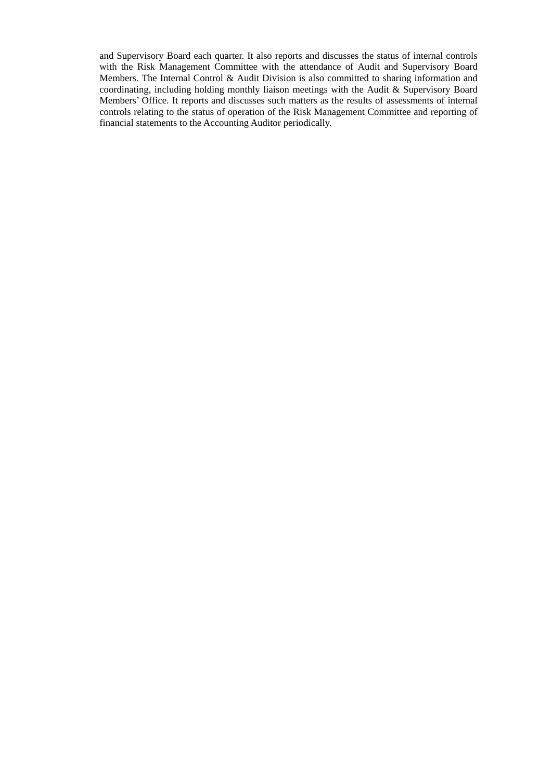and Supervisory Board each quarter. It also reports and discusses the status of internal controls with the Risk Management Committee with the attendance of Audit and Supervisory Board Members. The Internal Control & Audit Division is also committed to sharing information and coordinating, including holding monthly liaison meetings with the Audit & Supervisory Board Members' Office. It reports and discusses such matters as the results of assessments of internal controls relating to the status of operation of the Risk Management Committee and reporting of financial statements to the Accounting Auditor periodically.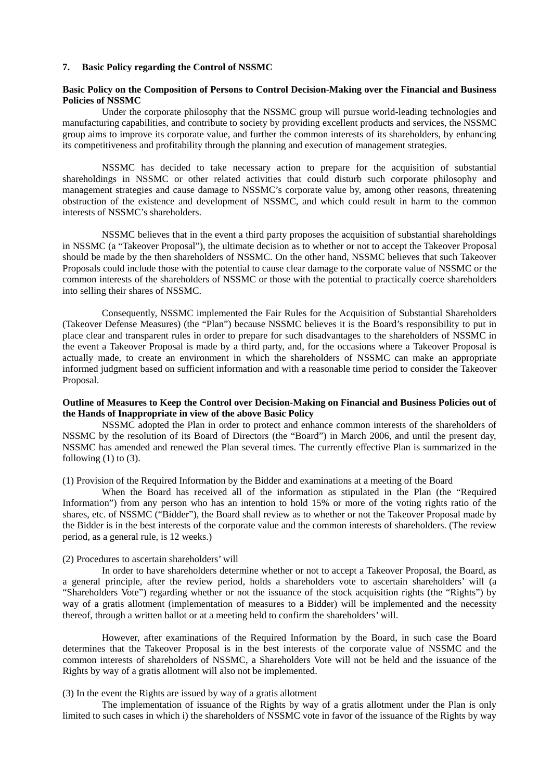## **7. Basic Policy regarding the Control of NSSMC**

## **Basic Policy on the Composition of Persons to Control Decision-Making over the Financial and Business Policies of NSSMC**

Under the corporate philosophy that the NSSMC group will pursue world-leading technologies and manufacturing capabilities, and contribute to society by providing excellent products and services, the NSSMC group aims to improve its corporate value, and further the common interests of its shareholders, by enhancing its competitiveness and profitability through the planning and execution of management strategies.

NSSMC has decided to take necessary action to prepare for the acquisition of substantial shareholdings in NSSMC or other related activities that could disturb such corporate philosophy and management strategies and cause damage to NSSMC's corporate value by, among other reasons, threatening obstruction of the existence and development of NSSMC, and which could result in harm to the common interests of NSSMC's shareholders.

NSSMC believes that in the event a third party proposes the acquisition of substantial shareholdings in NSSMC (a "Takeover Proposal"), the ultimate decision as to whether or not to accept the Takeover Proposal should be made by the then shareholders of NSSMC. On the other hand, NSSMC believes that such Takeover Proposals could include those with the potential to cause clear damage to the corporate value of NSSMC or the common interests of the shareholders of NSSMC or those with the potential to practically coerce shareholders into selling their shares of NSSMC.

Consequently, NSSMC implemented the Fair Rules for the Acquisition of Substantial Shareholders (Takeover Defense Measures) (the "Plan") because NSSMC believes it is the Board's responsibility to put in place clear and transparent rules in order to prepare for such disadvantages to the shareholders of NSSMC in the event a Takeover Proposal is made by a third party, and, for the occasions where a Takeover Proposal is actually made, to create an environment in which the shareholders of NSSMC can make an appropriate informed judgment based on sufficient information and with a reasonable time period to consider the Takeover Proposal.

# **Outline of Measures to Keep the Control over Decision-Making on Financial and Business Policies out of the Hands of Inappropriate in view of the above Basic Policy**

NSSMC adopted the Plan in order to protect and enhance common interests of the shareholders of NSSMC by the resolution of its Board of Directors (the "Board") in March 2006, and until the present day, NSSMC has amended and renewed the Plan several times. The currently effective Plan is summarized in the following  $(1)$  to  $(3)$ .

(1) Provision of the Required Information by the Bidder and examinations at a meeting of the Board

When the Board has received all of the information as stipulated in the Plan (the "Required Information") from any person who has an intention to hold 15% or more of the voting rights ratio of the shares, etc. of NSSMC ("Bidder"), the Board shall review as to whether or not the Takeover Proposal made by the Bidder is in the best interests of the corporate value and the common interests of shareholders. (The review period, as a general rule, is 12 weeks.)

# (2) Procedures to ascertain shareholders' will

In order to have shareholders determine whether or not to accept a Takeover Proposal, the Board, as a general principle, after the review period, holds a shareholders vote to ascertain shareholders' will (a "Shareholders Vote") regarding whether or not the issuance of the stock acquisition rights (the "Rights") by way of a gratis allotment (implementation of measures to a Bidder) will be implemented and the necessity thereof, through a written ballot or at a meeting held to confirm the shareholders' will.

However, after examinations of the Required Information by the Board, in such case the Board determines that the Takeover Proposal is in the best interests of the corporate value of NSSMC and the common interests of shareholders of NSSMC, a Shareholders Vote will not be held and the issuance of the Rights by way of a gratis allotment will also not be implemented.

## (3) In the event the Rights are issued by way of a gratis allotment

The implementation of issuance of the Rights by way of a gratis allotment under the Plan is only limited to such cases in which i) the shareholders of NSSMC vote in favor of the issuance of the Rights by way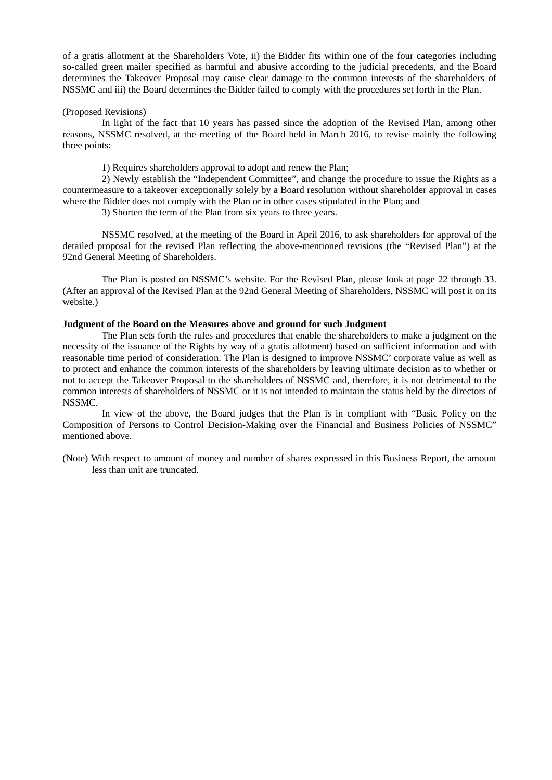of a gratis allotment at the Shareholders Vote, ii) the Bidder fits within one of the four categories including so-called green mailer specified as harmful and abusive according to the judicial precedents, and the Board determines the Takeover Proposal may cause clear damage to the common interests of the shareholders of NSSMC and iii) the Board determines the Bidder failed to comply with the procedures set forth in the Plan.

### (Proposed Revisions)

In light of the fact that 10 years has passed since the adoption of the Revised Plan, among other reasons, NSSMC resolved, at the meeting of the Board held in March 2016, to revise mainly the following three points:

1) Requires shareholders approval to adopt and renew the Plan;

2) Newly establish the "Independent Committee", and change the procedure to issue the Rights as a countermeasure to a takeover exceptionally solely by a Board resolution without shareholder approval in cases where the Bidder does not comply with the Plan or in other cases stipulated in the Plan; and

3) Shorten the term of the Plan from six years to three years.

NSSMC resolved, at the meeting of the Board in April 2016, to ask shareholders for approval of the detailed proposal for the revised Plan reflecting the above-mentioned revisions (the "Revised Plan") at the 92nd General Meeting of Shareholders.

The Plan is posted on NSSMC's website. For the Revised Plan, please look at page 22 through 33. (After an approval of the Revised Plan at the 92nd General Meeting of Shareholders, NSSMC will post it on its website.)

## **Judgment of the Board on the Measures above and ground for such Judgment**

The Plan sets forth the rules and procedures that enable the shareholders to make a judgment on the necessity of the issuance of the Rights by way of a gratis allotment) based on sufficient information and with reasonable time period of consideration. The Plan is designed to improve NSSMC' corporate value as well as to protect and enhance the common interests of the shareholders by leaving ultimate decision as to whether or not to accept the Takeover Proposal to the shareholders of NSSMC and, therefore, it is not detrimental to the common interests of shareholders of NSSMC or it is not intended to maintain the status held by the directors of NSSMC.

In view of the above, the Board judges that the Plan is in compliant with "Basic Policy on the Composition of Persons to Control Decision-Making over the Financial and Business Policies of NSSMC" mentioned above.

(Note) With respect to amount of money and number of shares expressed in this Business Report, the amount less than unit are truncated.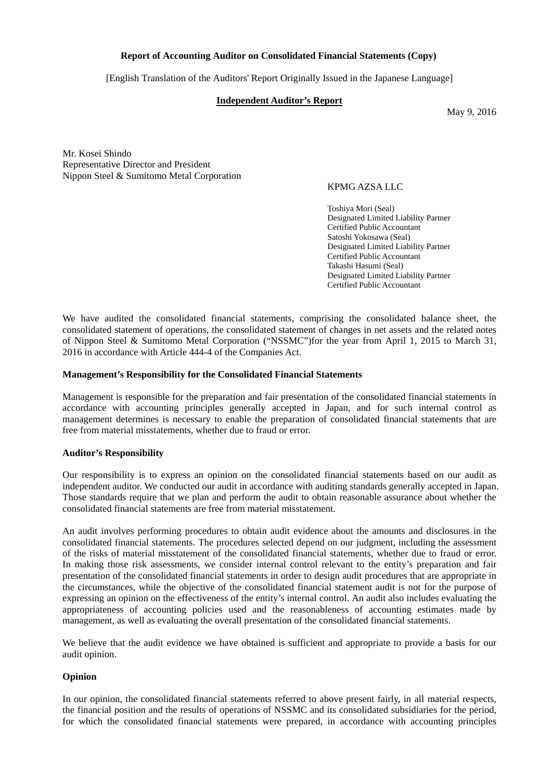# **Report of Accounting Auditor on Consolidated Financial Statements (Copy)**

[English Translation of the Auditors' Report Originally Issued in the Japanese Language]

# **Independent Auditor's Report**

May 9, 2016

Mr. Kosei Shindo Representative Director and President Nippon Steel & Sumitomo Metal Corporation

## KPMG AZSA LLC

Toshiya Mori (Seal) Designated Limited Liability Partner Certified Public Accountant Satoshi Yokosawa (Seal) Designated Limited Liability Partner Certified Public Accountant Takashi Hasumi (Seal) Designated Limited Liability Partner Certified Public Accountant

We have audited the consolidated financial statements, comprising the consolidated balance sheet, the consolidated statement of operations, the consolidated statement of changes in net assets and the related notes of Nippon Steel & Sumitomo Metal Corporation ("NSSMC")for the year from April 1, 2015 to March 31, 2016 in accordance with Article 444-4 of the Companies Act.

## **Management's Responsibility for the Consolidated Financial Statements**

Management is responsible for the preparation and fair presentation of the consolidated financial statements in accordance with accounting principles generally accepted in Japan, and for such internal control as management determines is necessary to enable the preparation of consolidated financial statements that are free from material misstatements, whether due to fraud or error.

## **Auditor's Responsibility**

Our responsibility is to express an opinion on the consolidated financial statements based on our audit as independent auditor. We conducted our audit in accordance with auditing standards generally accepted in Japan. Those standards require that we plan and perform the audit to obtain reasonable assurance about whether the consolidated financial statements are free from material misstatement.

An audit involves performing procedures to obtain audit evidence about the amounts and disclosures in the consolidated financial statements. The procedures selected depend on our judgment, including the assessment of the risks of material misstatement of the consolidated financial statements, whether due to fraud or error. In making those risk assessments, we consider internal control relevant to the entity's preparation and fair presentation of the consolidated financial statements in order to design audit procedures that are appropriate in the circumstances, while the objective of the consolidated financial statement audit is not for the purpose of expressing an opinion on the effectiveness of the entity's internal control. An audit also includes evaluating the appropriateness of accounting policies used and the reasonableness of accounting estimates made by management, as well as evaluating the overall presentation of the consolidated financial statements.

We believe that the audit evidence we have obtained is sufficient and appropriate to provide a basis for our audit opinion.

## **Opinion**

In our opinion, the consolidated financial statements referred to above present fairly, in all material respects, the financial position and the results of operations of NSSMC and its consolidated subsidiaries for the period, for which the consolidated financial statements were prepared, in accordance with accounting principles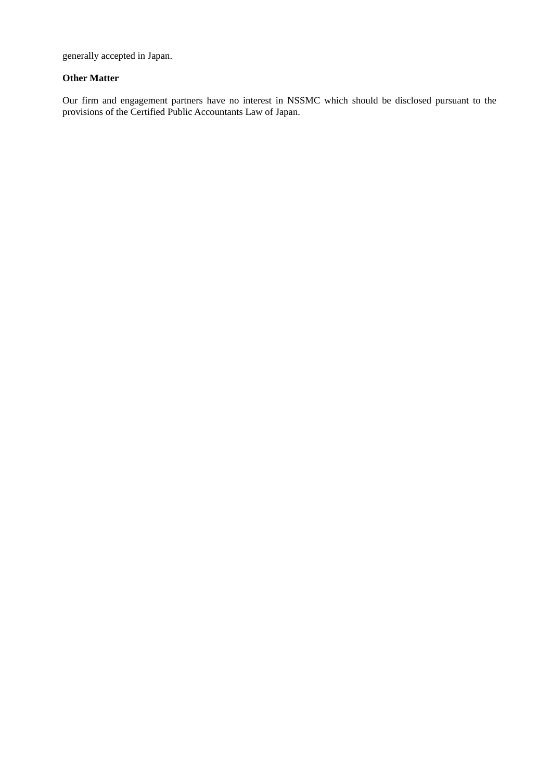generally accepted in Japan.

# **Other Matter**

Our firm and engagement partners have no interest in NSSMC which should be disclosed pursuant to the provisions of the Certified Public Accountants Law of Japan.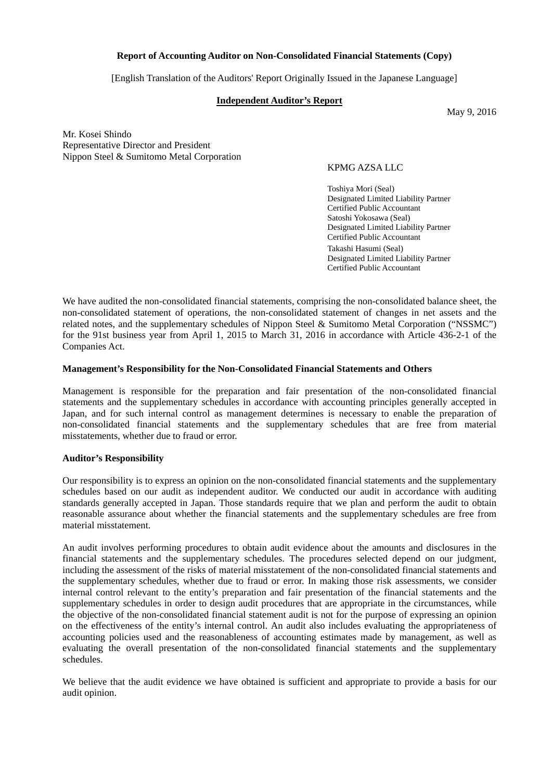### **Report of Accounting Auditor on Non-Consolidated Financial Statements (Copy)**

[English Translation of the Auditors' Report Originally Issued in the Japanese Language]

### **Independent Auditor's Report**

May 9, 2016

Mr. Kosei Shindo Representative Director and President Nippon Steel & Sumitomo Metal Corporation

### KPMG AZSA LLC

Toshiya Mori (Seal) Designated Limited Liability Partner Certified Public Accountant Satoshi Yokosawa (Seal) Designated Limited Liability Partner Certified Public Accountant Takashi Hasumi (Seal) Designated Limited Liability Partner Certified Public Accountant

We have audited the non-consolidated financial statements, comprising the non-consolidated balance sheet, the non-consolidated statement of operations, the non-consolidated statement of changes in net assets and the related notes, and the supplementary schedules of Nippon Steel & Sumitomo Metal Corporation ("NSSMC") for the 91st business year from April 1, 2015 to March 31, 2016 in accordance with Article 436-2-1 of the Companies Act.

#### **Management's Responsibility for the Non-Consolidated Financial Statements and Others**

Management is responsible for the preparation and fair presentation of the non-consolidated financial statements and the supplementary schedules in accordance with accounting principles generally accepted in Japan, and for such internal control as management determines is necessary to enable the preparation of non-consolidated financial statements and the supplementary schedules that are free from material misstatements, whether due to fraud or error.

#### **Auditor's Responsibility**

Our responsibility is to express an opinion on the non-consolidated financial statements and the supplementary schedules based on our audit as independent auditor. We conducted our audit in accordance with auditing standards generally accepted in Japan. Those standards require that we plan and perform the audit to obtain reasonable assurance about whether the financial statements and the supplementary schedules are free from material misstatement.

An audit involves performing procedures to obtain audit evidence about the amounts and disclosures in the financial statements and the supplementary schedules. The procedures selected depend on our judgment, including the assessment of the risks of material misstatement of the non-consolidated financial statements and the supplementary schedules, whether due to fraud or error. In making those risk assessments, we consider internal control relevant to the entity's preparation and fair presentation of the financial statements and the supplementary schedules in order to design audit procedures that are appropriate in the circumstances, while the objective of the non-consolidated financial statement audit is not for the purpose of expressing an opinion on the effectiveness of the entity's internal control. An audit also includes evaluating the appropriateness of accounting policies used and the reasonableness of accounting estimates made by management, as well as evaluating the overall presentation of the non-consolidated financial statements and the supplementary schedules.

We believe that the audit evidence we have obtained is sufficient and appropriate to provide a basis for our audit opinion.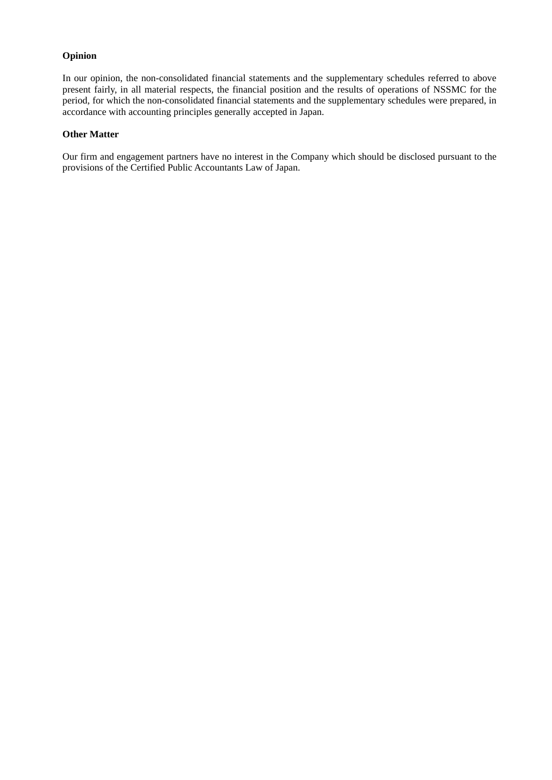## **Opinion**

In our opinion, the non-consolidated financial statements and the supplementary schedules referred to above present fairly, in all material respects, the financial position and the results of operations of NSSMC for the period, for which the non-consolidated financial statements and the supplementary schedules were prepared, in accordance with accounting principles generally accepted in Japan.

#### **Other Matter**

Our firm and engagement partners have no interest in the Company which should be disclosed pursuant to the provisions of the Certified Public Accountants Law of Japan.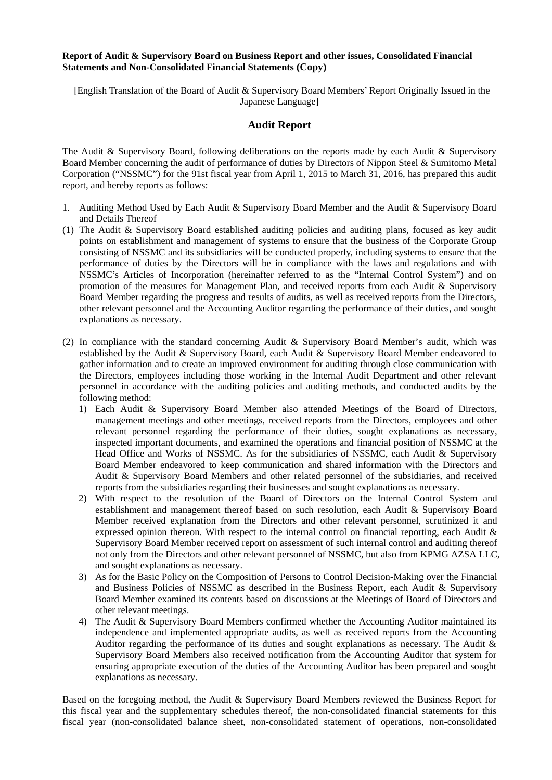### **Report of Audit & Supervisory Board on Business Report and other issues, Consolidated Financial Statements and Non-Consolidated Financial Statements (Copy)**

 [English Translation of the Board of Audit & Supervisory Board Members' Report Originally Issued in the Japanese Language]

### **Audit Report**

The Audit & Supervisory Board, following deliberations on the reports made by each Audit & Supervisory Board Member concerning the audit of performance of duties by Directors of Nippon Steel & Sumitomo Metal Corporation ("NSSMC") for the 91st fiscal year from April 1, 2015 to March 31, 2016, has prepared this audit report, and hereby reports as follows:

- 1. Auditing Method Used by Each Audit & Supervisory Board Member and the Audit & Supervisory Board and Details Thereof
- (1) The Audit & Supervisory Board established auditing policies and auditing plans, focused as key audit points on establishment and management of systems to ensure that the business of the Corporate Group consisting of NSSMC and its subsidiaries will be conducted properly, including systems to ensure that the performance of duties by the Directors will be in compliance with the laws and regulations and with NSSMC's Articles of Incorporation (hereinafter referred to as the "Internal Control System") and on promotion of the measures for Management Plan, and received reports from each Audit & Supervisory Board Member regarding the progress and results of audits, as well as received reports from the Directors, other relevant personnel and the Accounting Auditor regarding the performance of their duties, and sought explanations as necessary.
- (2) In compliance with the standard concerning Audit & Supervisory Board Member's audit, which was established by the Audit & Supervisory Board, each Audit & Supervisory Board Member endeavored to gather information and to create an improved environment for auditing through close communication with the Directors, employees including those working in the Internal Audit Department and other relevant personnel in accordance with the auditing policies and auditing methods, and conducted audits by the following method:
	- 1) Each Audit & Supervisory Board Member also attended Meetings of the Board of Directors, management meetings and other meetings, received reports from the Directors, employees and other relevant personnel regarding the performance of their duties, sought explanations as necessary, inspected important documents, and examined the operations and financial position of NSSMC at the Head Office and Works of NSSMC. As for the subsidiaries of NSSMC, each Audit & Supervisory Board Member endeavored to keep communication and shared information with the Directors and Audit & Supervisory Board Members and other related personnel of the subsidiaries, and received reports from the subsidiaries regarding their businesses and sought explanations as necessary.
	- 2) With respect to the resolution of the Board of Directors on the Internal Control System and establishment and management thereof based on such resolution, each Audit & Supervisory Board Member received explanation from the Directors and other relevant personnel, scrutinized it and expressed opinion thereon. With respect to the internal control on financial reporting, each Audit & Supervisory Board Member received report on assessment of such internal control and auditing thereof not only from the Directors and other relevant personnel of NSSMC, but also from KPMG AZSA LLC, and sought explanations as necessary.
	- 3) As for the Basic Policy on the Composition of Persons to Control Decision-Making over the Financial and Business Policies of NSSMC as described in the Business Report, each Audit & Supervisory Board Member examined its contents based on discussions at the Meetings of Board of Directors and other relevant meetings.
	- 4) The Audit & Supervisory Board Members confirmed whether the Accounting Auditor maintained its independence and implemented appropriate audits, as well as received reports from the Accounting Auditor regarding the performance of its duties and sought explanations as necessary. The Audit & Supervisory Board Members also received notification from the Accounting Auditor that system for ensuring appropriate execution of the duties of the Accounting Auditor has been prepared and sought explanations as necessary.

Based on the foregoing method, the Audit & Supervisory Board Members reviewed the Business Report for this fiscal year and the supplementary schedules thereof, the non-consolidated financial statements for this fiscal year (non-consolidated balance sheet, non-consolidated statement of operations, non-consolidated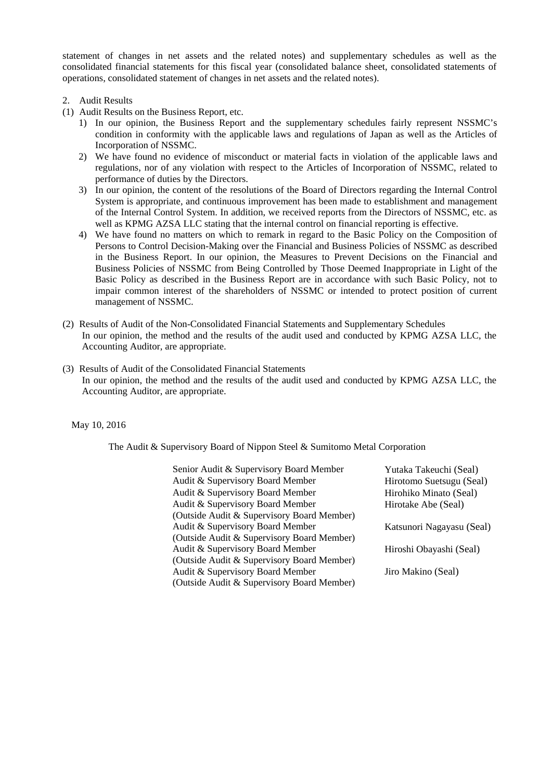statement of changes in net assets and the related notes) and supplementary schedules as well as the consolidated financial statements for this fiscal year (consolidated balance sheet, consolidated statements of operations, consolidated statement of changes in net assets and the related notes).

### 2. Audit Results

- (1) Audit Results on the Business Report, etc.
	- 1) In our opinion, the Business Report and the supplementary schedules fairly represent NSSMC's condition in conformity with the applicable laws and regulations of Japan as well as the Articles of Incorporation of NSSMC.
	- 2) We have found no evidence of misconduct or material facts in violation of the applicable laws and regulations, nor of any violation with respect to the Articles of Incorporation of NSSMC, related to performance of duties by the Directors.
	- 3) In our opinion, the content of the resolutions of the Board of Directors regarding the Internal Control System is appropriate, and continuous improvement has been made to establishment and management of the Internal Control System. In addition, we received reports from the Directors of NSSMC, etc. as well as KPMG AZSA LLC stating that the internal control on financial reporting is effective.
	- 4) We have found no matters on which to remark in regard to the Basic Policy on the Composition of Persons to Control Decision-Making over the Financial and Business Policies of NSSMC as described in the Business Report. In our opinion, the Measures to Prevent Decisions on the Financial and Business Policies of NSSMC from Being Controlled by Those Deemed Inappropriate in Light of the Basic Policy as described in the Business Report are in accordance with such Basic Policy, not to impair common interest of the shareholders of NSSMC or intended to protect position of current management of NSSMC.
- (2) Results of Audit of the Non-Consolidated Financial Statements and Supplementary Schedules In our opinion, the method and the results of the audit used and conducted by KPMG AZSA LLC, the Accounting Auditor, are appropriate.
- (3) Results of Audit of the Consolidated Financial Statements In our opinion, the method and the results of the audit used and conducted by KPMG AZSA LLC, the Accounting Auditor, are appropriate.

May 10, 2016

The Audit & Supervisory Board of Nippon Steel & Sumitomo Metal Corporation

| Senior Audit & Supervisory Board Member    | Yutaka Takeuchi (Seal)    |
|--------------------------------------------|---------------------------|
| Audit & Supervisory Board Member           | Hirotomo Suetsugu (Seal)  |
| Audit & Supervisory Board Member           | Hirohiko Minato (Seal)    |
| Audit & Supervisory Board Member           | Hirotake Abe (Seal)       |
| (Outside Audit & Supervisory Board Member) |                           |
| Audit & Supervisory Board Member           | Katsunori Nagayasu (Seal) |
| (Outside Audit & Supervisory Board Member) |                           |
| Audit & Supervisory Board Member           | Hiroshi Obayashi (Seal)   |
| (Outside Audit & Supervisory Board Member) |                           |
| Audit & Supervisory Board Member           | Jiro Makino (Seal)        |
| (Outside Audit & Supervisory Board Member) |                           |
|                                            |                           |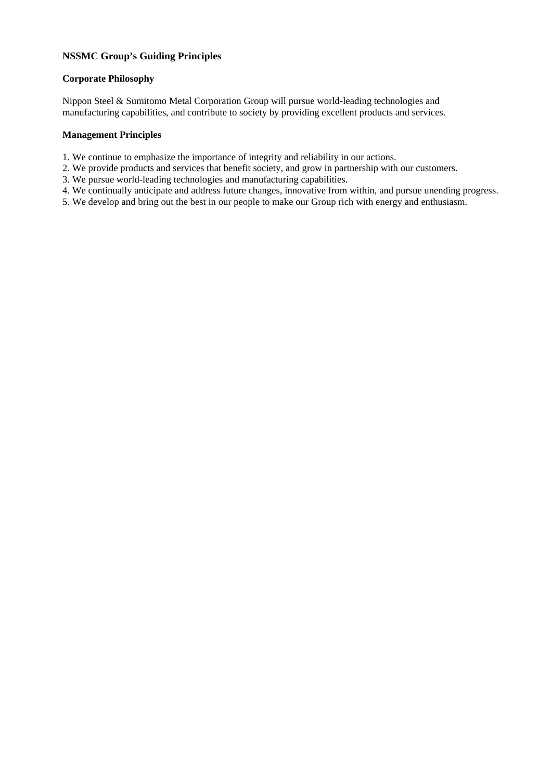# **NSSMC Group's Guiding Principles**

### **Corporate Philosophy**

Nippon Steel & Sumitomo Metal Corporation Group will pursue world-leading technologies and manufacturing capabilities, and contribute to society by providing excellent products and services.

#### **Management Principles**

- 1. We continue to emphasize the importance of integrity and reliability in our actions.
- 2. We provide products and services that benefit society, and grow in partnership with our customers.
- 3. We pursue world-leading technologies and manufacturing capabilities.
- 4. We continually anticipate and address future changes, innovative from within, and pursue unending progress.
- 5. We develop and bring out the best in our people to make our Group rich with energy and enthusiasm.